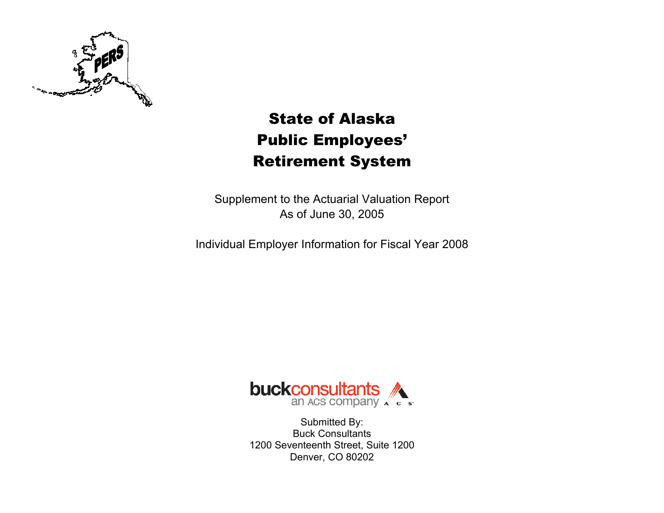

# State of Alaska Public Employees' Retirement System

Supplement to the Actuarial Valuation Report As of June 30, 2005

Individual Employer Information for Fiscal Year 2008



Submitted By: Buck Consultants 1200 Seventeenth Street, Suite 1200 Denver, CO 80202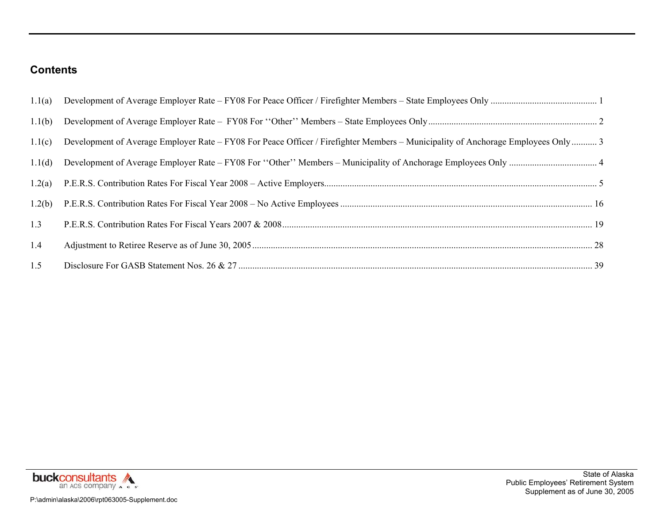### **Contents**

| 1.1(a) |                                                                                                                                  |  |
|--------|----------------------------------------------------------------------------------------------------------------------------------|--|
| 1.1(b) |                                                                                                                                  |  |
| 1.1(c) | Development of Average Employer Rate – FY08 For Peace Officer / Firefighter Members – Municipality of Anchorage Employees Only 3 |  |
| 1.1(d) |                                                                                                                                  |  |
| 1.2(a) |                                                                                                                                  |  |
| 1.2(b) |                                                                                                                                  |  |
| 1.3    |                                                                                                                                  |  |
| 1.4    |                                                                                                                                  |  |
| 1.5    |                                                                                                                                  |  |

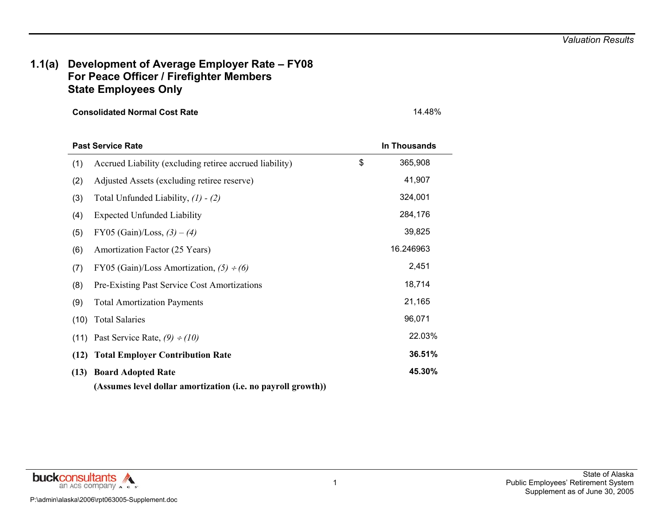### **1.1(a) Development of Average Employer Rate – FY08 For Peace Officer / Firefighter Members State Employees Only**

**Consolidated Normal Cost Rate** 14.48%

|      | <b>Past Service Rate</b>                                     | <b>In Thousands</b> |
|------|--------------------------------------------------------------|---------------------|
| (1)  | Accrued Liability (excluding retiree accrued liability)      | \$<br>365,908       |
| (2)  | Adjusted Assets (excluding retiree reserve)                  | 41,907              |
| (3)  | Total Unfunded Liability, $(1) - (2)$                        | 324,001             |
| (4)  | <b>Expected Unfunded Liability</b>                           | 284,176             |
| (5)  | FY05 (Gain)/Loss, $(3) - (4)$                                | 39,825              |
| (6)  | Amortization Factor (25 Years)                               | 16.246963           |
| (7)  | FY05 (Gain)/Loss Amortization, $(5) \div (6)$                | 2,451               |
| (8)  | Pre-Existing Past Service Cost Amortizations                 | 18,714              |
| (9)  | <b>Total Amortization Payments</b>                           | 21,165              |
| (10) | <b>Total Salaries</b>                                        | 96,071              |
| (11) | Past Service Rate, $(9) \div (10)$                           | 22.03%              |
| (12) | <b>Total Employer Contribution Rate</b>                      | 36.51%              |
| (13) | <b>Board Adopted Rate</b>                                    | 45.30%              |
|      | (Assumes level dollar amortization (i.e. no payroll growth)) |                     |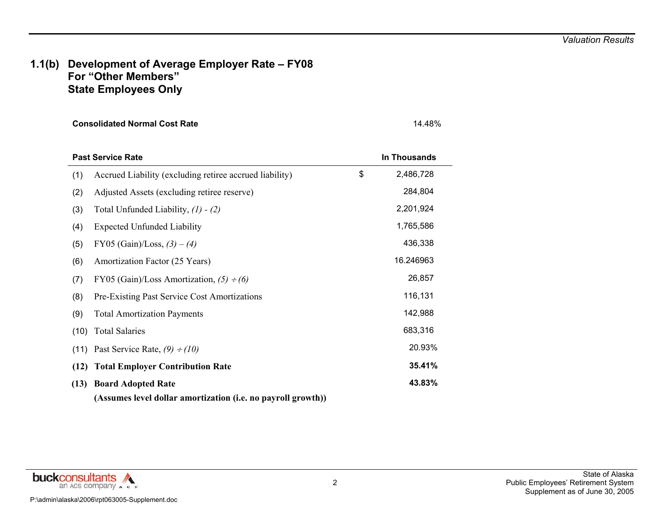### **1.1(b) Development of Average Employer Rate – FY08 For "Other Members" State Employees Only**

**Consolidated Normal Cost Rate** 14.48%

|      | <b>Past Service Rate</b>                                     | <b>In Thousands</b> |
|------|--------------------------------------------------------------|---------------------|
| (1)  | Accrued Liability (excluding retiree accrued liability)      | \$<br>2,486,728     |
| (2)  | Adjusted Assets (excluding retiree reserve)                  | 284,804             |
| (3)  | Total Unfunded Liability, $(1) - (2)$                        | 2,201,924           |
| (4)  | <b>Expected Unfunded Liability</b>                           | 1,765,586           |
| (5)  | FY05 (Gain)/Loss, $(3) - (4)$                                | 436,338             |
| (6)  | Amortization Factor (25 Years)                               | 16.246963           |
| (7)  | FY05 (Gain)/Loss Amortization, $(5) \div (6)$                | 26,857              |
| (8)  | Pre-Existing Past Service Cost Amortizations                 | 116,131             |
| (9)  | <b>Total Amortization Payments</b>                           | 142,988             |
| (10) | <b>Total Salaries</b>                                        | 683,316             |
| (11) | Past Service Rate, $(9) \div (10)$                           | 20.93%              |
| (12) | <b>Total Employer Contribution Rate</b>                      | 35.41%              |
| (13) | <b>Board Adopted Rate</b>                                    | 43.83%              |
|      | (Assumes level dollar amortization (i.e. no payroll growth)) |                     |

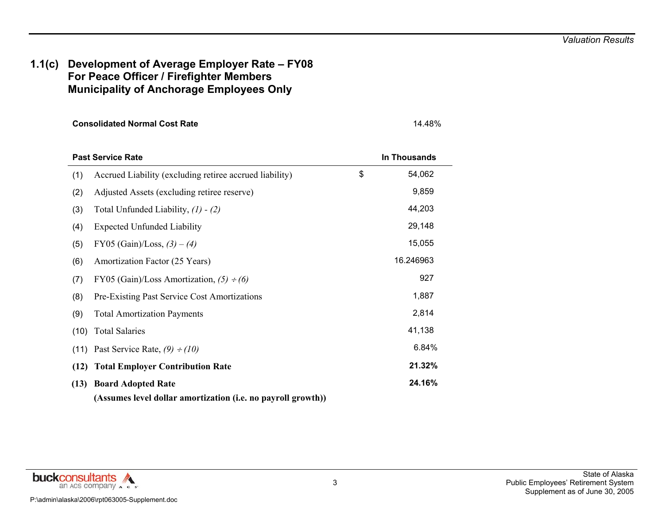### **1.1(c) Development of Average Employer Rate – FY08 For Peace Officer / Firefighter Members Municipality of Anchorage Employees Only**

**Consolidated Normal Cost Rate** 14.48%

|      | <b>Past Service Rate</b>                                     | In Thousands |
|------|--------------------------------------------------------------|--------------|
| (1)  | Accrued Liability (excluding retiree accrued liability)      | \$<br>54,062 |
| (2)  | Adjusted Assets (excluding retiree reserve)                  | 9,859        |
| (3)  | Total Unfunded Liability, $(1) - (2)$                        | 44,203       |
| (4)  | <b>Expected Unfunded Liability</b>                           | 29,148       |
| (5)  | FY05 (Gain)/Loss, $(3) - (4)$                                | 15,055       |
| (6)  | Amortization Factor (25 Years)                               | 16.246963    |
| (7)  | FY05 (Gain)/Loss Amortization, $(5) \div (6)$                | 927          |
| (8)  | <b>Pre-Existing Past Service Cost Amortizations</b>          | 1,887        |
| (9)  | <b>Total Amortization Payments</b>                           | 2,814        |
| (10) | <b>Total Salaries</b>                                        | 41,138       |
| (11) | Past Service Rate, $(9) \div (10)$                           | 6.84%        |
| (12) | <b>Total Employer Contribution Rate</b>                      | 21.32%       |
| (13) | <b>Board Adopted Rate</b>                                    | 24.16%       |
|      | (Assumes level dollar amortization (i.e. no payroll growth)) |              |

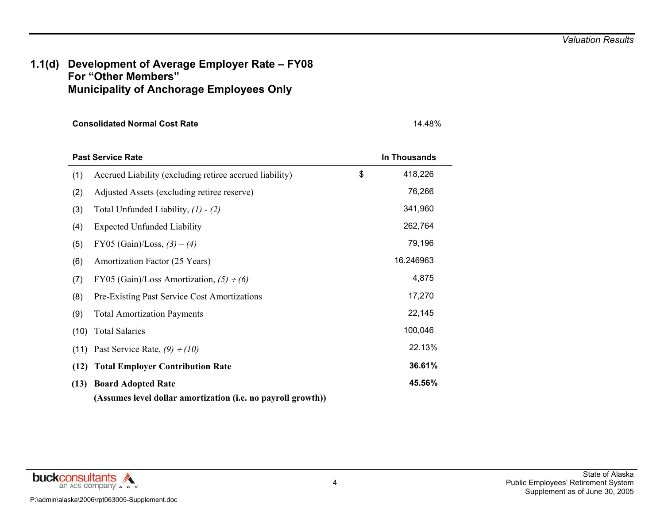### **1.1(d) Development of Average Employer Rate – FY08 For "Other Members" Municipality of Anchorage Employees Only**

| <b>Consolidated Normal Cost Rate</b> | 14.48% |
|--------------------------------------|--------|
|                                      |        |

|      | <b>Past Service Rate</b>                                     | In Thousands  |
|------|--------------------------------------------------------------|---------------|
| (1)  | Accrued Liability (excluding retiree accrued liability)      | \$<br>418,226 |
| (2)  | Adjusted Assets (excluding retiree reserve)                  | 76,266        |
| (3)  | Total Unfunded Liability, $(1) - (2)$                        | 341,960       |
| (4)  | <b>Expected Unfunded Liability</b>                           | 262,764       |
| (5)  | FY05 (Gain)/Loss, $(3) - (4)$                                | 79,196        |
| (6)  | Amortization Factor (25 Years)                               | 16.246963     |
| (7)  | FY05 (Gain)/Loss Amortization, $(5) \div (6)$                | 4,875         |
| (8)  | Pre-Existing Past Service Cost Amortizations                 | 17,270        |
| (9)  | <b>Total Amortization Payments</b>                           | 22,145        |
| (10) | <b>Total Salaries</b>                                        | 100,046       |
| (11) | Past Service Rate, $(9) \div (10)$                           | 22.13%        |
| (12) | <b>Total Employer Contribution Rate</b>                      | 36.61%        |
| (13) | <b>Board Adopted Rate</b>                                    | 45.56%        |
|      | (Assumes level dollar amortization (i.e. no payroll growth)) |               |

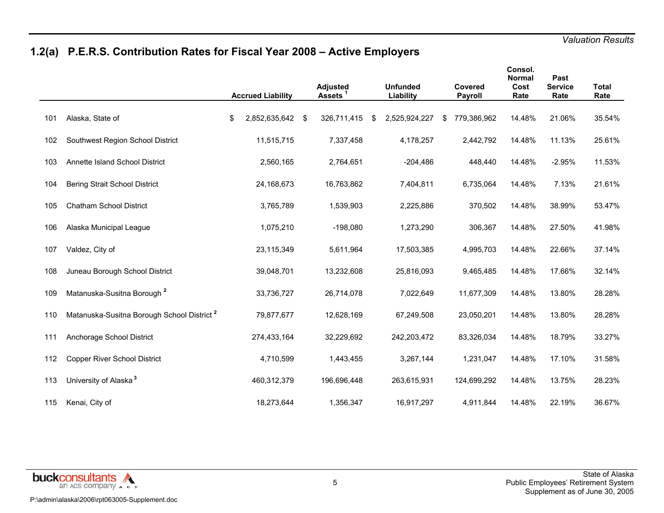# **1.2(a) P.E.R.S. Contribution Rates for Fiscal Year 2008 – Active Employers**

|     |                                                        | <b>Accrued Liability</b> |     | <b>Adjusted</b><br>Assets <sup>1</sup> | <b>Unfunded</b><br>Liability |   | <b>Covered</b><br><b>Payroll</b> | Consol.<br><b>Normal</b><br>Cost<br>Rate | Past<br><b>Service</b><br>Rate | <b>Total</b><br>Rate |
|-----|--------------------------------------------------------|--------------------------|-----|----------------------------------------|------------------------------|---|----------------------------------|------------------------------------------|--------------------------------|----------------------|
| 101 | Alaska, State of                                       | \$<br>2,852,635,642      | -\$ | 326,711,415                            | \$<br>2,525,924,227          | S | 779,386,962                      | 14.48%                                   | 21.06%                         | 35.54%               |
| 102 | Southwest Region School District                       | 11,515,715               |     | 7,337,458                              | 4,178,257                    |   | 2,442,792                        | 14.48%                                   | 11.13%                         | 25.61%               |
| 103 | Annette Island School District                         | 2,560,165                |     | 2,764,651                              | $-204,486$                   |   | 448,440                          | 14.48%                                   | $-2.95%$                       | 11.53%               |
| 104 | <b>Bering Strait School District</b>                   | 24,168,673               |     | 16,763,862                             | 7,404,811                    |   | 6,735,064                        | 14.48%                                   | 7.13%                          | 21.61%               |
| 105 | <b>Chatham School District</b>                         | 3,765,789                |     | 1,539,903                              | 2,225,886                    |   | 370,502                          | 14.48%                                   | 38.99%                         | 53.47%               |
| 106 | Alaska Municipal League                                | 1,075,210                |     | $-198,080$                             | 1,273,290                    |   | 306,367                          | 14.48%                                   | 27.50%                         | 41.98%               |
| 107 | Valdez, City of                                        | 23,115,349               |     | 5,611,964                              | 17,503,385                   |   | 4,995,703                        | 14.48%                                   | 22.66%                         | 37.14%               |
| 108 | Juneau Borough School District                         | 39,048,701               |     | 13,232,608                             | 25,816,093                   |   | 9,465,485                        | 14.48%                                   | 17.66%                         | 32.14%               |
| 109 | Matanuska-Susitna Borough <sup>2</sup>                 | 33,736,727               |     | 26,714,078                             | 7,022,649                    |   | 11,677,309                       | 14.48%                                   | 13.80%                         | 28.28%               |
| 110 | Matanuska-Susitna Borough School District <sup>2</sup> | 79,877,677               |     | 12,628,169                             | 67,249,508                   |   | 23,050,201                       | 14.48%                                   | 13.80%                         | 28.28%               |
| 111 | Anchorage School District                              | 274,433,164              |     | 32,229,692                             | 242,203,472                  |   | 83,326,034                       | 14.48%                                   | 18.79%                         | 33.27%               |
| 112 | Copper River School District                           | 4,710,599                |     | 1,443,455                              | 3,267,144                    |   | 1,231,047                        | 14.48%                                   | 17.10%                         | 31.58%               |
| 113 | University of Alaska <sup>3</sup>                      | 460,312,379              |     | 196,696,448                            | 263,615,931                  |   | 124,699,292                      | 14.48%                                   | 13.75%                         | 28.23%               |
| 115 | Kenai, City of                                         | 18,273,644               |     | 1,356,347                              | 16,917,297                   |   | 4,911,844                        | 14.48%                                   | 22.19%                         | 36.67%               |

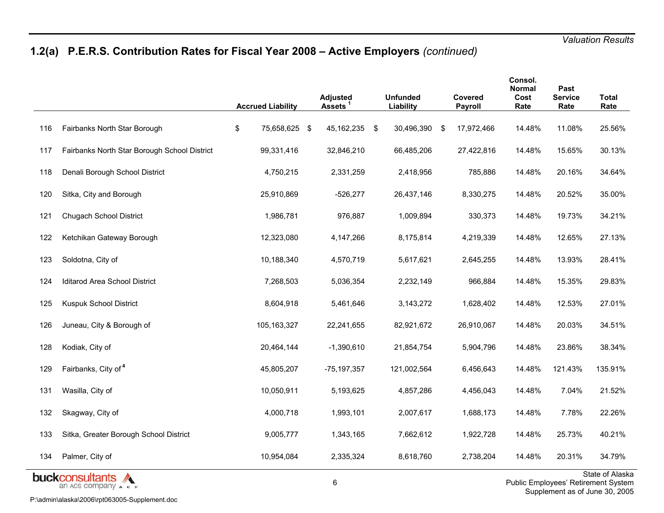# **1.2(a) P.E.R.S. Contribution Rates for Fiscal Year 2008 – Active Employers** *(continued)*

|     |                                                             | <b>Accrued Liability</b> | Adjusted<br>Assets | <b>Unfunded</b><br>Liability |     | <b>Covered</b><br>Payroll | Consol.<br>Normal<br>Cost<br>Rate | Past<br><b>Service</b><br>Rate | <b>Total</b><br>Rate                                                     |
|-----|-------------------------------------------------------------|--------------------------|--------------------|------------------------------|-----|---------------------------|-----------------------------------|--------------------------------|--------------------------------------------------------------------------|
| 116 | Fairbanks North Star Borough                                | \$<br>75,658,625 \$      | 45, 162, 235 \$    | 30,496,390                   | -\$ | 17,972,466                | 14.48%                            | 11.08%                         | 25.56%                                                                   |
| 117 | Fairbanks North Star Borough School District                | 99,331,416               | 32,846,210         | 66,485,206                   |     | 27,422,816                | 14.48%                            | 15.65%                         | 30.13%                                                                   |
| 118 | Denali Borough School District                              | 4,750,215                | 2,331,259          | 2,418,956                    |     | 785,886                   | 14.48%                            | 20.16%                         | 34.64%                                                                   |
| 120 | Sitka, City and Borough                                     | 25,910,869               | $-526,277$         | 26,437,146                   |     | 8,330,275                 | 14.48%                            | 20.52%                         | 35.00%                                                                   |
| 121 | <b>Chugach School District</b>                              | 1,986,781                | 976,887            | 1,009,894                    |     | 330,373                   | 14.48%                            | 19.73%                         | 34.21%                                                                   |
| 122 | Ketchikan Gateway Borough                                   | 12,323,080               | 4,147,266          | 8,175,814                    |     | 4,219,339                 | 14.48%                            | 12.65%                         | 27.13%                                                                   |
| 123 | Soldotna, City of                                           | 10,188,340               | 4,570,719          | 5,617,621                    |     | 2,645,255                 | 14.48%                            | 13.93%                         | 28.41%                                                                   |
| 124 | Iditarod Area School District                               | 7,268,503                | 5,036,354          | 2,232,149                    |     | 966,884                   | 14.48%                            | 15.35%                         | 29.83%                                                                   |
| 125 | Kuspuk School District                                      | 8,604,918                | 5,461,646          | 3,143,272                    |     | 1,628,402                 | 14.48%                            | 12.53%                         | 27.01%                                                                   |
| 126 | Juneau, City & Borough of                                   | 105,163,327              | 22,241,655         | 82,921,672                   |     | 26,910,067                | 14.48%                            | 20.03%                         | 34.51%                                                                   |
| 128 | Kodiak, City of                                             | 20,464,144               | $-1,390,610$       | 21,854,754                   |     | 5,904,796                 | 14.48%                            | 23.86%                         | 38.34%                                                                   |
| 129 | Fairbanks, City of 4                                        | 45,805,207               | $-75, 197, 357$    | 121,002,564                  |     | 6,456,643                 | 14.48%                            | 121.43%                        | 135.91%                                                                  |
| 131 | Wasilla, City of                                            | 10,050,911               | 5,193,625          | 4,857,286                    |     | 4,456,043                 | 14.48%                            | 7.04%                          | 21.52%                                                                   |
| 132 | Skagway, City of                                            | 4,000,718                | 1,993,101          | 2,007,617                    |     | 1,688,173                 | 14.48%                            | 7.78%                          | 22.26%                                                                   |
| 133 | Sitka, Greater Borough School District                      | 9,005,777                | 1,343,165          | 7,662,612                    |     | 1,922,728                 | 14.48%                            | 25.73%                         | 40.21%                                                                   |
| 134 | Palmer, City of                                             | 10,954,084               | 2,335,324          | 8,618,760                    |     | 2,738,204                 | 14.48%                            | 20.31%                         | 34.79%                                                                   |
|     | <b>buckc</b> onsultants<br>an ACS company $\land$ c $\circ$ |                          | 6                  |                              |     |                           |                                   |                                | <b>State of Alaska</b><br>Public Employees' Retirement System<br>$S = 1$ |

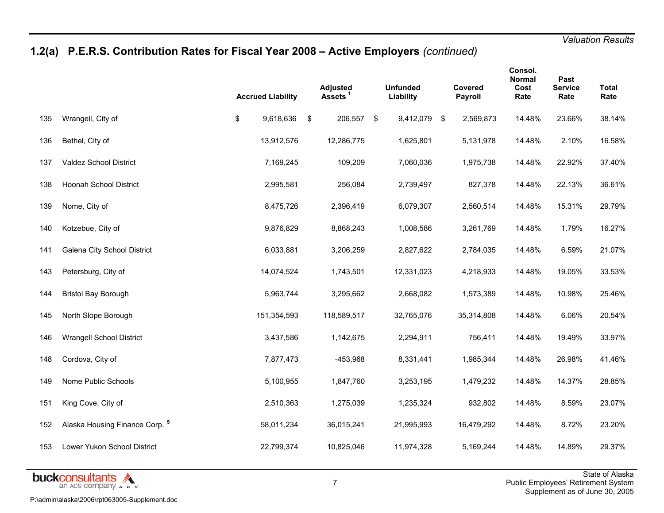# **1.2(a) P.E.R.S. Contribution Rates for Fiscal Year 2008 – Active Employers** *(continued)*

|     |                                           | <b>Accrued Liability</b> | <b>Adjusted</b><br>Assets <sup>1</sup> | <b>Unfunded</b><br>Liability | Covered<br>Payroll | Consol.<br>Normal<br>Cost<br>Rate | Past<br><b>Service</b><br>Rate | <b>Total</b><br>Rate |
|-----|-------------------------------------------|--------------------------|----------------------------------------|------------------------------|--------------------|-----------------------------------|--------------------------------|----------------------|
| 135 | Wrangell, City of                         | \$<br>9,618,636          | \$<br>206,557 \$                       | 9,412,079 \$                 | 2,569,873          | 14.48%                            | 23.66%                         | 38.14%               |
| 136 | Bethel, City of                           | 13,912,576               | 12,286,775                             | 1,625,801                    | 5,131,978          | 14.48%                            | 2.10%                          | 16.58%               |
| 137 | Valdez School District                    | 7,169,245                | 109,209                                | 7,060,036                    | 1,975,738          | 14.48%                            | 22.92%                         | 37.40%               |
| 138 | <b>Hoonah School District</b>             | 2,995,581                | 256,084                                | 2,739,497                    | 827,378            | 14.48%                            | 22.13%                         | 36.61%               |
| 139 | Nome, City of                             | 8,475,726                | 2,396,419                              | 6,079,307                    | 2,560,514          | 14.48%                            | 15.31%                         | 29.79%               |
| 140 | Kotzebue, City of                         | 9,876,829                | 8,868,243                              | 1,008,586                    | 3,261,769          | 14.48%                            | 1.79%                          | 16.27%               |
| 141 | Galena City School District               | 6,033,881                | 3,206,259                              | 2,827,622                    | 2,784,035          | 14.48%                            | 6.59%                          | 21.07%               |
| 143 | Petersburg, City of                       | 14,074,524               | 1,743,501                              | 12,331,023                   | 4,218,933          | 14.48%                            | 19.05%                         | 33.53%               |
| 144 | <b>Bristol Bay Borough</b>                | 5,963,744                | 3,295,662                              | 2,668,082                    | 1,573,389          | 14.48%                            | 10.98%                         | 25.46%               |
| 145 | North Slope Borough                       | 151,354,593              | 118,589,517                            | 32,765,076                   | 35,314,808         | 14.48%                            | 6.06%                          | 20.54%               |
| 146 | <b>Wrangell School District</b>           | 3,437,586                | 1,142,675                              | 2,294,911                    | 756,411            | 14.48%                            | 19.49%                         | 33.97%               |
| 148 | Cordova, City of                          | 7,877,473                | $-453,968$                             | 8,331,441                    | 1,985,344          | 14.48%                            | 26.98%                         | 41.46%               |
| 149 | Nome Public Schools                       | 5,100,955                | 1,847,760                              | 3,253,195                    | 1,479,232          | 14.48%                            | 14.37%                         | 28.85%               |
| 151 | King Cove, City of                        | 2,510,363                | 1,275,039                              | 1,235,324                    | 932,802            | 14.48%                            | 8.59%                          | 23.07%               |
| 152 | Alaska Housing Finance Corp. <sup>5</sup> | 58,011,234               | 36,015,241                             | 21,995,993                   | 16,479,292         | 14.48%                            | 8.72%                          | 23.20%               |
| 153 | Lower Yukon School District               | 22,799,374               | 10,825,046                             | 11,974,328                   | 5,169,244          | 14.48%                            | 14.89%                         | 29.37%               |

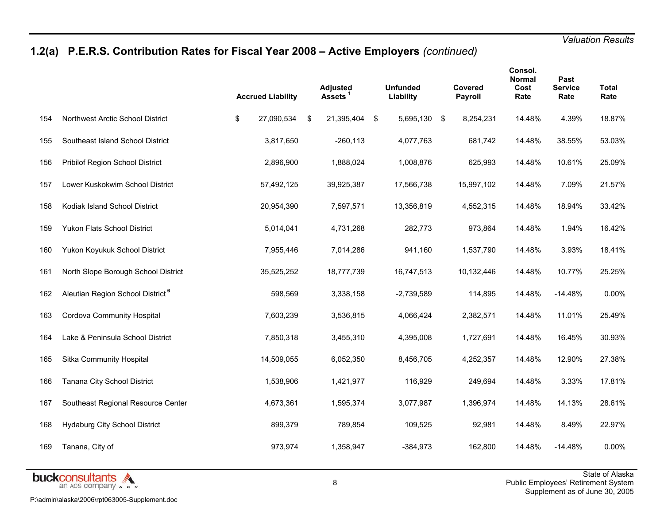# **1.2(a) P.E.R.S. Contribution Rates for Fiscal Year 2008 – Active Employers** *(continued)*

|     |                                              | <b>Accrued Liability</b> | <b>Adjusted</b><br>Assets <sup>1</sup> |     | <b>Unfunded</b><br>Liability | Covered<br>Payroll | Consol.<br><b>Normal</b><br>Cost<br>Rate | Past<br><b>Service</b><br>Rate | <b>Total</b><br>Rate |
|-----|----------------------------------------------|--------------------------|----------------------------------------|-----|------------------------------|--------------------|------------------------------------------|--------------------------------|----------------------|
| 154 | Northwest Arctic School District             | \$<br>27,090,534         | \$<br>21,395,404                       | -\$ | 5,695,130 \$                 | 8,254,231          | 14.48%                                   | 4.39%                          | 18.87%               |
| 155 | Southeast Island School District             | 3,817,650                | $-260, 113$                            |     | 4,077,763                    | 681,742            | 14.48%                                   | 38.55%                         | 53.03%               |
| 156 | Pribilof Region School District              | 2,896,900                | 1,888,024                              |     | 1,008,876                    | 625,993            | 14.48%                                   | 10.61%                         | 25.09%               |
| 157 | Lower Kuskokwim School District              | 57,492,125               | 39,925,387                             |     | 17,566,738                   | 15,997,102         | 14.48%                                   | 7.09%                          | 21.57%               |
| 158 | Kodiak Island School District                | 20,954,390               | 7,597,571                              |     | 13,356,819                   | 4,552,315          | 14.48%                                   | 18.94%                         | 33.42%               |
| 159 | Yukon Flats School District                  | 5,014,041                | 4,731,268                              |     | 282,773                      | 973,864            | 14.48%                                   | 1.94%                          | 16.42%               |
| 160 | Yukon Koyukuk School District                | 7,955,446                | 7,014,286                              |     | 941,160                      | 1,537,790          | 14.48%                                   | 3.93%                          | 18.41%               |
| 161 | North Slope Borough School District          | 35,525,252               | 18,777,739                             |     | 16,747,513                   | 10,132,446         | 14.48%                                   | 10.77%                         | 25.25%               |
| 162 | Aleutian Region School District <sup>6</sup> | 598,569                  | 3,338,158                              |     | $-2,739,589$                 | 114,895            | 14.48%                                   | $-14.48%$                      | 0.00%                |
| 163 | Cordova Community Hospital                   | 7,603,239                | 3,536,815                              |     | 4,066,424                    | 2,382,571          | 14.48%                                   | 11.01%                         | 25.49%               |
| 164 | Lake & Peninsula School District             | 7,850,318                | 3,455,310                              |     | 4,395,008                    | 1,727,691          | 14.48%                                   | 16.45%                         | 30.93%               |
| 165 | Sitka Community Hospital                     | 14,509,055               | 6,052,350                              |     | 8,456,705                    | 4,252,357          | 14.48%                                   | 12.90%                         | 27.38%               |
| 166 | Tanana City School District                  | 1,538,906                | 1,421,977                              |     | 116,929                      | 249,694            | 14.48%                                   | 3.33%                          | 17.81%               |
| 167 | Southeast Regional Resource Center           | 4,673,361                | 1,595,374                              |     | 3,077,987                    | 1,396,974          | 14.48%                                   | 14.13%                         | 28.61%               |
| 168 | <b>Hydaburg City School District</b>         | 899,379                  | 789,854                                |     | 109,525                      | 92,981             | 14.48%                                   | 8.49%                          | 22.97%               |
| 169 | Tanana, City of                              | 973,974                  | 1,358,947                              |     | $-384.973$                   | 162,800            | 14.48%                                   | $-14.48%$                      | 0.00%                |

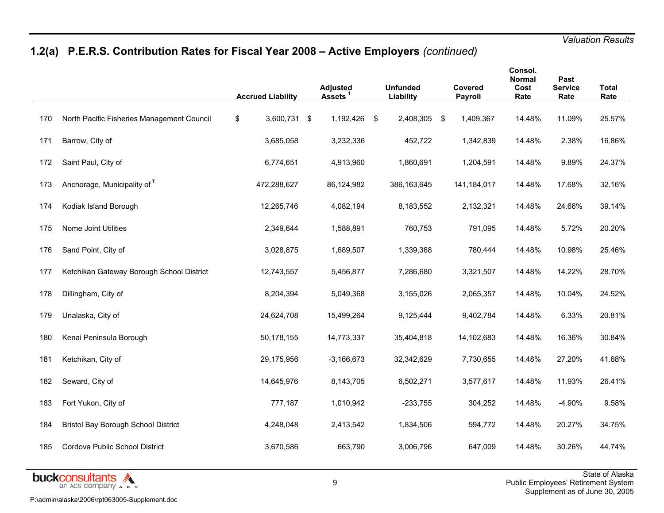# **1.2(a) P.E.R.S. Contribution Rates for Fiscal Year 2008 – Active Employers** *(continued)*

|     |                                            | <b>Accrued Liability</b> | <b>Adjusted</b><br><b>Assets</b> | <b>Unfunded</b><br>Liability | Covered<br><b>Payroll</b> | Consol.<br>Normal<br>Cost<br>Rate | Past<br><b>Service</b><br>Rate | <b>Total</b><br>Rate |
|-----|--------------------------------------------|--------------------------|----------------------------------|------------------------------|---------------------------|-----------------------------------|--------------------------------|----------------------|
| 170 | North Pacific Fisheries Management Council | \$<br>3,600,731 \$       | 1,192,426 \$                     | 2,408,305 \$                 | 1,409,367                 | 14.48%                            | 11.09%                         | 25.57%               |
| 171 | Barrow, City of                            | 3,685,058                | 3,232,336                        | 452,722                      | 1,342,839                 | 14.48%                            | 2.38%                          | 16.86%               |
| 172 | Saint Paul, City of                        | 6,774,651                | 4,913,960                        | 1,860,691                    | 1,204,591                 | 14.48%                            | 9.89%                          | 24.37%               |
| 173 | Anchorage, Municipality of <sup>7</sup>    | 472,288,627              | 86,124,982                       | 386,163,645                  | 141,184,017               | 14.48%                            | 17.68%                         | 32.16%               |
| 174 | Kodiak Island Borough                      | 12,265,746               | 4,082,194                        | 8,183,552                    | 2,132,321                 | 14.48%                            | 24.66%                         | 39.14%               |
| 175 | Nome Joint Utilities                       | 2,349,644                | 1,588,891                        | 760,753                      | 791,095                   | 14.48%                            | 5.72%                          | 20.20%               |
| 176 | Sand Point, City of                        | 3,028,875                | 1,689,507                        | 1,339,368                    | 780,444                   | 14.48%                            | 10.98%                         | 25.46%               |
| 177 | Ketchikan Gateway Borough School District  | 12,743,557               | 5,456,877                        | 7,286,680                    | 3,321,507                 | 14.48%                            | 14.22%                         | 28.70%               |
| 178 | Dillingham, City of                        | 8,204,394                | 5,049,368                        | 3,155,026                    | 2,065,357                 | 14.48%                            | 10.04%                         | 24.52%               |
| 179 | Unalaska, City of                          | 24,624,708               | 15,499,264                       | 9,125,444                    | 9,402,784                 | 14.48%                            | 6.33%                          | 20.81%               |
| 180 | Kenai Peninsula Borough                    | 50,178,155               | 14,773,337                       | 35,404,818                   | 14,102,683                | 14.48%                            | 16.36%                         | 30.84%               |
| 181 | Ketchikan, City of                         | 29,175,956               | $-3,166,673$                     | 32,342,629                   | 7,730,655                 | 14.48%                            | 27.20%                         | 41.68%               |
| 182 | Seward, City of                            | 14,645,976               | 8,143,705                        | 6,502,271                    | 3,577,617                 | 14.48%                            | 11.93%                         | 26.41%               |
| 183 | Fort Yukon, City of                        | 777,187                  | 1,010,942                        | $-233,755$                   | 304,252                   | 14.48%                            | $-4.90%$                       | 9.58%                |
| 184 | <b>Bristol Bay Borough School District</b> | 4,248,048                | 2,413,542                        | 1,834,506                    | 594,772                   | 14.48%                            | 20.27%                         | 34.75%               |
| 185 | Cordova Public School District             | 3,670,586                | 663,790                          | 3,006,796                    | 647,009                   | 14.48%                            | 30.26%                         | 44.74%               |

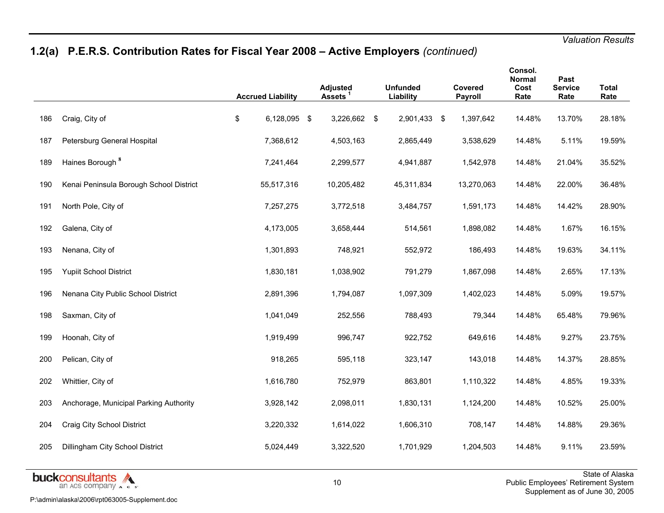# **1.2(a) P.E.R.S. Contribution Rates for Fiscal Year 2008 – Active Employers** *(continued)*

|     |                                         | <b>Accrued Liability</b> | <b>Adjusted</b><br>Assets <sup>1</sup> | <b>Unfunded</b><br>Liability | Covered<br>Payroll | Consol.<br><b>Normal</b><br>Cost<br>Rate | Past<br><b>Service</b><br>Rate | <b>Total</b><br>Rate |
|-----|-----------------------------------------|--------------------------|----------------------------------------|------------------------------|--------------------|------------------------------------------|--------------------------------|----------------------|
| 186 | Craig, City of                          | \$<br>6,128,095 \$       | 3,226,662 \$                           | 2,901,433 \$                 | 1,397,642          | 14.48%                                   | 13.70%                         | 28.18%               |
| 187 | Petersburg General Hospital             | 7,368,612                | 4,503,163                              | 2,865,449                    | 3,538,629          | 14.48%                                   | 5.11%                          | 19.59%               |
| 189 | Haines Borough <sup>8</sup>             | 7,241,464                | 2,299,577                              | 4,941,887                    | 1,542,978          | 14.48%                                   | 21.04%                         | 35.52%               |
| 190 | Kenai Peninsula Borough School District | 55,517,316               | 10,205,482                             | 45,311,834                   | 13,270,063         | 14.48%                                   | 22.00%                         | 36.48%               |
| 191 | North Pole, City of                     | 7,257,275                | 3,772,518                              | 3,484,757                    | 1,591,173          | 14.48%                                   | 14.42%                         | 28.90%               |
| 192 | Galena, City of                         | 4,173,005                | 3,658,444                              | 514,561                      | 1,898,082          | 14.48%                                   | 1.67%                          | 16.15%               |
| 193 | Nenana, City of                         | 1,301,893                | 748,921                                | 552,972                      | 186,493            | 14.48%                                   | 19.63%                         | 34.11%               |
| 195 | <b>Yupiit School District</b>           | 1,830,181                | 1,038,902                              | 791,279                      | 1,867,098          | 14.48%                                   | 2.65%                          | 17.13%               |
| 196 | Nenana City Public School District      | 2,891,396                | 1,794,087                              | 1,097,309                    | 1,402,023          | 14.48%                                   | 5.09%                          | 19.57%               |
| 198 | Saxman, City of                         | 1,041,049                | 252,556                                | 788,493                      | 79,344             | 14.48%                                   | 65.48%                         | 79.96%               |
| 199 | Hoonah, City of                         | 1,919,499                | 996,747                                | 922,752                      | 649,616            | 14.48%                                   | 9.27%                          | 23.75%               |
| 200 | Pelican, City of                        | 918,265                  | 595,118                                | 323,147                      | 143,018            | 14.48%                                   | 14.37%                         | 28.85%               |
| 202 | Whittier, City of                       | 1,616,780                | 752,979                                | 863,801                      | 1,110,322          | 14.48%                                   | 4.85%                          | 19.33%               |
| 203 | Anchorage, Municipal Parking Authority  | 3,928,142                | 2,098,011                              | 1,830,131                    | 1,124,200          | 14.48%                                   | 10.52%                         | 25.00%               |
| 204 | Craig City School District              | 3,220,332                | 1,614,022                              | 1,606,310                    | 708,147            | 14.48%                                   | 14.88%                         | 29.36%               |
| 205 | Dillingham City School District         | 5,024,449                | 3,322,520                              | 1,701,929                    | 1,204,503          | 14.48%                                   | 9.11%                          | 23.59%               |
|     |                                         |                          |                                        |                              |                    |                                          |                                |                      |

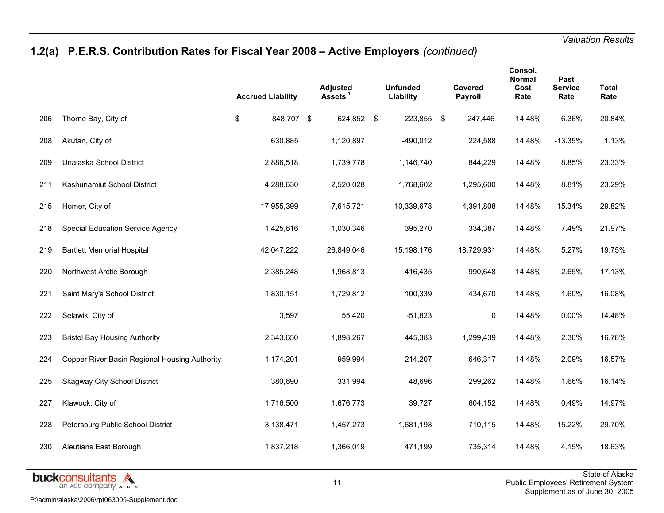# **1.2(a) P.E.R.S. Contribution Rates for Fiscal Year 2008 – Active Employers** *(continued)*

|     |                                               | <b>Accrued Liability</b> | <b>Adjusted</b><br><b>Assets</b> | <b>Unfunded</b><br>Liability | Covered<br>Payroll | Consol.<br>Normal<br>Cost<br>Rate | Past<br><b>Service</b><br>Rate | <b>Total</b><br>Rate |
|-----|-----------------------------------------------|--------------------------|----------------------------------|------------------------------|--------------------|-----------------------------------|--------------------------------|----------------------|
| 206 | Thorne Bay, City of                           | \$<br>848,707 \$         | 624,852 \$                       | 223,855 \$                   | 247,446            | 14.48%                            | 6.36%                          | 20.84%               |
| 208 | Akutan, City of                               | 630,885                  | 1,120,897                        | $-490,012$                   | 224,588            | 14.48%                            | $-13.35%$                      | 1.13%                |
| 209 | Unalaska School District                      | 2,886,518                | 1,739,778                        | 1,146,740                    | 844,229            | 14.48%                            | 8.85%                          | 23.33%               |
| 211 | Kashunamiut School District                   | 4,288,630                | 2,520,028                        | 1,768,602                    | 1,295,600          | 14.48%                            | 8.81%                          | 23.29%               |
| 215 | Homer, City of                                | 17,955,399               | 7,615,721                        | 10,339,678                   | 4,391,808          | 14.48%                            | 15.34%                         | 29.82%               |
| 218 | Special Education Service Agency              | 1,425,616                | 1,030,346                        | 395,270                      | 334,387            | 14.48%                            | 7.49%                          | 21.97%               |
| 219 | <b>Bartlett Memorial Hospital</b>             | 42,047,222               | 26,849,046                       | 15,198,176                   | 18,729,931         | 14.48%                            | 5.27%                          | 19.75%               |
| 220 | Northwest Arctic Borough                      | 2,385,248                | 1,968,813                        | 416,435                      | 990,648            | 14.48%                            | 2.65%                          | 17.13%               |
| 221 | Saint Mary's School District                  | 1,830,151                | 1,729,812                        | 100,339                      | 434,670            | 14.48%                            | 1.60%                          | 16.08%               |
| 222 | Selawik, City of                              | 3,597                    | 55,420                           | $-51,823$                    | $\mathbf 0$        | 14.48%                            | 0.00%                          | 14.48%               |
| 223 | <b>Bristol Bay Housing Authority</b>          | 2,343,650                | 1,898,267                        | 445,383                      | 1,299,439          | 14.48%                            | 2.30%                          | 16.78%               |
| 224 | Copper River Basin Regional Housing Authority | 1,174,201                | 959,994                          | 214,207                      | 646,317            | 14.48%                            | 2.09%                          | 16.57%               |
| 225 | <b>Skagway City School District</b>           | 380,690                  | 331,994                          | 48,696                       | 299,262            | 14.48%                            | 1.66%                          | 16.14%               |
| 227 | Klawock, City of                              | 1,716,500                | 1,676,773                        | 39,727                       | 604,152            | 14.48%                            | 0.49%                          | 14.97%               |
| 228 | Petersburg Public School District             | 3,138,471                | 1,457,273                        | 1,681,198                    | 710,115            | 14.48%                            | 15.22%                         | 29.70%               |
| 230 | Aleutians East Borough                        | 1,837,218                | 1,366,019                        | 471,199                      | 735,314            | 14.48%                            | 4.15%                          | 18.63%               |

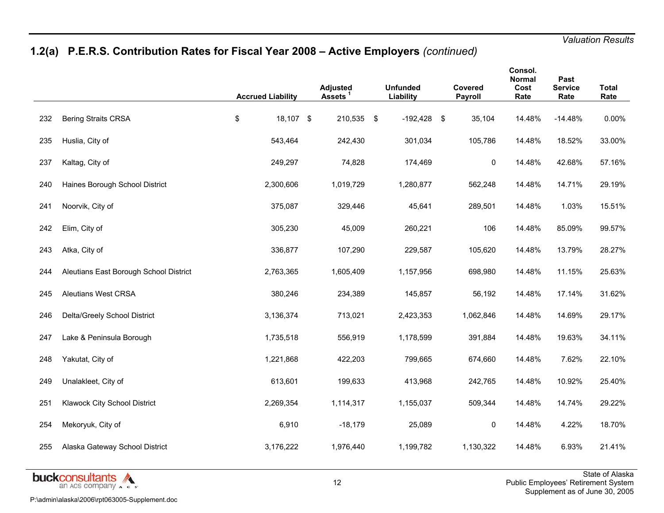# **1.2(a) P.E.R.S. Contribution Rates for Fiscal Year 2008 – Active Employers** *(continued)*

|     |                                        | <b>Accrued Liability</b> |           | <b>Adjusted</b><br>Assets <sup>1</sup> | <b>Unfunded</b><br>Liability | Covered<br>Payroll | Consol.<br>Normal<br>Cost<br>Rate | Past<br><b>Service</b><br>Rate | <b>Total</b><br>Rate |
|-----|----------------------------------------|--------------------------|-----------|----------------------------------------|------------------------------|--------------------|-----------------------------------|--------------------------------|----------------------|
| 232 | <b>Bering Straits CRSA</b>             | \$                       | 18,107 \$ | 210,535 \$                             | $-192,428$ \$                | 35,104             | 14.48%                            | $-14.48%$                      | 0.00%                |
| 235 | Huslia, City of                        |                          | 543,464   | 242,430                                | 301,034                      | 105,786            | 14.48%                            | 18.52%                         | 33.00%               |
| 237 | Kaltag, City of                        |                          | 249,297   | 74,828                                 | 174,469                      | 0                  | 14.48%                            | 42.68%                         | 57.16%               |
| 240 | Haines Borough School District         |                          | 2,300,606 | 1,019,729                              | 1,280,877                    | 562,248            | 14.48%                            | 14.71%                         | 29.19%               |
| 241 | Noorvik, City of                       |                          | 375,087   | 329,446                                | 45,641                       | 289,501            | 14.48%                            | 1.03%                          | 15.51%               |
| 242 | Elim, City of                          |                          | 305,230   | 45,009                                 | 260,221                      | 106                | 14.48%                            | 85.09%                         | 99.57%               |
| 243 | Atka, City of                          |                          | 336,877   | 107,290                                | 229,587                      | 105,620            | 14.48%                            | 13.79%                         | 28.27%               |
| 244 | Aleutians East Borough School District |                          | 2,763,365 | 1,605,409                              | 1,157,956                    | 698,980            | 14.48%                            | 11.15%                         | 25.63%               |
| 245 | <b>Aleutians West CRSA</b>             |                          | 380,246   | 234,389                                | 145,857                      | 56,192             | 14.48%                            | 17.14%                         | 31.62%               |
| 246 | Delta/Greely School District           |                          | 3,136,374 | 713,021                                | 2,423,353                    | 1,062,846          | 14.48%                            | 14.69%                         | 29.17%               |
| 247 | Lake & Peninsula Borough               |                          | 1,735,518 | 556,919                                | 1,178,599                    | 391,884            | 14.48%                            | 19.63%                         | 34.11%               |
| 248 | Yakutat, City of                       |                          | 1,221,868 | 422,203                                | 799,665                      | 674,660            | 14.48%                            | 7.62%                          | 22.10%               |
| 249 | Unalakleet, City of                    |                          | 613,601   | 199,633                                | 413,968                      | 242,765            | 14.48%                            | 10.92%                         | 25.40%               |
| 251 | Klawock City School District           |                          | 2,269,354 | 1,114,317                              | 1,155,037                    | 509,344            | 14.48%                            | 14.74%                         | 29.22%               |
| 254 | Mekoryuk, City of                      |                          | 6,910     | $-18,179$                              | 25,089                       | 0                  | 14.48%                            | 4.22%                          | 18.70%               |
| 255 | Alaska Gateway School District         |                          | 3,176,222 | 1,976,440                              | 1,199,782                    | 1,130,322          | 14.48%                            | 6.93%                          | 21.41%               |

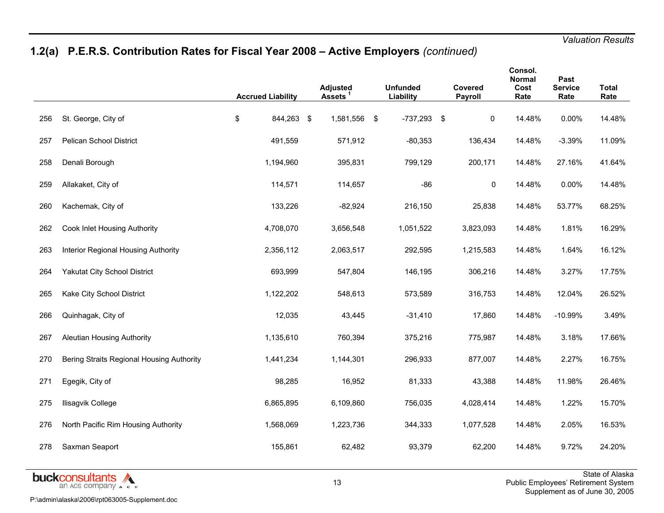# **1.2(a) P.E.R.S. Contribution Rates for Fiscal Year 2008 – Active Employers** *(continued)*

|     |                                           | <b>Accrued Liability</b> |            | <b>Adjusted</b><br><b>Assets</b> | <b>Unfunded</b><br>Liability | Covered<br>Payroll | Consol.<br>Normal<br>Cost<br>Rate | Past<br><b>Service</b><br>Rate | <b>Total</b><br>Rate |
|-----|-------------------------------------------|--------------------------|------------|----------------------------------|------------------------------|--------------------|-----------------------------------|--------------------------------|----------------------|
| 256 | St. George, City of                       | \$                       | 844,263 \$ | 1,581,556 \$                     | $-737,293$ \$                | 0                  | 14.48%                            | 0.00%                          | 14.48%               |
| 257 | <b>Pelican School District</b>            | 491,559                  |            | 571,912                          | $-80,353$                    | 136,434            | 14.48%                            | $-3.39%$                       | 11.09%               |
| 258 | Denali Borough                            | 1,194,960                |            | 395,831                          | 799,129                      | 200,171            | 14.48%                            | 27.16%                         | 41.64%               |
| 259 | Allakaket, City of                        | 114,571                  |            | 114,657                          | $-86$                        | $\pmb{0}$          | 14.48%                            | 0.00%                          | 14.48%               |
| 260 | Kachemak, City of                         | 133,226                  |            | $-82,924$                        | 216,150                      | 25,838             | 14.48%                            | 53.77%                         | 68.25%               |
| 262 | Cook Inlet Housing Authority              | 4,708,070                |            | 3,656,548                        | 1,051,522                    | 3,823,093          | 14.48%                            | 1.81%                          | 16.29%               |
| 263 | Interior Regional Housing Authority       | 2,356,112                |            | 2,063,517                        | 292,595                      | 1,215,583          | 14.48%                            | 1.64%                          | 16.12%               |
| 264 | Yakutat City School District              | 693,999                  |            | 547,804                          | 146,195                      | 306,216            | 14.48%                            | 3.27%                          | 17.75%               |
| 265 | Kake City School District                 | 1,122,202                |            | 548,613                          | 573,589                      | 316,753            | 14.48%                            | 12.04%                         | 26.52%               |
| 266 | Quinhagak, City of                        | 12,035                   |            | 43,445                           | $-31,410$                    | 17,860             | 14.48%                            | $-10.99%$                      | 3.49%                |
| 267 | Aleutian Housing Authority                | 1,135,610                |            | 760,394                          | 375,216                      | 775,987            | 14.48%                            | 3.18%                          | 17.66%               |
| 270 | Bering Straits Regional Housing Authority | 1,441,234                |            | 1,144,301                        | 296,933                      | 877,007            | 14.48%                            | 2.27%                          | 16.75%               |
| 271 | Egegik, City of                           | 98,285                   |            | 16,952                           | 81,333                       | 43,388             | 14.48%                            | 11.98%                         | 26.46%               |
| 275 | Ilisagvik College                         | 6,865,895                |            | 6,109,860                        | 756,035                      | 4,028,414          | 14.48%                            | 1.22%                          | 15.70%               |
| 276 | North Pacific Rim Housing Authority       | 1,568,069                |            | 1,223,736                        | 344,333                      | 1,077,528          | 14.48%                            | 2.05%                          | 16.53%               |
| 278 | Saxman Seaport                            | 155,861                  |            | 62,482                           | 93,379                       | 62,200             | 14.48%                            | 9.72%                          | 24.20%               |
|     |                                           |                          |            |                                  |                              |                    |                                   |                                |                      |

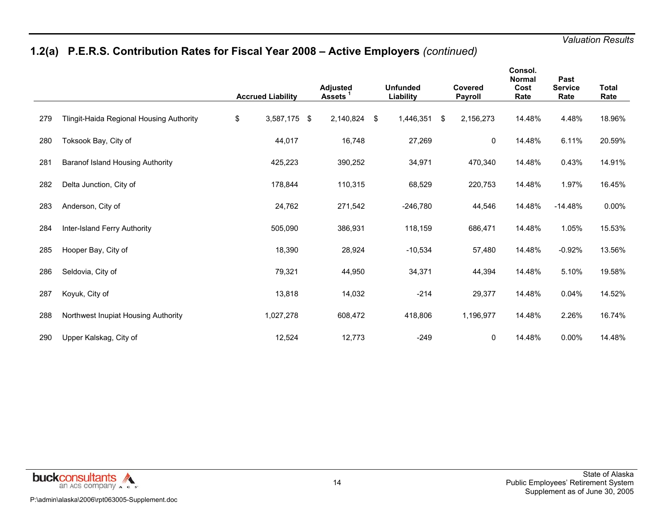# **1.2(a) P.E.R.S. Contribution Rates for Fiscal Year 2008 – Active Employers** *(continued)*

|     |                                          | <b>Accrued Liability</b> | <b>Adjusted</b><br>Assets |     | <b>Unfunded</b><br>Liability | Covered<br><b>Payroll</b> | Consol.<br><b>Normal</b><br>Cost<br>Rate | Past<br><b>Service</b><br>Rate | <b>Total</b><br>Rate |
|-----|------------------------------------------|--------------------------|---------------------------|-----|------------------------------|---------------------------|------------------------------------------|--------------------------------|----------------------|
| 279 | Tlingit-Haida Regional Housing Authority | \$<br>3,587,175 \$       | 2,140,824                 | -\$ | 1,446,351                    | \$<br>2,156,273           | 14.48%                                   | 4.48%                          | 18.96%               |
| 280 | Toksook Bay, City of                     | 44,017                   | 16,748                    |     | 27,269                       | 0                         | 14.48%                                   | 6.11%                          | 20.59%               |
| 281 | Baranof Island Housing Authority         | 425,223                  | 390,252                   |     | 34,971                       | 470,340                   | 14.48%                                   | 0.43%                          | 14.91%               |
| 282 | Delta Junction, City of                  | 178,844                  | 110,315                   |     | 68,529                       | 220,753                   | 14.48%                                   | 1.97%                          | 16.45%               |
| 283 | Anderson, City of                        | 24,762                   | 271,542                   |     | $-246,780$                   | 44,546                    | 14.48%                                   | $-14.48%$                      | $0.00\%$             |
| 284 | Inter-Island Ferry Authority             | 505,090                  | 386,931                   |     | 118,159                      | 686,471                   | 14.48%                                   | 1.05%                          | 15.53%               |
| 285 | Hooper Bay, City of                      | 18,390                   | 28,924                    |     | $-10,534$                    | 57,480                    | 14.48%                                   | $-0.92%$                       | 13.56%               |
| 286 | Seldovia, City of                        | 79,321                   | 44,950                    |     | 34,371                       | 44,394                    | 14.48%                                   | 5.10%                          | 19.58%               |
| 287 | Koyuk, City of                           | 13,818                   | 14,032                    |     | $-214$                       | 29,377                    | 14.48%                                   | 0.04%                          | 14.52%               |
| 288 | Northwest Inupiat Housing Authority      | 1,027,278                | 608,472                   |     | 418,806                      | 1,196,977                 | 14.48%                                   | 2.26%                          | 16.74%               |
| 290 | Upper Kalskag, City of                   | 12,524                   | 12,773                    |     | $-249$                       | 0                         | 14.48%                                   | $0.00\%$                       | 14.48%               |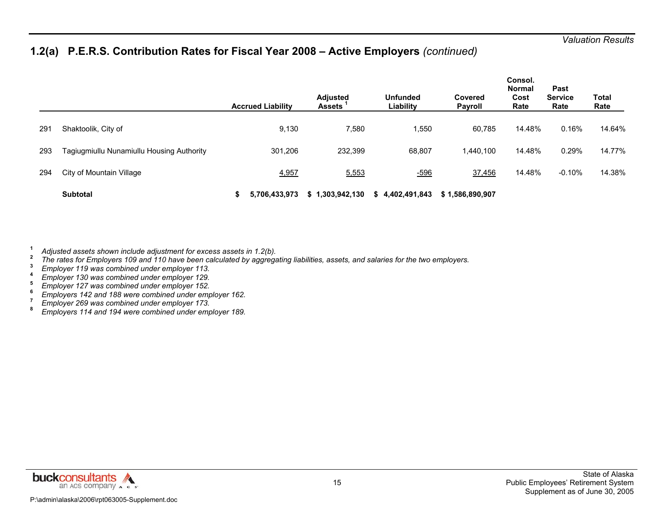### **1.2(a) P.E.R.S. Contribution Rates for Fiscal Year 2008 – Active Employers** *(continued)*

|     |                                           | <b>Accrued Liability</b> | <b>Adjusted</b><br><b>Assets</b> | <b>Unfunded</b><br>Liability | Covered<br>Payroll | Consol.<br><b>Normal</b><br>Cost<br>Rate | Past<br><b>Service</b><br>Rate | Total<br>Rate |
|-----|-------------------------------------------|--------------------------|----------------------------------|------------------------------|--------------------|------------------------------------------|--------------------------------|---------------|
| 291 | Shaktoolik, City of                       | 9,130                    | 7,580                            | 1,550                        | 60,785             | 14.48%                                   | 0.16%                          | 14.64%        |
| 293 | Tagiugmiullu Nunamiullu Housing Authority | 301,206                  | 232,399                          | 68,807                       | 1,440,100          | 14.48%                                   | 0.29%                          | 14.77%        |
| 294 | City of Mountain Village                  | 4,957                    | 5,553                            | $-596$                       | 37,456             | 14.48%                                   | $-0.10%$                       | 14.38%        |
|     | Subtotal                                  | 5,706,433,973            | \$1,303,942,130                  | \$4,402,491,843              | \$1,586,890,907    |                                          |                                |               |

**1**

- Adjusted assets shown include adjustment for excess assets in 1.2(b).<br>
The rates for Employers 109 and 110 have been calculated by aggregating liabilities, assets, and salaries for the two employers.<br>
Figure 119 was combin
- 
- 
- 
- 
- 
- 

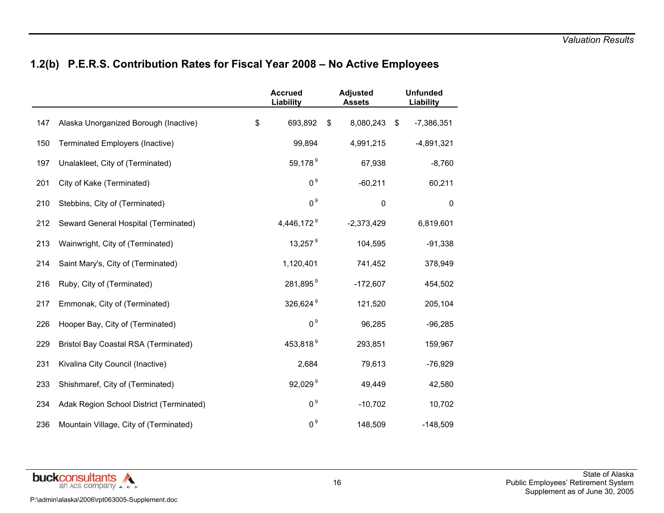# **1.2(b) P.E.R.S. Contribution Rates for Fiscal Year 2008 – No Active Employees**

|     |                                             | <b>Accrued</b><br>Liability | <b>Adjusted</b><br><b>Assets</b> | <b>Unfunded</b><br>Liability |
|-----|---------------------------------------------|-----------------------------|----------------------------------|------------------------------|
| 147 | Alaska Unorganized Borough (Inactive)       | \$<br>693,892               | \$<br>8,080,243                  | \$<br>$-7,386,351$           |
| 150 | Terminated Employers (Inactive)             | 99,894                      | 4,991,215                        | $-4,891,321$                 |
| 197 | Unalakleet, City of (Terminated)            | 59,178 <sup>9</sup>         | 67,938                           | $-8,760$                     |
| 201 | City of Kake (Terminated)                   | 0 <sup>9</sup>              | $-60,211$                        | 60,211                       |
| 210 | Stebbins, City of (Terminated)              | 0 <sup>9</sup>              | $\pmb{0}$                        | $\pmb{0}$                    |
| 212 | Seward General Hospital (Terminated)        | 4,446,172 <sup>9</sup>      | $-2,373,429$                     | 6,819,601                    |
| 213 | Wainwright, City of (Terminated)            | 13,257 $9$                  | 104,595                          | $-91,338$                    |
| 214 | Saint Mary's, City of (Terminated)          | 1,120,401                   | 741,452                          | 378,949                      |
| 216 | Ruby, City of (Terminated)                  | 281,895 <sup>9</sup>        | $-172,607$                       | 454,502                      |
| 217 | Emmonak, City of (Terminated)               | 326,624 <sup>9</sup>        | 121,520                          | 205,104                      |
| 226 | Hooper Bay, City of (Terminated)            | 0 <sup>9</sup>              | 96,285                           | $-96,285$                    |
| 229 | <b>Bristol Bay Coastal RSA (Terminated)</b> | 453,818 <sup>9</sup>        | 293,851                          | 159,967                      |
| 231 | Kivalina City Council (Inactive)            | 2,684                       | 79,613                           | $-76,929$                    |
| 233 | Shishmaref, City of (Terminated)            | 92,029 <sup>9</sup>         | 49,449                           | 42,580                       |
| 234 | Adak Region School District (Terminated)    | 0 <sup>9</sup>              | $-10,702$                        | 10,702                       |
| 236 | Mountain Village, City of (Terminated)      | 0 <sup>9</sup>              | 148,509                          | $-148,509$                   |

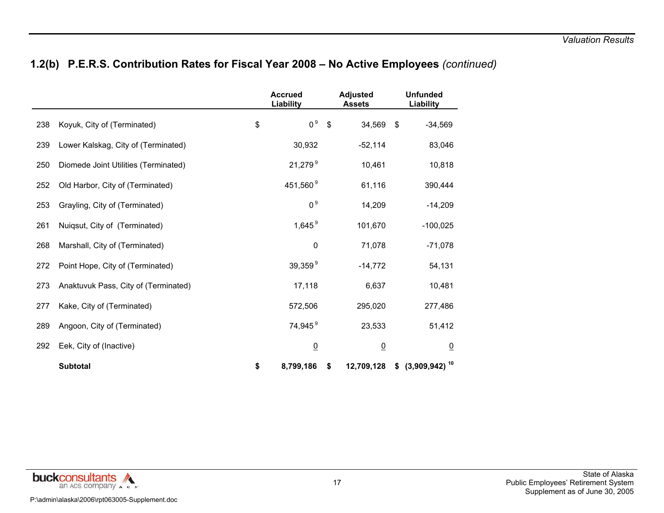# **1.2(b) P.E.R.S. Contribution Rates for Fiscal Year 2008 – No Active Employees** *(continued)*

|     |                                      | <b>Accrued</b><br>Liability |               | <b>Adjusted</b><br><b>Assets</b> | <b>Unfunded</b><br>Liability |
|-----|--------------------------------------|-----------------------------|---------------|----------------------------------|------------------------------|
| 238 | Koyuk, City of (Terminated)          | \$<br>0 <sup>9</sup>        | $\sqrt[6]{3}$ | 34,569                           | \$<br>$-34,569$              |
| 239 | Lower Kalskag, City of (Terminated)  | 30,932                      |               | $-52,114$                        | 83,046                       |
| 250 | Diomede Joint Utilities (Terminated) | $21,279^9$                  |               | 10,461                           | 10,818                       |
| 252 | Old Harbor, City of (Terminated)     | 451,560 <sup>9</sup>        |               | 61,116                           | 390,444                      |
| 253 | Grayling, City of (Terminated)       | 0 <sup>9</sup>              |               | 14,209                           | $-14,209$                    |
| 261 | Nuiqsut, City of (Terminated)        | 1,645 $9$                   |               | 101,670                          | $-100,025$                   |
| 268 | Marshall, City of (Terminated)       | 0                           |               | 71,078                           | $-71,078$                    |
| 272 | Point Hope, City of (Terminated)     | $39,359^9$                  |               | $-14,772$                        | 54,131                       |
| 273 | Anaktuvuk Pass, City of (Terminated) | 17,118                      |               | 6,637                            | 10,481                       |
| 277 | Kake, City of (Terminated)           | 572,506                     |               | 295,020                          | 277,486                      |
| 289 | Angoon, City of (Terminated)         | 74,945 <sup>9</sup>         |               | 23,533                           | 51,412                       |
| 292 | Eek, City of (Inactive)              | $\underline{0}$             |               | $\overline{0}$                   | $\overline{0}$               |
|     | <b>Subtotal</b>                      | \$<br>8,799,186             | \$            | 12,709,128                       | $$^{(3,909,942)^{10}}$       |

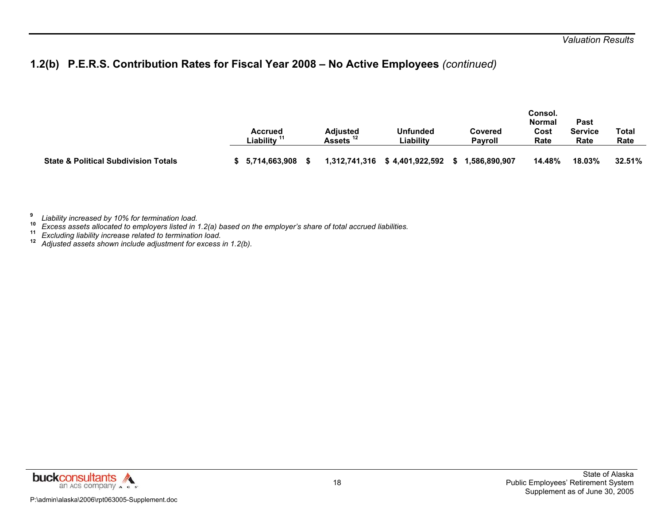# **1.2(b) P.E.R.S. Contribution Rates for Fiscal Year 2008 – No Active Employees** *(continued)*

|                                                 | <b>Accrued</b><br>Liability <sup>11</sup> | Adiusted<br>Assets " | Unfunded<br>Liabilitv | Covered<br>Pavroll | Consol.<br><b>Normal</b><br>Cost<br>Rate | Past<br>Service<br>Rate | Total<br>Rate |
|-------------------------------------------------|-------------------------------------------|----------------------|-----------------------|--------------------|------------------------------------------|-------------------------|---------------|
| <b>State &amp; Political Subdivision Totals</b> | 5.714.663.908                             | 1,312,741,316        | \$4,401,922,592       | ,586,890,907       | 14.48%                                   | 18.03%                  | 32.51%        |

**9***Liability increased by 10% for termination load.* **10**

*Excess assets allocated to employers listed in 1.2(a) based on the employer's share of total accrued liabilities.* **11**

*Excluding liability increase related to termination load.* **12** *Adjusted assets shown include adjustment for excess in 1.2(b).* 

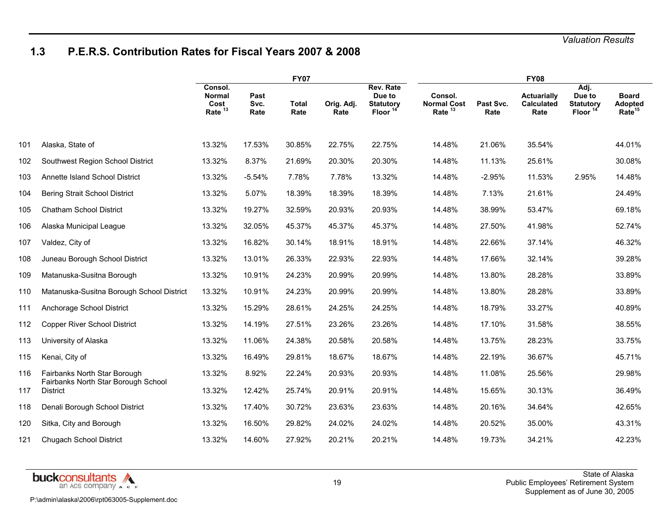### **1.3 P.E.R.S. Contribution Rates for Fiscal Years 2007 & 2008**

|     |                                                        |                                               |                      | <b>FY07</b>          |                    |                                                                |                                            |                   | <b>FY08</b>                                     |                                                           |                                               |  |
|-----|--------------------------------------------------------|-----------------------------------------------|----------------------|----------------------|--------------------|----------------------------------------------------------------|--------------------------------------------|-------------------|-------------------------------------------------|-----------------------------------------------------------|-----------------------------------------------|--|
|     |                                                        | Consol.<br><b>Normal</b><br>Cost<br>Rate $13$ | Past<br>Svc.<br>Rate | <b>Total</b><br>Rate | Orig. Adj.<br>Rate | Rev. Rate<br>Due to<br><b>Statutory</b><br>Floor <sup>14</sup> | Consol.<br><b>Normal Cost</b><br>Rate $13$ | Past Svc.<br>Rate | <b>Actuarially</b><br><b>Calculated</b><br>Rate | Adj.<br>Due to<br><b>Statutory</b><br>Floor <sup>14</sup> | <b>Board</b><br>Adopted<br>Rate <sup>15</sup> |  |
| 101 | Alaska, State of                                       | 13.32%                                        | 17.53%               | 30.85%               | 22.75%             | 22.75%                                                         | 14.48%                                     | 21.06%            | 35.54%                                          |                                                           | 44.01%                                        |  |
| 102 | Southwest Region School District                       | 13.32%                                        | 8.37%                | 21.69%               | 20.30%             | 20.30%                                                         | 14.48%                                     | 11.13%            | 25.61%                                          |                                                           | 30.08%                                        |  |
| 103 | Annette Island School District                         | 13.32%                                        | $-5.54%$             | 7.78%                | 7.78%              | 13.32%                                                         | 14.48%                                     | $-2.95%$          | 11.53%                                          | 2.95%                                                     | 14.48%                                        |  |
| 104 | Bering Strait School District                          | 13.32%                                        | 5.07%                | 18.39%               | 18.39%             | 18.39%                                                         | 14.48%                                     | 7.13%             | 21.61%                                          |                                                           | 24.49%                                        |  |
| 105 | <b>Chatham School District</b>                         | 13.32%                                        | 19.27%               | 32.59%               | 20.93%             | 20.93%                                                         | 14.48%                                     | 38.99%            | 53.47%                                          |                                                           | 69.18%                                        |  |
| 106 | Alaska Municipal League                                | 13.32%                                        | 32.05%               | 45.37%               | 45.37%             | 45.37%                                                         | 14.48%                                     | 27.50%            | 41.98%                                          |                                                           | 52.74%                                        |  |
| 107 | Valdez, City of                                        | 13.32%                                        | 16.82%               | 30.14%               | 18.91%             | 18.91%                                                         | 14.48%                                     | 22.66%            | 37.14%                                          |                                                           | 46.32%                                        |  |
| 108 | Juneau Borough School District                         | 13.32%                                        | 13.01%               | 26.33%               | 22.93%             | 22.93%                                                         | 14.48%                                     | 17.66%            | 32.14%                                          |                                                           | 39.28%                                        |  |
| 109 | Matanuska-Susitna Borough                              | 13.32%                                        | 10.91%               | 24.23%               | 20.99%             | 20.99%                                                         | 14.48%                                     | 13.80%            | 28.28%                                          |                                                           | 33.89%                                        |  |
| 110 | Matanuska-Susitna Borough School District              | 13.32%                                        | 10.91%               | 24.23%               | 20.99%             | 20.99%                                                         | 14.48%                                     | 13.80%            | 28.28%                                          |                                                           | 33.89%                                        |  |
| 111 | Anchorage School District                              | 13.32%                                        | 15.29%               | 28.61%               | 24.25%             | 24.25%                                                         | 14.48%                                     | 18.79%            | 33.27%                                          |                                                           | 40.89%                                        |  |
| 112 | Copper River School District                           | 13.32%                                        | 14.19%               | 27.51%               | 23.26%             | 23.26%                                                         | 14.48%                                     | 17.10%            | 31.58%                                          |                                                           | 38.55%                                        |  |
| 113 | University of Alaska                                   | 13.32%                                        | 11.06%               | 24.38%               | 20.58%             | 20.58%                                                         | 14.48%                                     | 13.75%            | 28.23%                                          |                                                           | 33.75%                                        |  |
| 115 | Kenai, City of                                         | 13.32%                                        | 16.49%               | 29.81%               | 18.67%             | 18.67%                                                         | 14.48%                                     | 22.19%            | 36.67%                                          |                                                           | 45.71%                                        |  |
| 116 | Fairbanks North Star Borough                           | 13.32%                                        | 8.92%                | 22.24%               | 20.93%             | 20.93%                                                         | 14.48%                                     | 11.08%            | 25.56%                                          |                                                           | 29.98%                                        |  |
| 117 | Fairbanks North Star Borough School<br><b>District</b> | 13.32%                                        | 12.42%               | 25.74%               | 20.91%             | 20.91%                                                         | 14.48%                                     | 15.65%            | 30.13%                                          |                                                           | 36.49%                                        |  |
| 118 | Denali Borough School District                         | 13.32%                                        | 17.40%               | 30.72%               | 23.63%             | 23.63%                                                         | 14.48%                                     | 20.16%            | 34.64%                                          |                                                           | 42.65%                                        |  |
| 120 | Sitka, City and Borough                                | 13.32%                                        | 16.50%               | 29.82%               | 24.02%             | 24.02%                                                         | 14.48%                                     | 20.52%            | 35.00%                                          |                                                           | 43.31%                                        |  |
| 121 | <b>Chugach School District</b>                         | 13.32%                                        | 14.60%               | 27.92%               | 20.21%             | 20.21%                                                         | 14.48%                                     | 19.73%            | 34.21%                                          |                                                           | 42.23%                                        |  |

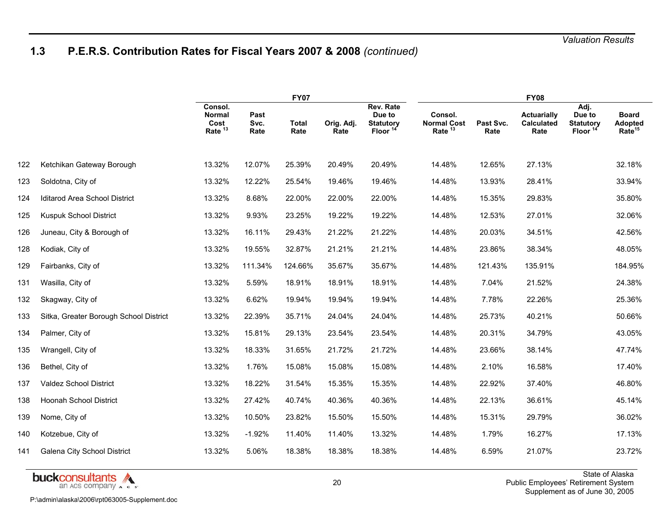# **1.3 P.E.R.S. Contribution Rates for Fiscal Years 2007 & 2008** *(continued)*

|     |                                        |                                                        |                      | <b>FY07</b>          |                    |                                                                |                                                     |                   | <b>FY08</b>                                     |                                                           |                                                      |
|-----|----------------------------------------|--------------------------------------------------------|----------------------|----------------------|--------------------|----------------------------------------------------------------|-----------------------------------------------------|-------------------|-------------------------------------------------|-----------------------------------------------------------|------------------------------------------------------|
|     |                                        | Consol.<br><b>Normal</b><br>Cost<br>Rate <sup>13</sup> | Past<br>Svc.<br>Rate | <b>Total</b><br>Rate | Orig. Adj.<br>Rate | Rev. Rate<br>Due to<br><b>Statutory</b><br>Floor <sup>14</sup> | Consol.<br><b>Normal Cost</b><br>Rate <sup>13</sup> | Past Svc.<br>Rate | <b>Actuarially</b><br><b>Calculated</b><br>Rate | Adj.<br>Due to<br><b>Statutory</b><br>Floor <sup>14</sup> | <b>Board</b><br><b>Adopted</b><br>Rate <sup>15</sup> |
| 122 | Ketchikan Gateway Borough              | 13.32%                                                 | 12.07%               | 25.39%               | 20.49%             | 20.49%                                                         | 14.48%                                              | 12.65%            | 27.13%                                          |                                                           | 32.18%                                               |
| 123 | Soldotna, City of                      | 13.32%                                                 | 12.22%               | 25.54%               | 19.46%             | 19.46%                                                         | 14.48%                                              | 13.93%            | 28.41%                                          |                                                           | 33.94%                                               |
| 124 | Iditarod Area School District          | 13.32%                                                 | 8.68%                | 22.00%               | 22.00%             | 22.00%                                                         | 14.48%                                              | 15.35%            | 29.83%                                          |                                                           | 35.80%                                               |
| 125 | Kuspuk School District                 | 13.32%                                                 | 9.93%                | 23.25%               | 19.22%             | 19.22%                                                         | 14.48%                                              | 12.53%            | 27.01%                                          |                                                           | 32.06%                                               |
| 126 | Juneau, City & Borough of              | 13.32%                                                 | 16.11%               | 29.43%               | 21.22%             | 21.22%                                                         | 14.48%                                              | 20.03%            | 34.51%                                          |                                                           | 42.56%                                               |
| 128 | Kodiak, City of                        | 13.32%                                                 | 19.55%               | 32.87%               | 21.21%             | 21.21%                                                         | 14.48%                                              | 23.86%            | 38.34%                                          |                                                           | 48.05%                                               |
| 129 | Fairbanks, City of                     | 13.32%                                                 | 111.34%              | 124.66%              | 35.67%             | 35.67%                                                         | 14.48%                                              | 121.43%           | 135.91%                                         |                                                           | 184.95%                                              |
| 131 | Wasilla, City of                       | 13.32%                                                 | 5.59%                | 18.91%               | 18.91%             | 18.91%                                                         | 14.48%                                              | 7.04%             | 21.52%                                          |                                                           | 24.38%                                               |
| 132 | Skagway, City of                       | 13.32%                                                 | 6.62%                | 19.94%               | 19.94%             | 19.94%                                                         | 14.48%                                              | 7.78%             | 22.26%                                          |                                                           | 25.36%                                               |
| 133 | Sitka, Greater Borough School District | 13.32%                                                 | 22.39%               | 35.71%               | 24.04%             | 24.04%                                                         | 14.48%                                              | 25.73%            | 40.21%                                          |                                                           | 50.66%                                               |
| 134 | Palmer, City of                        | 13.32%                                                 | 15.81%               | 29.13%               | 23.54%             | 23.54%                                                         | 14.48%                                              | 20.31%            | 34.79%                                          |                                                           | 43.05%                                               |
| 135 | Wrangell, City of                      | 13.32%                                                 | 18.33%               | 31.65%               | 21.72%             | 21.72%                                                         | 14.48%                                              | 23.66%            | 38.14%                                          |                                                           | 47.74%                                               |
| 136 | Bethel, City of                        | 13.32%                                                 | 1.76%                | 15.08%               | 15.08%             | 15.08%                                                         | 14.48%                                              | 2.10%             | 16.58%                                          |                                                           | 17.40%                                               |
| 137 | Valdez School District                 | 13.32%                                                 | 18.22%               | 31.54%               | 15.35%             | 15.35%                                                         | 14.48%                                              | 22.92%            | 37.40%                                          |                                                           | 46.80%                                               |
| 138 | Hoonah School District                 | 13.32%                                                 | 27.42%               | 40.74%               | 40.36%             | 40.36%                                                         | 14.48%                                              | 22.13%            | 36.61%                                          |                                                           | 45.14%                                               |
| 139 | Nome, City of                          | 13.32%                                                 | 10.50%               | 23.82%               | 15.50%             | 15.50%                                                         | 14.48%                                              | 15.31%            | 29.79%                                          |                                                           | 36.02%                                               |
| 140 | Kotzebue, City of                      | 13.32%                                                 | $-1.92%$             | 11.40%               | 11.40%             | 13.32%                                                         | 14.48%                                              | 1.79%             | 16.27%                                          |                                                           | 17.13%                                               |
| 141 | Galena City School District            | 13.32%                                                 | 5.06%                | 18.38%               | 18.38%             | 18.38%                                                         | 14.48%                                              | 6.59%             | 21.07%                                          |                                                           | 23.72%                                               |

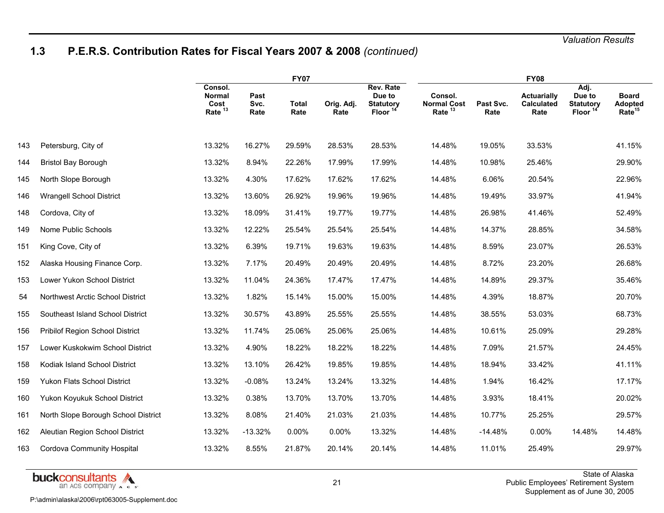# **1.3 P.E.R.S. Contribution Rates for Fiscal Years 2007 & 2008** *(continued)*

|     |                                     |                                                        |                      | <b>FY07</b>          |                    |                                                  |                                                     |                   | <b>FY08</b>                                     |                                                           |                                                      |
|-----|-------------------------------------|--------------------------------------------------------|----------------------|----------------------|--------------------|--------------------------------------------------|-----------------------------------------------------|-------------------|-------------------------------------------------|-----------------------------------------------------------|------------------------------------------------------|
|     |                                     | Consol.<br><b>Normal</b><br>Cost<br>Rate <sup>13</sup> | Past<br>Svc.<br>Rate | <b>Total</b><br>Rate | Orig. Adj.<br>Rate | Rev. Rate<br>Due to<br><b>Statutory</b><br>Floor | Consol.<br><b>Normal Cost</b><br>Rate <sup>13</sup> | Past Svc.<br>Rate | <b>Actuarially</b><br><b>Calculated</b><br>Rate | Adj.<br>Due to<br><b>Statutory</b><br>Floor <sup>14</sup> | <b>Board</b><br><b>Adopted</b><br>Rate <sup>15</sup> |
| 143 | Petersburg, City of                 | 13.32%                                                 | 16.27%               | 29.59%               | 28.53%             | 28.53%                                           | 14.48%                                              | 19.05%            | 33.53%                                          |                                                           | 41.15%                                               |
| 144 | <b>Bristol Bay Borough</b>          | 13.32%                                                 | 8.94%                | 22.26%               | 17.99%             | 17.99%                                           | 14.48%                                              | 10.98%            | 25.46%                                          |                                                           | 29.90%                                               |
| 145 | North Slope Borough                 | 13.32%                                                 | 4.30%                | 17.62%               | 17.62%             | 17.62%                                           | 14.48%                                              | 6.06%             | 20.54%                                          |                                                           | 22.96%                                               |
| 146 | <b>Wrangell School District</b>     | 13.32%                                                 | 13.60%               | 26.92%               | 19.96%             | 19.96%                                           | 14.48%                                              | 19.49%            | 33.97%                                          |                                                           | 41.94%                                               |
| 148 | Cordova, City of                    | 13.32%                                                 | 18.09%               | 31.41%               | 19.77%             | 19.77%                                           | 14.48%                                              | 26.98%            | 41.46%                                          |                                                           | 52.49%                                               |
| 149 | Nome Public Schools                 | 13.32%                                                 | 12.22%               | 25.54%               | 25.54%             | 25.54%                                           | 14.48%                                              | 14.37%            | 28.85%                                          |                                                           | 34.58%                                               |
| 151 | King Cove, City of                  | 13.32%                                                 | 6.39%                | 19.71%               | 19.63%             | 19.63%                                           | 14.48%                                              | 8.59%             | 23.07%                                          |                                                           | 26.53%                                               |
| 152 | Alaska Housing Finance Corp.        | 13.32%                                                 | 7.17%                | 20.49%               | 20.49%             | 20.49%                                           | 14.48%                                              | 8.72%             | 23.20%                                          |                                                           | 26.68%                                               |
| 153 | Lower Yukon School District         | 13.32%                                                 | 11.04%               | 24.36%               | 17.47%             | 17.47%                                           | 14.48%                                              | 14.89%            | 29.37%                                          |                                                           | 35.46%                                               |
| 54  | Northwest Arctic School District    | 13.32%                                                 | 1.82%                | 15.14%               | 15.00%             | 15.00%                                           | 14.48%                                              | 4.39%             | 18.87%                                          |                                                           | 20.70%                                               |
| 155 | Southeast Island School District    | 13.32%                                                 | 30.57%               | 43.89%               | 25.55%             | 25.55%                                           | 14.48%                                              | 38.55%            | 53.03%                                          |                                                           | 68.73%                                               |
| 156 | Pribilof Region School District     | 13.32%                                                 | 11.74%               | 25.06%               | 25.06%             | 25.06%                                           | 14.48%                                              | 10.61%            | 25.09%                                          |                                                           | 29.28%                                               |
| 157 | Lower Kuskokwim School District     | 13.32%                                                 | 4.90%                | 18.22%               | 18.22%             | 18.22%                                           | 14.48%                                              | 7.09%             | 21.57%                                          |                                                           | 24.45%                                               |
| 158 | Kodiak Island School District       | 13.32%                                                 | 13.10%               | 26.42%               | 19.85%             | 19.85%                                           | 14.48%                                              | 18.94%            | 33.42%                                          |                                                           | 41.11%                                               |
| 159 | Yukon Flats School District         | 13.32%                                                 | $-0.08%$             | 13.24%               | 13.24%             | 13.32%                                           | 14.48%                                              | 1.94%             | 16.42%                                          |                                                           | 17.17%                                               |
| 160 | Yukon Koyukuk School District       | 13.32%                                                 | 0.38%                | 13.70%               | 13.70%             | 13.70%                                           | 14.48%                                              | 3.93%             | 18.41%                                          |                                                           | 20.02%                                               |
| 161 | North Slope Borough School District | 13.32%                                                 | 8.08%                | 21.40%               | 21.03%             | 21.03%                                           | 14.48%                                              | 10.77%            | 25.25%                                          |                                                           | 29.57%                                               |
| 162 | Aleutian Region School District     | 13.32%                                                 | $-13.32%$            | $0.00\%$             | 0.00%              | 13.32%                                           | 14.48%                                              | $-14.48%$         | 0.00%                                           | 14.48%                                                    | 14.48%                                               |
| 163 | Cordova Community Hospital          | 13.32%                                                 | 8.55%                | 21.87%               | 20.14%             | 20.14%                                           | 14.48%                                              | 11.01%            | 25.49%                                          |                                                           | 29.97%                                               |

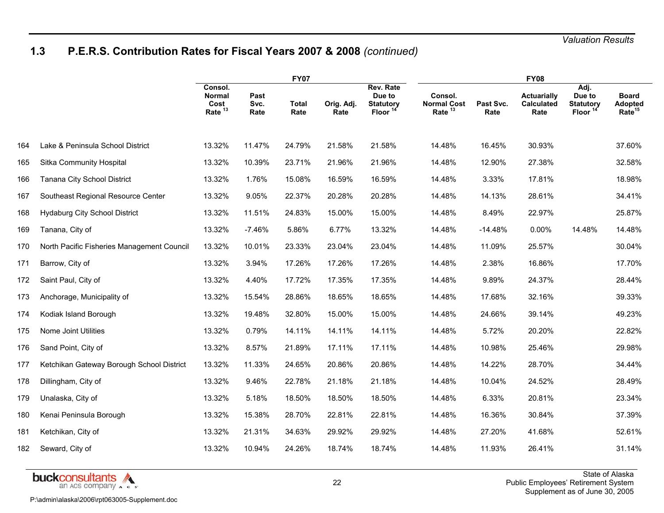# **1.3 P.E.R.S. Contribution Rates for Fiscal Years 2007 & 2008** *(continued)*

|     |                                            |                                                        |                      | <b>FY07</b>          |                    |                                                               |                                                     |                   | <b>FY08</b>                                     |                                             |                                               |
|-----|--------------------------------------------|--------------------------------------------------------|----------------------|----------------------|--------------------|---------------------------------------------------------------|-----------------------------------------------------|-------------------|-------------------------------------------------|---------------------------------------------|-----------------------------------------------|
|     |                                            | Consol.<br><b>Normal</b><br>Cost<br>Rate <sup>13</sup> | Past<br>Svc.<br>Rate | <b>Total</b><br>Rate | Orig. Adj.<br>Rate | Rev. Rate<br>Due to<br><b>Statutory</b><br>Floor <sup>1</sup> | Consol.<br><b>Normal Cost</b><br>Rate <sup>13</sup> | Past Svc.<br>Rate | <b>Actuarially</b><br><b>Calculated</b><br>Rate | Adj.<br>Due to<br><b>Statutory</b><br>Floor | <b>Board</b><br>Adopted<br>Rate <sup>15</sup> |
| 164 | Lake & Peninsula School District           | 13.32%                                                 | 11.47%               | 24.79%               | 21.58%             | 21.58%                                                        | 14.48%                                              | 16.45%            | 30.93%                                          |                                             | 37.60%                                        |
| 165 | Sitka Community Hospital                   | 13.32%                                                 | 10.39%               | 23.71%               | 21.96%             | 21.96%                                                        | 14.48%                                              | 12.90%            | 27.38%                                          |                                             | 32.58%                                        |
| 166 | Tanana City School District                | 13.32%                                                 | 1.76%                | 15.08%               | 16.59%             | 16.59%                                                        | 14.48%                                              | 3.33%             | 17.81%                                          |                                             | 18.98%                                        |
| 167 | Southeast Regional Resource Center         | 13.32%                                                 | 9.05%                | 22.37%               | 20.28%             | 20.28%                                                        | 14.48%                                              | 14.13%            | 28.61%                                          |                                             | 34.41%                                        |
| 168 | <b>Hydaburg City School District</b>       | 13.32%                                                 | 11.51%               | 24.83%               | 15.00%             | 15.00%                                                        | 14.48%                                              | 8.49%             | 22.97%                                          |                                             | 25.87%                                        |
| 169 | Tanana, City of                            | 13.32%                                                 | $-7.46%$             | 5.86%                | 6.77%              | 13.32%                                                        | 14.48%                                              | $-14.48%$         | 0.00%                                           | 14.48%                                      | 14.48%                                        |
| 170 | North Pacific Fisheries Management Council | 13.32%                                                 | 10.01%               | 23.33%               | 23.04%             | 23.04%                                                        | 14.48%                                              | 11.09%            | 25.57%                                          |                                             | 30.04%                                        |
| 171 | Barrow, City of                            | 13.32%                                                 | 3.94%                | 17.26%               | 17.26%             | 17.26%                                                        | 14.48%                                              | 2.38%             | 16.86%                                          |                                             | 17.70%                                        |
| 172 | Saint Paul, City of                        | 13.32%                                                 | 4.40%                | 17.72%               | 17.35%             | 17.35%                                                        | 14.48%                                              | 9.89%             | 24.37%                                          |                                             | 28.44%                                        |
| 173 | Anchorage, Municipality of                 | 13.32%                                                 | 15.54%               | 28.86%               | 18.65%             | 18.65%                                                        | 14.48%                                              | 17.68%            | 32.16%                                          |                                             | 39.33%                                        |
| 174 | Kodiak Island Borough                      | 13.32%                                                 | 19.48%               | 32.80%               | 15.00%             | 15.00%                                                        | 14.48%                                              | 24.66%            | 39.14%                                          |                                             | 49.23%                                        |
| 175 | Nome Joint Utilities                       | 13.32%                                                 | 0.79%                | 14.11%               | 14.11%             | 14.11%                                                        | 14.48%                                              | 5.72%             | 20.20%                                          |                                             | 22.82%                                        |
| 176 | Sand Point, City of                        | 13.32%                                                 | 8.57%                | 21.89%               | 17.11%             | 17.11%                                                        | 14.48%                                              | 10.98%            | 25.46%                                          |                                             | 29.98%                                        |
| 177 | Ketchikan Gateway Borough School District  | 13.32%                                                 | 11.33%               | 24.65%               | 20.86%             | 20.86%                                                        | 14.48%                                              | 14.22%            | 28.70%                                          |                                             | 34.44%                                        |
| 178 | Dillingham, City of                        | 13.32%                                                 | 9.46%                | 22.78%               | 21.18%             | 21.18%                                                        | 14.48%                                              | 10.04%            | 24.52%                                          |                                             | 28.49%                                        |
| 179 | Unalaska, City of                          | 13.32%                                                 | 5.18%                | 18.50%               | 18.50%             | 18.50%                                                        | 14.48%                                              | 6.33%             | 20.81%                                          |                                             | 23.34%                                        |
| 180 | Kenai Peninsula Borough                    | 13.32%                                                 | 15.38%               | 28.70%               | 22.81%             | 22.81%                                                        | 14.48%                                              | 16.36%            | 30.84%                                          |                                             | 37.39%                                        |
| 181 | Ketchikan, City of                         | 13.32%                                                 | 21.31%               | 34.63%               | 29.92%             | 29.92%                                                        | 14.48%                                              | 27.20%            | 41.68%                                          |                                             | 52.61%                                        |
| 182 | Seward, City of                            | 13.32%                                                 | 10.94%               | 24.26%               | 18.74%             | 18.74%                                                        | 14.48%                                              | 11.93%            | 26.41%                                          |                                             | 31.14%                                        |

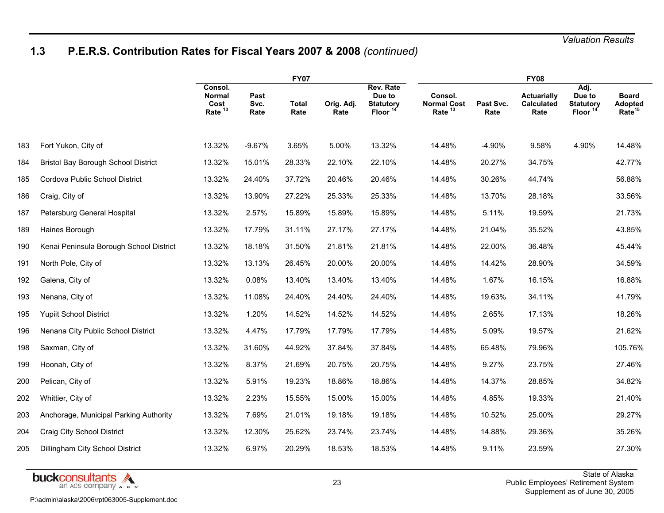# **1.3 P.E.R.S. Contribution Rates for Fiscal Years 2007 & 2008** *(continued)*

|     |                                            | <b>FY07</b>                                            |                      |                      |                    |                                                                | <b>FY08</b>                                         |                   |                                                 |                                                    |                                                      |  |
|-----|--------------------------------------------|--------------------------------------------------------|----------------------|----------------------|--------------------|----------------------------------------------------------------|-----------------------------------------------------|-------------------|-------------------------------------------------|----------------------------------------------------|------------------------------------------------------|--|
|     |                                            | Consol.<br><b>Normal</b><br>Cost<br>Rate <sup>13</sup> | Past<br>Svc.<br>Rate | <b>Total</b><br>Rate | Orig. Adj.<br>Rate | Rev. Rate<br>Due to<br><b>Statutory</b><br>Floor <sup>14</sup> | Consol.<br><b>Normal Cost</b><br>Rate <sup>13</sup> | Past Svc.<br>Rate | <b>Actuarially</b><br><b>Calculated</b><br>Rate | Adj.<br>Due to<br><b>Statutory</b><br><b>Floor</b> | <b>Board</b><br><b>Adopted</b><br>Rate <sup>15</sup> |  |
| 183 | Fort Yukon, City of                        | 13.32%                                                 | $-9.67%$             | 3.65%                | 5.00%              | 13.32%                                                         | 14.48%                                              | $-4.90%$          | 9.58%                                           | 4.90%                                              | 14.48%                                               |  |
| 184 | <b>Bristol Bay Borough School District</b> | 13.32%                                                 | 15.01%               | 28.33%               | 22.10%             | 22.10%                                                         | 14.48%                                              | 20.27%            | 34.75%                                          |                                                    | 42.77%                                               |  |
| 185 | Cordova Public School District             | 13.32%                                                 | 24.40%               | 37.72%               | 20.46%             | 20.46%                                                         | 14.48%                                              | 30.26%            | 44.74%                                          |                                                    | 56.88%                                               |  |
| 186 | Craig, City of                             | 13.32%                                                 | 13.90%               | 27.22%               | 25.33%             | 25.33%                                                         | 14.48%                                              | 13.70%            | 28.18%                                          |                                                    | 33.56%                                               |  |
| 187 | Petersburg General Hospital                | 13.32%                                                 | 2.57%                | 15.89%               | 15.89%             | 15.89%                                                         | 14.48%                                              | 5.11%             | 19.59%                                          |                                                    | 21.73%                                               |  |
| 189 | Haines Borough                             | 13.32%                                                 | 17.79%               | 31.11%               | 27.17%             | 27.17%                                                         | 14.48%                                              | 21.04%            | 35.52%                                          |                                                    | 43.85%                                               |  |
| 190 | Kenai Peninsula Borough School District    | 13.32%                                                 | 18.18%               | 31.50%               | 21.81%             | 21.81%                                                         | 14.48%                                              | 22.00%            | 36.48%                                          |                                                    | 45.44%                                               |  |
| 191 | North Pole, City of                        | 13.32%                                                 | 13.13%               | 26.45%               | 20.00%             | 20.00%                                                         | 14.48%                                              | 14.42%            | 28.90%                                          |                                                    | 34.59%                                               |  |
| 192 | Galena, City of                            | 13.32%                                                 | 0.08%                | 13.40%               | 13.40%             | 13.40%                                                         | 14.48%                                              | 1.67%             | 16.15%                                          |                                                    | 16.88%                                               |  |
| 193 | Nenana, City of                            | 13.32%                                                 | 11.08%               | 24.40%               | 24.40%             | 24.40%                                                         | 14.48%                                              | 19.63%            | 34.11%                                          |                                                    | 41.79%                                               |  |
| 195 | <b>Yupiit School District</b>              | 13.32%                                                 | 1.20%                | 14.52%               | 14.52%             | 14.52%                                                         | 14.48%                                              | 2.65%             | 17.13%                                          |                                                    | 18.26%                                               |  |
| 196 | Nenana City Public School District         | 13.32%                                                 | 4.47%                | 17.79%               | 17.79%             | 17.79%                                                         | 14.48%                                              | 5.09%             | 19.57%                                          |                                                    | 21.62%                                               |  |
| 198 | Saxman, City of                            | 13.32%                                                 | 31.60%               | 44.92%               | 37.84%             | 37.84%                                                         | 14.48%                                              | 65.48%            | 79.96%                                          |                                                    | 105.76%                                              |  |
| 199 | Hoonah, City of                            | 13.32%                                                 | 8.37%                | 21.69%               | 20.75%             | 20.75%                                                         | 14.48%                                              | 9.27%             | 23.75%                                          |                                                    | 27.46%                                               |  |
| 200 | Pelican, City of                           | 13.32%                                                 | 5.91%                | 19.23%               | 18.86%             | 18.86%                                                         | 14.48%                                              | 14.37%            | 28.85%                                          |                                                    | 34.82%                                               |  |
| 202 | Whittier, City of                          | 13.32%                                                 | 2.23%                | 15.55%               | 15.00%             | 15.00%                                                         | 14.48%                                              | 4.85%             | 19.33%                                          |                                                    | 21.40%                                               |  |
| 203 | Anchorage, Municipal Parking Authority     | 13.32%                                                 | 7.69%                | 21.01%               | 19.18%             | 19.18%                                                         | 14.48%                                              | 10.52%            | 25.00%                                          |                                                    | 29.27%                                               |  |
| 204 | Craig City School District                 | 13.32%                                                 | 12.30%               | 25.62%               | 23.74%             | 23.74%                                                         | 14.48%                                              | 14.88%            | 29.36%                                          |                                                    | 35.26%                                               |  |
| 205 | Dillingham City School District            | 13.32%                                                 | 6.97%                | 20.29%               | 18.53%             | 18.53%                                                         | 14.48%                                              | 9.11%             | 23.59%                                          |                                                    | 27.30%                                               |  |

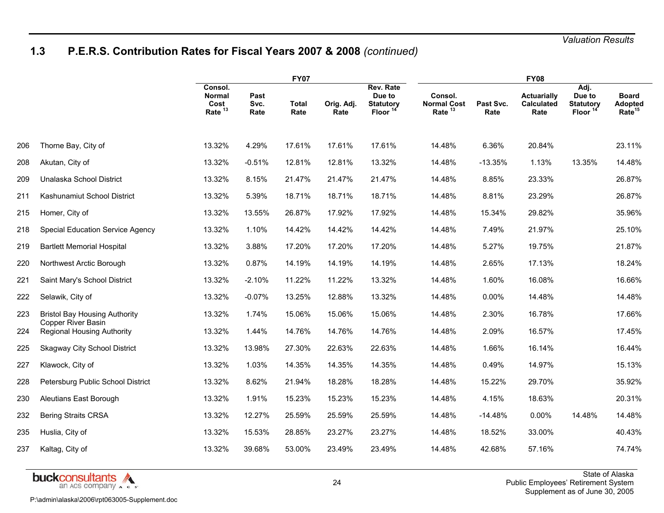# **1.3 P.E.R.S. Contribution Rates for Fiscal Years 2007 & 2008** *(continued)*

|     |                                                                | <b>FY07</b>                                            |                      |                      |                    |                                                       | <b>FY08</b>                                |                   |                                                 |                                                  |                                               |  |
|-----|----------------------------------------------------------------|--------------------------------------------------------|----------------------|----------------------|--------------------|-------------------------------------------------------|--------------------------------------------|-------------------|-------------------------------------------------|--------------------------------------------------|-----------------------------------------------|--|
|     |                                                                | Consol.<br><b>Normal</b><br>Cost<br>Rate <sup>13</sup> | Past<br>Svc.<br>Rate | <b>Total</b><br>Rate | Orig. Adj.<br>Rate | Rev. Rate<br>Due to<br><b>Statutory</b><br>Floor $14$ | Consol.<br><b>Normal Cost</b><br>Rate $13$ | Past Svc.<br>Rate | <b>Actuarially</b><br><b>Calculated</b><br>Rate | Adj.<br>Due to<br><b>Statutory</b><br>Floor $14$ | <b>Board</b><br>Adopted<br>Rate <sup>15</sup> |  |
| 206 | Thorne Bay, City of                                            | 13.32%                                                 | 4.29%                | 17.61%               | 17.61%             | 17.61%                                                | 14.48%                                     | 6.36%             | 20.84%                                          |                                                  | 23.11%                                        |  |
| 208 | Akutan, City of                                                | 13.32%                                                 | $-0.51%$             | 12.81%               | 12.81%             | 13.32%                                                | 14.48%                                     | $-13.35%$         | 1.13%                                           | 13.35%                                           | 14.48%                                        |  |
| 209 | Unalaska School District                                       | 13.32%                                                 | 8.15%                | 21.47%               | 21.47%             | 21.47%                                                | 14.48%                                     | 8.85%             | 23.33%                                          |                                                  | 26.87%                                        |  |
| 211 | Kashunamiut School District                                    | 13.32%                                                 | 5.39%                | 18.71%               | 18.71%             | 18.71%                                                | 14.48%                                     | 8.81%             | 23.29%                                          |                                                  | 26.87%                                        |  |
| 215 | Homer, City of                                                 | 13.32%                                                 | 13.55%               | 26.87%               | 17.92%             | 17.92%                                                | 14.48%                                     | 15.34%            | 29.82%                                          |                                                  | 35.96%                                        |  |
| 218 | <b>Special Education Service Agency</b>                        | 13.32%                                                 | 1.10%                | 14.42%               | 14.42%             | 14.42%                                                | 14.48%                                     | 7.49%             | 21.97%                                          |                                                  | 25.10%                                        |  |
| 219 | <b>Bartlett Memorial Hospital</b>                              | 13.32%                                                 | 3.88%                | 17.20%               | 17.20%             | 17.20%                                                | 14.48%                                     | 5.27%             | 19.75%                                          |                                                  | 21.87%                                        |  |
| 220 | Northwest Arctic Borough                                       | 13.32%                                                 | 0.87%                | 14.19%               | 14.19%             | 14.19%                                                | 14.48%                                     | 2.65%             | 17.13%                                          |                                                  | 18.24%                                        |  |
| 221 | Saint Mary's School District                                   | 13.32%                                                 | $-2.10%$             | 11.22%               | 11.22%             | 13.32%                                                | 14.48%                                     | 1.60%             | 16.08%                                          |                                                  | 16.66%                                        |  |
| 222 | Selawik, City of                                               | 13.32%                                                 | $-0.07%$             | 13.25%               | 12.88%             | 13.32%                                                | 14.48%                                     | 0.00%             | 14.48%                                          |                                                  | 14.48%                                        |  |
| 223 | <b>Bristol Bay Housing Authority</b>                           | 13.32%                                                 | 1.74%                | 15.06%               | 15.06%             | 15.06%                                                | 14.48%                                     | 2.30%             | 16.78%                                          |                                                  | 17.66%                                        |  |
| 224 | <b>Copper River Basin</b><br><b>Regional Housing Authority</b> | 13.32%                                                 | 1.44%                | 14.76%               | 14.76%             | 14.76%                                                | 14.48%                                     | 2.09%             | 16.57%                                          |                                                  | 17.45%                                        |  |
| 225 | <b>Skagway City School District</b>                            | 13.32%                                                 | 13.98%               | 27.30%               | 22.63%             | 22.63%                                                | 14.48%                                     | 1.66%             | 16.14%                                          |                                                  | 16.44%                                        |  |
| 227 | Klawock, City of                                               | 13.32%                                                 | 1.03%                | 14.35%               | 14.35%             | 14.35%                                                | 14.48%                                     | 0.49%             | 14.97%                                          |                                                  | 15.13%                                        |  |
| 228 | Petersburg Public School District                              | 13.32%                                                 | 8.62%                | 21.94%               | 18.28%             | 18.28%                                                | 14.48%                                     | 15.22%            | 29.70%                                          |                                                  | 35.92%                                        |  |
| 230 | Aleutians East Borough                                         | 13.32%                                                 | 1.91%                | 15.23%               | 15.23%             | 15.23%                                                | 14.48%                                     | 4.15%             | 18.63%                                          |                                                  | 20.31%                                        |  |
| 232 | <b>Bering Straits CRSA</b>                                     | 13.32%                                                 | 12.27%               | 25.59%               | 25.59%             | 25.59%                                                | 14.48%                                     | $-14.48%$         | $0.00\%$                                        | 14.48%                                           | 14.48%                                        |  |
| 235 | Huslia, City of                                                | 13.32%                                                 | 15.53%               | 28.85%               | 23.27%             | 23.27%                                                | 14.48%                                     | 18.52%            | 33.00%                                          |                                                  | 40.43%                                        |  |
| 237 | Kaltag, City of                                                | 13.32%                                                 | 39.68%               | 53.00%               | 23.49%             | 23.49%                                                | 14.48%                                     | 42.68%            | 57.16%                                          |                                                  | 74.74%                                        |  |

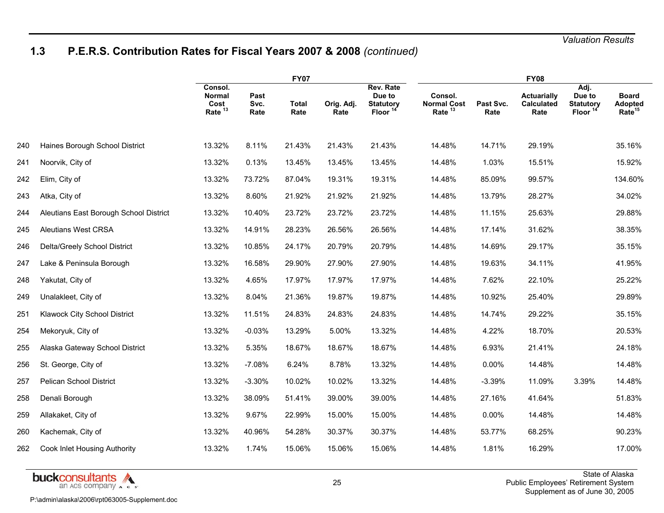# **1.3 P.E.R.S. Contribution Rates for Fiscal Years 2007 & 2008** *(continued)*

|     |                                        | <b>FY07</b>                                            |                      |                      |                    |                                                         | <b>FY08</b>                                         |                   |                                                 |                                                           |                                               |  |
|-----|----------------------------------------|--------------------------------------------------------|----------------------|----------------------|--------------------|---------------------------------------------------------|-----------------------------------------------------|-------------------|-------------------------------------------------|-----------------------------------------------------------|-----------------------------------------------|--|
|     |                                        | Consol.<br><b>Normal</b><br>Cost<br>Rate <sup>13</sup> | Past<br>Svc.<br>Rate | <b>Total</b><br>Rate | Orig. Adj.<br>Rate | Rev. Rate<br>Due to<br><b>Statutory</b><br><b>Floor</b> | Consol.<br><b>Normal Cost</b><br>Rate <sup>13</sup> | Past Svc.<br>Rate | <b>Actuarially</b><br><b>Calculated</b><br>Rate | Adj.<br>Due to<br><b>Statutory</b><br>Floor <sup>14</sup> | <b>Board</b><br>Adopted<br>Rate <sup>15</sup> |  |
| 240 | Haines Borough School District         | 13.32%                                                 | 8.11%                | 21.43%               | 21.43%             | 21.43%                                                  | 14.48%                                              | 14.71%            | 29.19%                                          |                                                           | 35.16%                                        |  |
| 241 | Noorvik, City of                       | 13.32%                                                 | 0.13%                | 13.45%               | 13.45%             | 13.45%                                                  | 14.48%                                              | 1.03%             | 15.51%                                          |                                                           | 15.92%                                        |  |
| 242 | Elim, City of                          | 13.32%                                                 | 73.72%               | 87.04%               | 19.31%             | 19.31%                                                  | 14.48%                                              | 85.09%            | 99.57%                                          |                                                           | 134.60%                                       |  |
| 243 | Atka, City of                          | 13.32%                                                 | 8.60%                | 21.92%               | 21.92%             | 21.92%                                                  | 14.48%                                              | 13.79%            | 28.27%                                          |                                                           | 34.02%                                        |  |
| 244 | Aleutians East Borough School District | 13.32%                                                 | 10.40%               | 23.72%               | 23.72%             | 23.72%                                                  | 14.48%                                              | 11.15%            | 25.63%                                          |                                                           | 29.88%                                        |  |
| 245 | <b>Aleutians West CRSA</b>             | 13.32%                                                 | 14.91%               | 28.23%               | 26.56%             | 26.56%                                                  | 14.48%                                              | 17.14%            | 31.62%                                          |                                                           | 38.35%                                        |  |
| 246 | Delta/Greely School District           | 13.32%                                                 | 10.85%               | 24.17%               | 20.79%             | 20.79%                                                  | 14.48%                                              | 14.69%            | 29.17%                                          |                                                           | 35.15%                                        |  |
| 247 | Lake & Peninsula Borough               | 13.32%                                                 | 16.58%               | 29.90%               | 27.90%             | 27.90%                                                  | 14.48%                                              | 19.63%            | 34.11%                                          |                                                           | 41.95%                                        |  |
| 248 | Yakutat, City of                       | 13.32%                                                 | 4.65%                | 17.97%               | 17.97%             | 17.97%                                                  | 14.48%                                              | 7.62%             | 22.10%                                          |                                                           | 25.22%                                        |  |
| 249 | Unalakleet, City of                    | 13.32%                                                 | 8.04%                | 21.36%               | 19.87%             | 19.87%                                                  | 14.48%                                              | 10.92%            | 25.40%                                          |                                                           | 29.89%                                        |  |
| 251 | <b>Klawock City School District</b>    | 13.32%                                                 | 11.51%               | 24.83%               | 24.83%             | 24.83%                                                  | 14.48%                                              | 14.74%            | 29.22%                                          |                                                           | 35.15%                                        |  |
| 254 | Mekoryuk, City of                      | 13.32%                                                 | $-0.03%$             | 13.29%               | 5.00%              | 13.32%                                                  | 14.48%                                              | 4.22%             | 18.70%                                          |                                                           | 20.53%                                        |  |
| 255 | Alaska Gateway School District         | 13.32%                                                 | 5.35%                | 18.67%               | 18.67%             | 18.67%                                                  | 14.48%                                              | 6.93%             | 21.41%                                          |                                                           | 24.18%                                        |  |
| 256 | St. George, City of                    | 13.32%                                                 | $-7.08%$             | 6.24%                | 8.78%              | 13.32%                                                  | 14.48%                                              | $0.00\%$          | 14.48%                                          |                                                           | 14.48%                                        |  |
| 257 | Pelican School District                | 13.32%                                                 | $-3.30%$             | 10.02%               | 10.02%             | 13.32%                                                  | 14.48%                                              | $-3.39%$          | 11.09%                                          | 3.39%                                                     | 14.48%                                        |  |
| 258 | Denali Borough                         | 13.32%                                                 | 38.09%               | 51.41%               | 39.00%             | 39.00%                                                  | 14.48%                                              | 27.16%            | 41.64%                                          |                                                           | 51.83%                                        |  |
| 259 | Allakaket, City of                     | 13.32%                                                 | 9.67%                | 22.99%               | 15.00%             | 15.00%                                                  | 14.48%                                              | 0.00%             | 14.48%                                          |                                                           | 14.48%                                        |  |
| 260 | Kachemak, City of                      | 13.32%                                                 | 40.96%               | 54.28%               | 30.37%             | 30.37%                                                  | 14.48%                                              | 53.77%            | 68.25%                                          |                                                           | 90.23%                                        |  |
| 262 | Cook Inlet Housing Authority           | 13.32%                                                 | 1.74%                | 15.06%               | 15.06%             | 15.06%                                                  | 14.48%                                              | 1.81%             | 16.29%                                          |                                                           | 17.00%                                        |  |

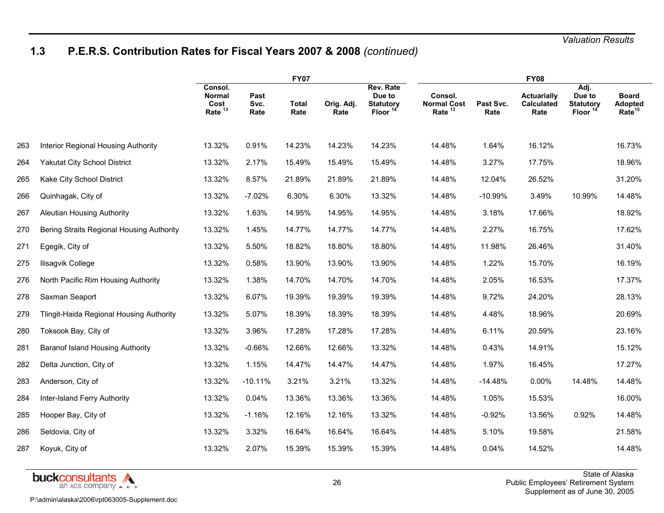# **1.3 P.E.R.S. Contribution Rates for Fiscal Years 2007 & 2008** *(continued)*

|     |                                                 | <b>FY07</b>                                            |                      |                      |                    |                                                                | <b>FY08</b>                                         |                   |                                          |                                                          |                                                      |  |
|-----|-------------------------------------------------|--------------------------------------------------------|----------------------|----------------------|--------------------|----------------------------------------------------------------|-----------------------------------------------------|-------------------|------------------------------------------|----------------------------------------------------------|------------------------------------------------------|--|
|     |                                                 | Consol.<br><b>Normal</b><br>Cost<br>Rate <sup>13</sup> | Past<br>Svc.<br>Rate | <b>Total</b><br>Rate | Orig. Adj.<br>Rate | Rev. Rate<br>Due to<br><b>Statutory</b><br>Floor <sup>14</sup> | Consol.<br><b>Normal Cost</b><br>Rate <sup>13</sup> | Past Svc.<br>Rate | <b>Actuarially</b><br>Calculated<br>Rate | Adj.<br>Due to<br><b>Statutory</b><br>Floor <sup>1</sup> | <b>Board</b><br><b>Adopted</b><br>Rate <sup>15</sup> |  |
| 263 | Interior Regional Housing Authority             | 13.32%                                                 | 0.91%                | 14.23%               | 14.23%             | 14.23%                                                         | 14.48%                                              | 1.64%             | 16.12%                                   |                                                          | 16.73%                                               |  |
| 264 | <b>Yakutat City School District</b>             | 13.32%                                                 | 2.17%                | 15.49%               | 15.49%             | 15.49%                                                         | 14.48%                                              | 3.27%             | 17.75%                                   |                                                          | 18.96%                                               |  |
| 265 | Kake City School District                       | 13.32%                                                 | 8.57%                | 21.89%               | 21.89%             | 21.89%                                                         | 14.48%                                              | 12.04%            | 26.52%                                   |                                                          | 31.20%                                               |  |
| 266 | Quinhagak, City of                              | 13.32%                                                 | $-7.02%$             | 6.30%                | 6.30%              | 13.32%                                                         | 14.48%                                              | $-10.99%$         | 3.49%                                    | 10.99%                                                   | 14.48%                                               |  |
| 267 | <b>Aleutian Housing Authority</b>               | 13.32%                                                 | 1.63%                | 14.95%               | 14.95%             | 14.95%                                                         | 14.48%                                              | 3.18%             | 17.66%                                   |                                                          | 18.92%                                               |  |
| 270 | Bering Straits Regional Housing Authority       | 13.32%                                                 | 1.45%                | 14.77%               | 14.77%             | 14.77%                                                         | 14.48%                                              | 2.27%             | 16.75%                                   |                                                          | 17.62%                                               |  |
| 271 | Egegik, City of                                 | 13.32%                                                 | 5.50%                | 18.82%               | 18.80%             | 18.80%                                                         | 14.48%                                              | 11.98%            | 26.46%                                   |                                                          | 31.40%                                               |  |
| 275 | Ilisagvik College                               | 13.32%                                                 | 0.58%                | 13.90%               | 13.90%             | 13.90%                                                         | 14.48%                                              | 1.22%             | 15.70%                                   |                                                          | 16.19%                                               |  |
| 276 | North Pacific Rim Housing Authority             | 13.32%                                                 | 1.38%                | 14.70%               | 14.70%             | 14.70%                                                         | 14.48%                                              | 2.05%             | 16.53%                                   |                                                          | 17.37%                                               |  |
| 278 | Saxman Seaport                                  | 13.32%                                                 | 6.07%                | 19.39%               | 19.39%             | 19.39%                                                         | 14.48%                                              | 9.72%             | 24.20%                                   |                                                          | 28.13%                                               |  |
| 279 | <b>Tlingit-Haida Regional Housing Authority</b> | 13.32%                                                 | 5.07%                | 18.39%               | 18.39%             | 18.39%                                                         | 14.48%                                              | 4.48%             | 18.96%                                   |                                                          | 20.69%                                               |  |
| 280 | Toksook Bay, City of                            | 13.32%                                                 | 3.96%                | 17.28%               | 17.28%             | 17.28%                                                         | 14.48%                                              | 6.11%             | 20.59%                                   |                                                          | 23.16%                                               |  |
| 281 | <b>Baranof Island Housing Authority</b>         | 13.32%                                                 | $-0.66%$             | 12.66%               | 12.66%             | 13.32%                                                         | 14.48%                                              | 0.43%             | 14.91%                                   |                                                          | 15.12%                                               |  |
| 282 | Delta Junction, City of                         | 13.32%                                                 | 1.15%                | 14.47%               | 14.47%             | 14.47%                                                         | 14.48%                                              | 1.97%             | 16.45%                                   |                                                          | 17.27%                                               |  |
| 283 | Anderson, City of                               | 13.32%                                                 | $-10.11%$            | 3.21%                | 3.21%              | 13.32%                                                         | 14.48%                                              | $-14.48%$         | 0.00%                                    | 14.48%                                                   | 14.48%                                               |  |
| 284 | Inter-Island Ferry Authority                    | 13.32%                                                 | 0.04%                | 13.36%               | 13.36%             | 13.36%                                                         | 14.48%                                              | 1.05%             | 15.53%                                   |                                                          | 16.00%                                               |  |
| 285 | Hooper Bay, City of                             | 13.32%                                                 | $-1.16%$             | 12.16%               | 12.16%             | 13.32%                                                         | 14.48%                                              | $-0.92%$          | 13.56%                                   | 0.92%                                                    | 14.48%                                               |  |
| 286 | Seldovia, City of                               | 13.32%                                                 | 3.32%                | 16.64%               | 16.64%             | 16.64%                                                         | 14.48%                                              | 5.10%             | 19.58%                                   |                                                          | 21.58%                                               |  |
| 287 | Koyuk, City of                                  | 13.32%                                                 | 2.07%                | 15.39%               | 15.39%             | 15.39%                                                         | 14.48%                                              | 0.04%             | 14.52%                                   |                                                          | 14.48%                                               |  |

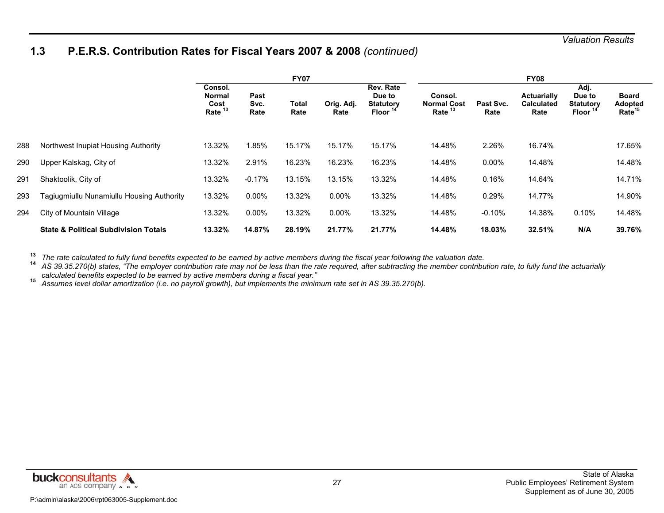### **1.3 P.E.R.S. Contribution Rates for Fiscal Years 2007 & 2008** *(continued)*

|     |                                                 | <b>FY07</b>                                            |                      |                      |                    |                                                         | <b>FY08</b>                                         |                   |                                                 |                                             |                                                      |  |
|-----|-------------------------------------------------|--------------------------------------------------------|----------------------|----------------------|--------------------|---------------------------------------------------------|-----------------------------------------------------|-------------------|-------------------------------------------------|---------------------------------------------|------------------------------------------------------|--|
|     |                                                 | Consol.<br><b>Normal</b><br>Cost<br>Rate <sup>13</sup> | Past<br>Svc.<br>Rate | <b>Total</b><br>Rate | Orig. Adj.<br>Rate | Rev. Rate<br>Due to<br><b>Statutory</b><br><b>Floor</b> | Consol.<br><b>Normal Cost</b><br>Rate <sup>13</sup> | Past Svc.<br>Rate | <b>Actuarially</b><br><b>Calculated</b><br>Rate | Adj.<br>Due to<br><b>Statutory</b><br>Floor | <b>Board</b><br><b>Adopted</b><br>Rate <sup>15</sup> |  |
| 288 | Northwest Inupiat Housing Authority             | 13.32%                                                 | 1.85%                | 15.17%               | 15.17%             | 15.17%                                                  | 14.48%                                              | 2.26%             | 16.74%                                          |                                             | 17.65%                                               |  |
| 290 | Upper Kalskag, City of                          | 13.32%                                                 | 2.91%                | 16.23%               | 16.23%             | 16.23%                                                  | 14.48%                                              | $0.00\%$          | 14.48%                                          |                                             | 14.48%                                               |  |
| 291 | Shaktoolik, City of                             | 13.32%                                                 | $-0.17%$             | 13.15%               | 13.15%             | 13.32%                                                  | 14.48%                                              | 0.16%             | 14.64%                                          |                                             | 14.71%                                               |  |
| 293 | Tagiugmiullu Nunamiullu Housing Authority       | 13.32%                                                 | $0.00\%$             | 13.32%               | $0.00\%$           | 13.32%                                                  | 14.48%                                              | 0.29%             | 14.77%                                          |                                             | 14.90%                                               |  |
| 294 | City of Mountain Village                        | 13.32%                                                 | $0.00\%$             | 13.32%               | $0.00\%$           | 13.32%                                                  | 14.48%                                              | $-0.10%$          | 14.38%                                          | 0.10%                                       | 14.48%                                               |  |
|     | <b>State &amp; Political Subdivision Totals</b> | 13.32%                                                 | 14.87%               | 28.19%               | 21.77%             | 21.77%                                                  | 14.48%                                              | 18.03%            | 32.51%                                          | N/A                                         | 39.76%                                               |  |

**13***The rate calculated to fully fund benefits expected to be earned by active members during the fiscal year following the valuation date.*<br>14 AS 39.35.270(b) states "The employer contribution rate may not be less than the r

 *AS 39.35.270(b) states, "The employer contribution rate may not be less than the rate required, after subtracting the member contribution rate, to fully fund the actuarially calculated benefits expected to be earned by active members during a fiscal year."* **15**

*Assumes level dollar amortization (i.e. no payroll growth), but implements the minimum rate set in AS 39.35.270(b).*

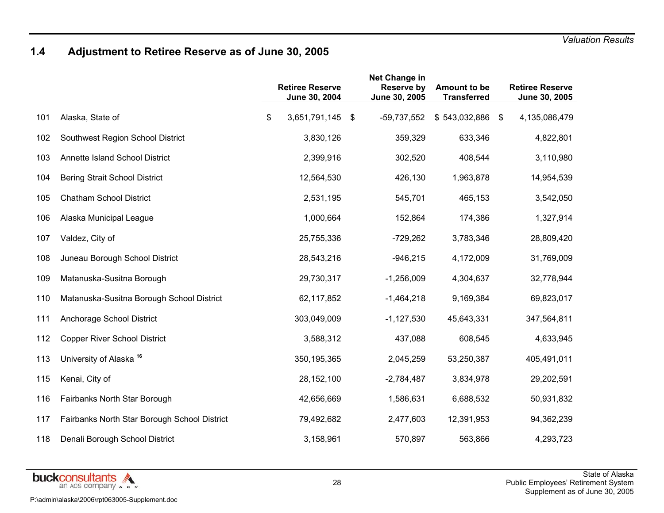# **1.4 Adjustment to Retiree Reserve as of June 30, 2005**

|     |                                              | <b>Retiree Reserve</b><br>June 30, 2004 | Net Change in<br>Reserve by<br>June 30, 2005 | <b>Amount to be</b><br><b>Transferred</b> | <b>Retiree Reserve</b><br>June 30, 2005 |
|-----|----------------------------------------------|-----------------------------------------|----------------------------------------------|-------------------------------------------|-----------------------------------------|
| 101 | Alaska, State of                             | \$<br>3,651,791,145 \$                  | $-59,737,552$                                | $$543,032,886$ \$                         | 4,135,086,479                           |
| 102 | Southwest Region School District             | 3,830,126                               | 359,329                                      | 633,346                                   | 4,822,801                               |
| 103 | Annette Island School District               | 2,399,916                               | 302,520                                      | 408,544                                   | 3,110,980                               |
| 104 | <b>Bering Strait School District</b>         | 12,564,530                              | 426,130                                      | 1,963,878                                 | 14,954,539                              |
| 105 | <b>Chatham School District</b>               | 2,531,195                               | 545,701                                      | 465,153                                   | 3,542,050                               |
| 106 | Alaska Municipal League                      | 1,000,664                               | 152,864                                      | 174,386                                   | 1,327,914                               |
| 107 | Valdez, City of                              | 25,755,336                              | $-729,262$                                   | 3,783,346                                 | 28,809,420                              |
| 108 | Juneau Borough School District               | 28,543,216                              | $-946,215$                                   | 4,172,009                                 | 31,769,009                              |
| 109 | Matanuska-Susitna Borough                    | 29,730,317                              | $-1,256,009$                                 | 4,304,637                                 | 32,778,944                              |
| 110 | Matanuska-Susitna Borough School District    | 62,117,852                              | $-1,464,218$                                 | 9,169,384                                 | 69,823,017                              |
| 111 | Anchorage School District                    | 303,049,009                             | $-1, 127, 530$                               | 45,643,331                                | 347,564,811                             |
| 112 | <b>Copper River School District</b>          | 3,588,312                               | 437,088                                      | 608,545                                   | 4,633,945                               |
| 113 | University of Alaska <sup>16</sup>           | 350,195,365                             | 2,045,259                                    | 53,250,387                                | 405,491,011                             |
| 115 | Kenai, City of                               | 28, 152, 100                            | $-2,784,487$                                 | 3,834,978                                 | 29,202,591                              |
| 116 | Fairbanks North Star Borough                 | 42,656,669                              | 1,586,631                                    | 6,688,532                                 | 50,931,832                              |
| 117 | Fairbanks North Star Borough School District | 79,492,682                              | 2,477,603                                    | 12,391,953                                | 94,362,239                              |
| 118 | Denali Borough School District               | 3,158,961                               | 570,897                                      | 563,866                                   | 4,293,723                               |

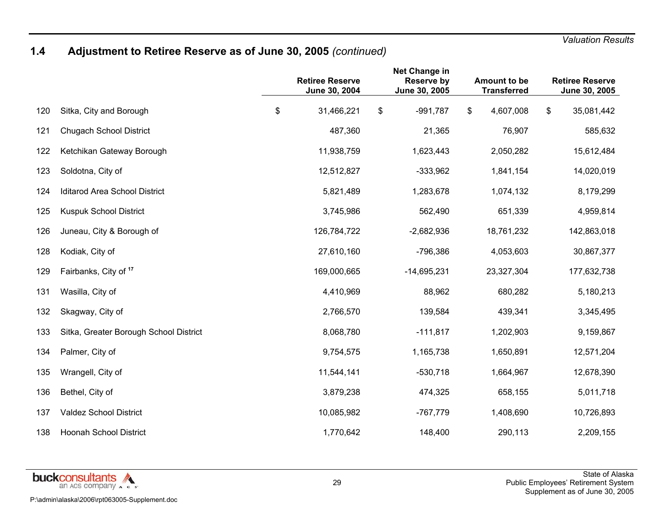# **1.4 Adjustment to Retiree Reserve as of June 30, 2005** *(continued)*

|     |                                        | <b>Retiree Reserve</b><br>June 30, 2004 | <b>Net Change in</b><br><b>Reserve by</b><br>June 30, 2005 | Amount to be<br><b>Transferred</b> | <b>Retiree Reserve</b><br>June 30, 2005 |
|-----|----------------------------------------|-----------------------------------------|------------------------------------------------------------|------------------------------------|-----------------------------------------|
| 120 | Sitka, City and Borough                | \$<br>31,466,221                        | \$<br>$-991,787$                                           | \$<br>4,607,008                    | \$<br>35,081,442                        |
| 121 | <b>Chugach School District</b>         | 487,360                                 | 21,365                                                     | 76,907                             | 585,632                                 |
| 122 | Ketchikan Gateway Borough              | 11,938,759                              | 1,623,443                                                  | 2,050,282                          | 15,612,484                              |
| 123 | Soldotna, City of                      | 12,512,827                              | $-333,962$                                                 | 1,841,154                          | 14,020,019                              |
| 124 | <b>Iditarod Area School District</b>   | 5,821,489                               | 1,283,678                                                  | 1,074,132                          | 8,179,299                               |
| 125 | Kuspuk School District                 | 3,745,986                               | 562,490                                                    | 651,339                            | 4,959,814                               |
| 126 | Juneau, City & Borough of              | 126,784,722                             | $-2,682,936$                                               | 18,761,232                         | 142,863,018                             |
| 128 | Kodiak, City of                        | 27,610,160                              | -796,386                                                   | 4,053,603                          | 30,867,377                              |
| 129 | Fairbanks, City of <sup>17</sup>       | 169,000,665                             | $-14,695,231$                                              | 23,327,304                         | 177,632,738                             |
| 131 | Wasilla, City of                       | 4,410,969                               | 88,962                                                     | 680,282                            | 5,180,213                               |
| 132 | Skagway, City of                       | 2,766,570                               | 139,584                                                    | 439,341                            | 3,345,495                               |
| 133 | Sitka, Greater Borough School District | 8,068,780                               | $-111,817$                                                 | 1,202,903                          | 9,159,867                               |
| 134 | Palmer, City of                        | 9,754,575                               | 1,165,738                                                  | 1,650,891                          | 12,571,204                              |
| 135 | Wrangell, City of                      | 11,544,141                              | $-530,718$                                                 | 1,664,967                          | 12,678,390                              |
| 136 | Bethel, City of                        | 3,879,238                               | 474,325                                                    | 658,155                            | 5,011,718                               |
| 137 | <b>Valdez School District</b>          | 10,085,982                              | $-767,779$                                                 | 1,408,690                          | 10,726,893                              |
| 138 | <b>Hoonah School District</b>          | 1,770,642                               | 148,400                                                    | 290,113                            | 2,209,155                               |

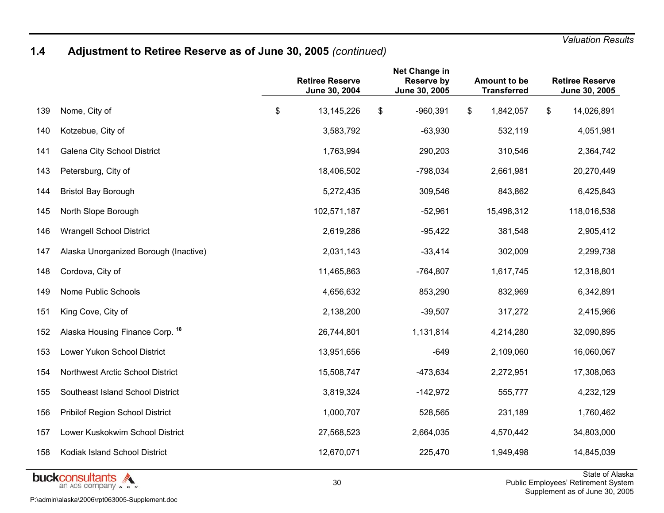# **1.4 Adjustment to Retiree Reserve as of June 30, 2005** *(continued)*

|     |                                       | <b>Retiree Reserve</b><br>June 30, 2004 | Net Change in<br><b>Reserve by</b><br>June 30, 2005 | Amount to be<br><b>Transferred</b> | <b>Retiree Reserve</b><br>June 30, 2005 |
|-----|---------------------------------------|-----------------------------------------|-----------------------------------------------------|------------------------------------|-----------------------------------------|
| 139 | Nome, City of                         | \$<br>13,145,226                        | \$<br>$-960,391$                                    | \$<br>1,842,057                    | \$<br>14,026,891                        |
| 140 | Kotzebue, City of                     | 3,583,792                               | $-63,930$                                           | 532,119                            | 4,051,981                               |
| 141 | <b>Galena City School District</b>    | 1,763,994                               | 290,203                                             | 310,546                            | 2,364,742                               |
| 143 | Petersburg, City of                   | 18,406,502                              | $-798,034$                                          | 2,661,981                          | 20,270,449                              |
| 144 | <b>Bristol Bay Borough</b>            | 5,272,435                               | 309,546                                             | 843,862                            | 6,425,843                               |
| 145 | North Slope Borough                   | 102,571,187                             | $-52,961$                                           | 15,498,312                         | 118,016,538                             |
| 146 | <b>Wrangell School District</b>       | 2,619,286                               | $-95,422$                                           | 381,548                            | 2,905,412                               |
| 147 | Alaska Unorganized Borough (Inactive) | 2,031,143                               | $-33,414$                                           | 302,009                            | 2,299,738                               |
| 148 | Cordova, City of                      | 11,465,863                              | $-764,807$                                          | 1,617,745                          | 12,318,801                              |
| 149 | Nome Public Schools                   | 4,656,632                               | 853,290                                             | 832,969                            | 6,342,891                               |
| 151 | King Cove, City of                    | 2,138,200                               | $-39,507$                                           | 317,272                            | 2,415,966                               |
| 152 | Alaska Housing Finance Corp. 18       | 26,744,801                              | 1,131,814                                           | 4,214,280                          | 32,090,895                              |
| 153 | Lower Yukon School District           | 13,951,656                              | $-649$                                              | 2,109,060                          | 16,060,067                              |
| 154 | Northwest Arctic School District      | 15,508,747                              | $-473,634$                                          | 2,272,951                          | 17,308,063                              |
| 155 | Southeast Island School District      | 3,819,324                               | $-142,972$                                          | 555,777                            | 4,232,129                               |
| 156 | Pribilof Region School District       | 1,000,707                               | 528,565                                             | 231,189                            | 1,760,462                               |
| 157 | Lower Kuskokwim School District       | 27,568,523                              | 2,664,035                                           | 4,570,442                          | 34,803,000                              |
| 158 | Kodiak Island School District         | 12,670,071                              | 225,470                                             | 1,949,498                          | 14,845,039<br>$O(1.1) \times 10^{-1}$   |

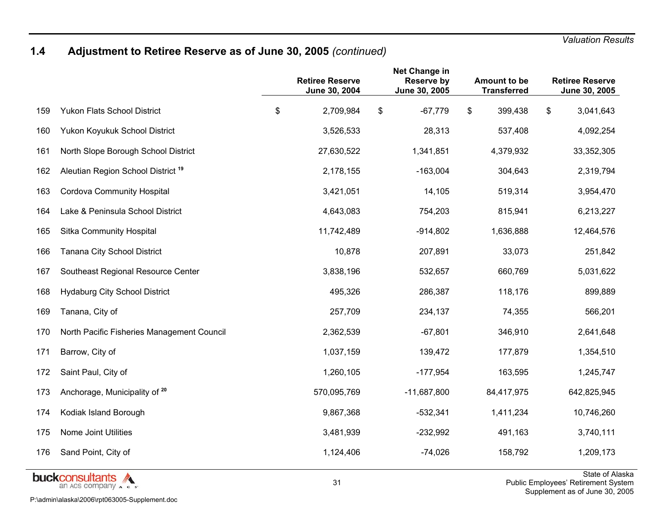# **1.4 Adjustment to Retiree Reserve as of June 30, 2005** *(continued)*

|     |                                               | <b>Retiree Reserve</b><br>June 30, 2004 | Net Change in<br><b>Reserve by</b><br>June 30, 2005 | Amount to be<br><b>Transferred</b> | <b>Retiree Reserve</b><br>June 30, 2005 |
|-----|-----------------------------------------------|-----------------------------------------|-----------------------------------------------------|------------------------------------|-----------------------------------------|
| 159 | <b>Yukon Flats School District</b>            | \$<br>2,709,984                         | \$<br>$-67,779$                                     | \$<br>399,438                      | \$<br>3,041,643                         |
| 160 | Yukon Koyukuk School District                 | 3,526,533                               | 28,313                                              | 537,408                            | 4,092,254                               |
| 161 | North Slope Borough School District           | 27,630,522                              | 1,341,851                                           | 4,379,932                          | 33,352,305                              |
| 162 | Aleutian Region School District <sup>19</sup> | 2,178,155                               | $-163,004$                                          | 304,643                            | 2,319,794                               |
| 163 | <b>Cordova Community Hospital</b>             | 3,421,051                               | 14,105                                              | 519,314                            | 3,954,470                               |
| 164 | Lake & Peninsula School District              | 4,643,083                               | 754,203                                             | 815,941                            | 6,213,227                               |
| 165 | <b>Sitka Community Hospital</b>               | 11,742,489                              | $-914,802$                                          | 1,636,888                          | 12,464,576                              |
| 166 | Tanana City School District                   | 10,878                                  | 207,891                                             | 33,073                             | 251,842                                 |
| 167 | Southeast Regional Resource Center            | 3,838,196                               | 532,657                                             | 660,769                            | 5,031,622                               |
| 168 | <b>Hydaburg City School District</b>          | 495,326                                 | 286,387                                             | 118,176                            | 899,889                                 |
| 169 | Tanana, City of                               | 257,709                                 | 234,137                                             | 74,355                             | 566,201                                 |
| 170 | North Pacific Fisheries Management Council    | 2,362,539                               | $-67,801$                                           | 346,910                            | 2,641,648                               |
| 171 | Barrow, City of                               | 1,037,159                               | 139,472                                             | 177,879                            | 1,354,510                               |
| 172 | Saint Paul, City of                           | 1,260,105                               | $-177,954$                                          | 163,595                            | 1,245,747                               |
| 173 | Anchorage, Municipality of 20                 | 570,095,769                             | $-11,687,800$                                       | 84,417,975                         | 642,825,945                             |
| 174 | Kodiak Island Borough                         | 9,867,368                               | $-532,341$                                          | 1,411,234                          | 10,746,260                              |
| 175 | Nome Joint Utilities                          | 3,481,939                               | $-232,992$                                          | 491,163                            | 3,740,111                               |
| 176 | Sand Point, City of                           | 1,124,406                               | $-74,026$                                           | 158,792                            | 1,209,173                               |
|     | huakonnoutonto A                              |                                         |                                                     |                                    | State of Ala                            |

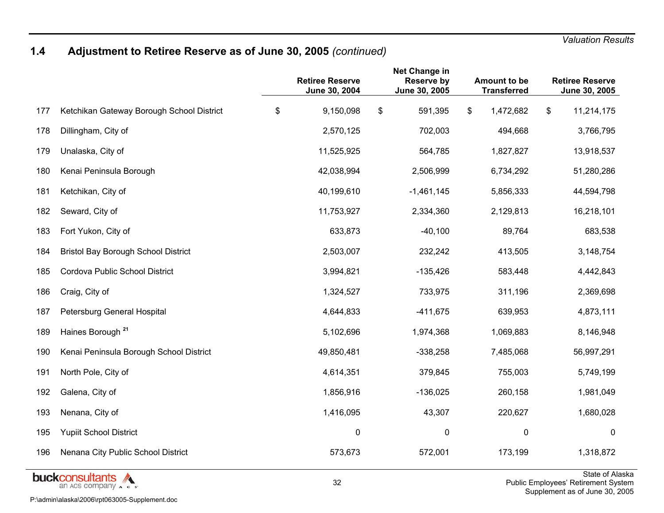# **1.4 Adjustment to Retiree Reserve as of June 30, 2005** *(continued)*

|     |                                            | <b>Retiree Reserve</b><br>June 30, 2004 | Net Change in<br><b>Reserve by</b><br>June 30, 2005 | Amount to be<br><b>Transferred</b> | <b>Retiree Reserve</b><br>June 30, 2005 |
|-----|--------------------------------------------|-----------------------------------------|-----------------------------------------------------|------------------------------------|-----------------------------------------|
| 177 | Ketchikan Gateway Borough School District  | \$<br>9,150,098                         | \$<br>591,395                                       | \$<br>1,472,682                    | \$<br>11,214,175                        |
| 178 | Dillingham, City of                        | 2,570,125                               | 702,003                                             | 494,668                            | 3,766,795                               |
| 179 | Unalaska, City of                          | 11,525,925                              | 564,785                                             | 1,827,827                          | 13,918,537                              |
| 180 | Kenai Peninsula Borough                    | 42,038,994                              | 2,506,999                                           | 6,734,292                          | 51,280,286                              |
| 181 | Ketchikan, City of                         | 40,199,610                              | $-1,461,145$                                        | 5,856,333                          | 44,594,798                              |
| 182 | Seward, City of                            | 11,753,927                              | 2,334,360                                           | 2,129,813                          | 16,218,101                              |
| 183 | Fort Yukon, City of                        | 633,873                                 | $-40,100$                                           | 89,764                             | 683,538                                 |
| 184 | <b>Bristol Bay Borough School District</b> | 2,503,007                               | 232,242                                             | 413,505                            | 3,148,754                               |
| 185 | Cordova Public School District             | 3,994,821                               | $-135,426$                                          | 583,448                            | 4,442,843                               |
| 186 | Craig, City of                             | 1,324,527                               | 733,975                                             | 311,196                            | 2,369,698                               |
| 187 | Petersburg General Hospital                | 4,644,833                               | $-411,675$                                          | 639,953                            | 4,873,111                               |
| 189 | Haines Borough <sup>21</sup>               | 5,102,696                               | 1,974,368                                           | 1,069,883                          | 8,146,948                               |
| 190 | Kenai Peninsula Borough School District    | 49,850,481                              | $-338,258$                                          | 7,485,068                          | 56,997,291                              |
| 191 | North Pole, City of                        | 4,614,351                               | 379,845                                             | 755,003                            | 5,749,199                               |
| 192 | Galena, City of                            | 1,856,916                               | $-136,025$                                          | 260,158                            | 1,981,049                               |
| 193 | Nenana, City of                            | 1,416,095                               | 43,307                                              | 220,627                            | 1,680,028                               |
| 195 | <b>Yupiit School District</b>              | $\mathbf 0$                             | $\mathbf 0$                                         | $\mathbf 0$                        | $\mathbf 0$                             |
| 196 | Nenana City Public School District         | 573,673                                 | 572,001                                             | 173,199                            | 1,318,872                               |
|     | huokoongultanta A                          |                                         |                                                     |                                    | State of Ala                            |

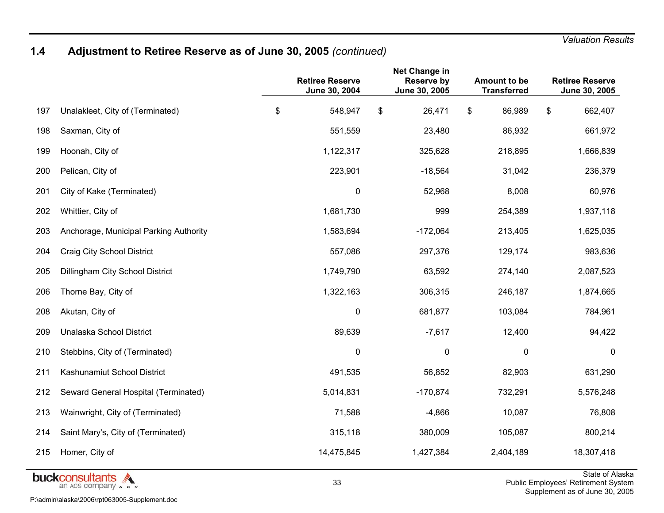# **1.4 Adjustment to Retiree Reserve as of June 30, 2005** *(continued)*

|     |                                                 | <b>Retiree Reserve</b><br>June 30, 2004 | Net Change in<br><b>Reserve by</b><br>June 30, 2005 | Amount to be<br><b>Transferred</b> | <b>Retiree Reserve</b><br>June 30, 2005           |
|-----|-------------------------------------------------|-----------------------------------------|-----------------------------------------------------|------------------------------------|---------------------------------------------------|
| 197 | Unalakleet, City of (Terminated)                | \$<br>548,947                           | \$<br>26,471                                        | \$<br>86,989                       | \$<br>662,407                                     |
| 198 | Saxman, City of                                 | 551,559                                 | 23,480                                              | 86,932                             | 661,972                                           |
| 199 | Hoonah, City of                                 | 1,122,317                               | 325,628                                             | 218,895                            | 1,666,839                                         |
| 200 | Pelican, City of                                | 223,901                                 | $-18,564$                                           | 31,042                             | 236,379                                           |
| 201 | City of Kake (Terminated)                       | $\mathbf 0$                             | 52,968                                              | 8,008                              | 60,976                                            |
| 202 | Whittier, City of                               | 1,681,730                               | 999                                                 | 254,389                            | 1,937,118                                         |
| 203 | Anchorage, Municipal Parking Authority          | 1,583,694                               | $-172,064$                                          | 213,405                            | 1,625,035                                         |
| 204 | Craig City School District                      | 557,086                                 | 297,376                                             | 129,174                            | 983,636                                           |
| 205 | Dillingham City School District                 | 1,749,790                               | 63,592                                              | 274,140                            | 2,087,523                                         |
| 206 | Thorne Bay, City of                             | 1,322,163                               | 306,315                                             | 246,187                            | 1,874,665                                         |
| 208 | Akutan, City of                                 | $\mathbf 0$                             | 681,877                                             | 103,084                            | 784,961                                           |
| 209 | Unalaska School District                        | 89,639                                  | $-7,617$                                            | 12,400                             | 94,422                                            |
| 210 | Stebbins, City of (Terminated)                  | $\mathbf 0$                             | 0                                                   | $\mathbf 0$                        | 0                                                 |
| 211 | Kashunamiut School District                     | 491,535                                 | 56,852                                              | 82,903                             | 631,290                                           |
| 212 | Seward General Hospital (Terminated)            | 5,014,831                               | $-170,874$                                          | 732,291                            | 5,576,248                                         |
| 213 | Wainwright, City of (Terminated)                | 71,588                                  | $-4,866$                                            | 10,087                             | 76,808                                            |
| 214 | Saint Mary's, City of (Terminated)              | 315,118                                 | 380,009                                             | 105,087                            | 800,214                                           |
| 215 | Homer, City of                                  | 14,475,845                              | 1,427,384                                           | 2,404,189                          | 18,307,418                                        |
|     | <b>buckconsultants</b><br>an ACS company A c s' | 33                                      |                                                     |                                    | State of Ala<br>Public Employees' Retirement Syst |

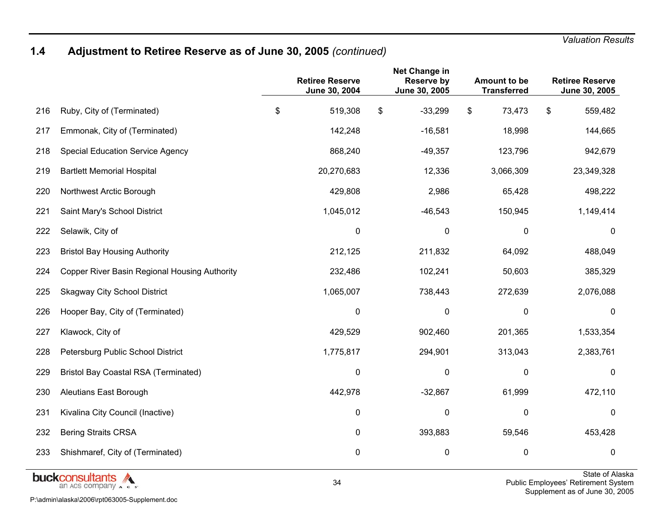# **1.4 Adjustment to Retiree Reserve as of June 30, 2005** *(continued)*

|     |                                                      | <b>Retiree Reserve</b><br>June 30, 2004 | Net Change in<br><b>Reserve by</b><br>June 30, 2005 | Amount to be<br><b>Transferred</b> | <b>Retiree Reserve</b><br>June 30, 2005 |
|-----|------------------------------------------------------|-----------------------------------------|-----------------------------------------------------|------------------------------------|-----------------------------------------|
| 216 | Ruby, City of (Terminated)                           | \$<br>519,308                           | \$<br>$-33,299$                                     | \$<br>73,473                       | \$<br>559,482                           |
| 217 | Emmonak, City of (Terminated)                        | 142,248                                 | $-16,581$                                           | 18,998                             | 144,665                                 |
| 218 | <b>Special Education Service Agency</b>              | 868,240                                 | $-49,357$                                           | 123,796                            | 942,679                                 |
| 219 | <b>Bartlett Memorial Hospital</b>                    | 20,270,683                              | 12,336                                              | 3,066,309                          | 23,349,328                              |
| 220 | Northwest Arctic Borough                             | 429,808                                 | 2,986                                               | 65,428                             | 498,222                                 |
| 221 | Saint Mary's School District                         | 1,045,012                               | $-46,543$                                           | 150,945                            | 1,149,414                               |
| 222 | Selawik, City of                                     | 0                                       | $\mathbf 0$                                         | $\mathbf 0$                        | 0                                       |
| 223 | <b>Bristol Bay Housing Authority</b>                 | 212,125                                 | 211,832                                             | 64,092                             | 488,049                                 |
| 224 | <b>Copper River Basin Regional Housing Authority</b> | 232,486                                 | 102,241                                             | 50,603                             | 385,329                                 |
| 225 | <b>Skagway City School District</b>                  | 1,065,007                               | 738,443                                             | 272,639                            | 2,076,088                               |
| 226 | Hooper Bay, City of (Terminated)                     | $\pmb{0}$                               | 0                                                   | $\pmb{0}$                          | 0                                       |
| 227 | Klawock, City of                                     | 429,529                                 | 902,460                                             | 201,365                            | 1,533,354                               |
| 228 | Petersburg Public School District                    | 1,775,817                               | 294,901                                             | 313,043                            | 2,383,761                               |
| 229 | <b>Bristol Bay Coastal RSA (Terminated)</b>          | $\mathbf 0$                             | 0                                                   | 0                                  | 0                                       |
| 230 | Aleutians East Borough                               | 442,978                                 | $-32,867$                                           | 61,999                             | 472,110                                 |
| 231 | Kivalina City Council (Inactive)                     | 0                                       | 0                                                   | 0                                  | 0                                       |
| 232 | <b>Bering Straits CRSA</b>                           | 0                                       | 393,883                                             | 59,546                             | 453,428                                 |
| 233 | Shishmaref, City of (Terminated)                     | 0                                       | 0                                                   | 0                                  | 0                                       |



State of Alaska Public Employees' Retirement System Supplement as of June 30, 2005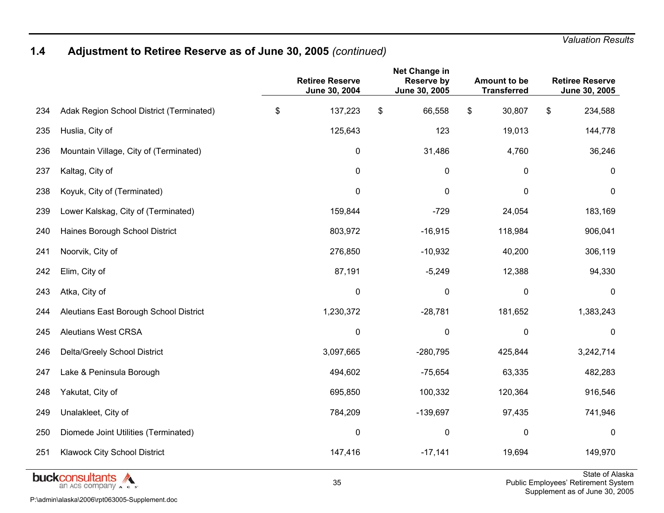# **1.4 Adjustment to Retiree Reserve as of June 30, 2005** *(continued)*

|     |                                          | <b>Retiree Reserve</b><br>June 30, 2004 | Net Change in<br><b>Reserve by</b><br>June 30, 2005 | Amount to be<br><b>Transferred</b> | <b>Retiree Reserve</b><br>June 30, 2005           |
|-----|------------------------------------------|-----------------------------------------|-----------------------------------------------------|------------------------------------|---------------------------------------------------|
| 234 | Adak Region School District (Terminated) | \$<br>137,223                           | \$<br>66,558                                        | \$<br>30,807                       | \$<br>234,588                                     |
| 235 | Huslia, City of                          | 125,643                                 | 123                                                 | 19,013                             | 144,778                                           |
| 236 | Mountain Village, City of (Terminated)   | 0                                       | 31,486                                              | 4,760                              | 36,246                                            |
| 237 | Kaltag, City of                          | 0                                       | 0                                                   | $\mathbf 0$                        | 0                                                 |
| 238 | Koyuk, City of (Terminated)              | 0                                       | 0                                                   | 0                                  | 0                                                 |
| 239 | Lower Kalskag, City of (Terminated)      | 159,844                                 | $-729$                                              | 24,054                             | 183,169                                           |
| 240 | Haines Borough School District           | 803,972                                 | $-16,915$                                           | 118,984                            | 906,041                                           |
| 241 | Noorvik, City of                         | 276,850                                 | $-10,932$                                           | 40,200                             | 306,119                                           |
| 242 | Elim, City of                            | 87,191                                  | $-5,249$                                            | 12,388                             | 94,330                                            |
| 243 | Atka, City of                            | $\pmb{0}$                               | $\mathbf 0$                                         | $\mathbf 0$                        | $\mathbf 0$                                       |
| 244 | Aleutians East Borough School District   | 1,230,372                               | $-28,781$                                           | 181,652                            | 1,383,243                                         |
| 245 | <b>Aleutians West CRSA</b>               | 0                                       | 0                                                   | 0                                  | 0                                                 |
| 246 | Delta/Greely School District             | 3,097,665                               | $-280,795$                                          | 425,844                            | 3,242,714                                         |
| 247 | Lake & Peninsula Borough                 | 494,602                                 | $-75,654$                                           | 63,335                             | 482,283                                           |
| 248 | Yakutat, City of                         | 695,850                                 | 100,332                                             | 120,364                            | 916,546                                           |
| 249 | Unalakleet, City of                      | 784,209                                 | $-139,697$                                          | 97,435                             | 741,946                                           |
| 250 | Diomede Joint Utilities (Terminated)     | 0                                       | 0                                                   | 0                                  | $\mathbf{0}$                                      |
| 251 | Klawock City School District             | 147,416                                 | $-17,141$                                           | 19,694                             | 149,970                                           |
|     | buckconsultants<br>an ACS company A c s' | 35                                      |                                                     |                                    | State of Ala<br>Public Employees' Retirement Syst |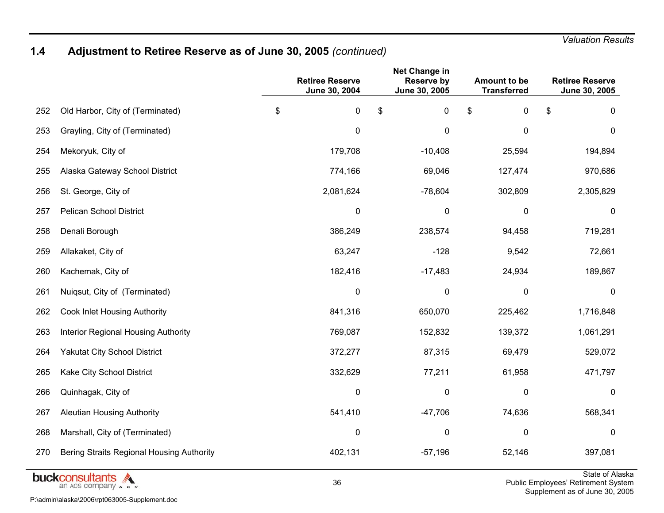## **1.4 Adjustment to Retiree Reserve as of June 30, 2005** *(continued)*

|     |                                            | <b>Retiree Reserve</b><br>June 30, 2004 | Net Change in<br><b>Reserve by</b><br>June 30, 2005 | <b>Amount to be</b><br><b>Transferred</b> | <b>Retiree Reserve</b><br>June 30, 2005 |
|-----|--------------------------------------------|-----------------------------------------|-----------------------------------------------------|-------------------------------------------|-----------------------------------------|
| 252 | Old Harbor, City of (Terminated)           | \$<br>0                                 | \$<br>$\pmb{0}$                                     | \$<br>$\pmb{0}$                           | \$<br>0                                 |
| 253 | Grayling, City of (Terminated)             | $\pmb{0}$                               | 0                                                   | $\mathbf 0$                               | $\mathbf 0$                             |
| 254 | Mekoryuk, City of                          | 179,708                                 | $-10,408$                                           | 25,594                                    | 194,894                                 |
| 255 | Alaska Gateway School District             | 774,166                                 | 69,046                                              | 127,474                                   | 970,686                                 |
| 256 | St. George, City of                        | 2,081,624                               | $-78,604$                                           | 302,809                                   | 2,305,829                               |
| 257 | <b>Pelican School District</b>             | 0                                       | $\mathbf 0$                                         | 0                                         | 0                                       |
| 258 | Denali Borough                             | 386,249                                 | 238,574                                             | 94,458                                    | 719,281                                 |
| 259 | Allakaket, City of                         | 63,247                                  | $-128$                                              | 9,542                                     | 72,661                                  |
| 260 | Kachemak, City of                          | 182,416                                 | $-17,483$                                           | 24,934                                    | 189,867                                 |
| 261 | Nuiqsut, City of (Terminated)              | $\mathbf 0$                             | 0                                                   | $\mathbf 0$                               | $\mathbf 0$                             |
| 262 | Cook Inlet Housing Authority               | 841,316                                 | 650,070                                             | 225,462                                   | 1,716,848                               |
| 263 | <b>Interior Regional Housing Authority</b> | 769,087                                 | 152,832                                             | 139,372                                   | 1,061,291                               |
| 264 | <b>Yakutat City School District</b>        | 372,277                                 | 87,315                                              | 69,479                                    | 529,072                                 |
| 265 | Kake City School District                  | 332,629                                 | 77,211                                              | 61,958                                    | 471,797                                 |
| 266 | Quinhagak, City of                         | 0                                       | 0                                                   | 0                                         | $\mathbf 0$                             |
| 267 | <b>Aleutian Housing Authority</b>          | 541,410                                 | $-47,706$                                           | 74,636                                    | 568,341                                 |
| 268 | Marshall, City of (Terminated)             | $\mathbf 0$                             | 0                                                   | $\mathbf 0$                               | $\mathbf 0$                             |
| 270 | Bering Straits Regional Housing Authority  | 402,131                                 | $-57,196$                                           | 52,146                                    | 397,081                                 |
|     | المستحسن والمتحدث والمراجع                 |                                         |                                                     |                                           | State of Ala                            |



State of Alaska Public Employees' Retirement System Supplement as of June 30, 2005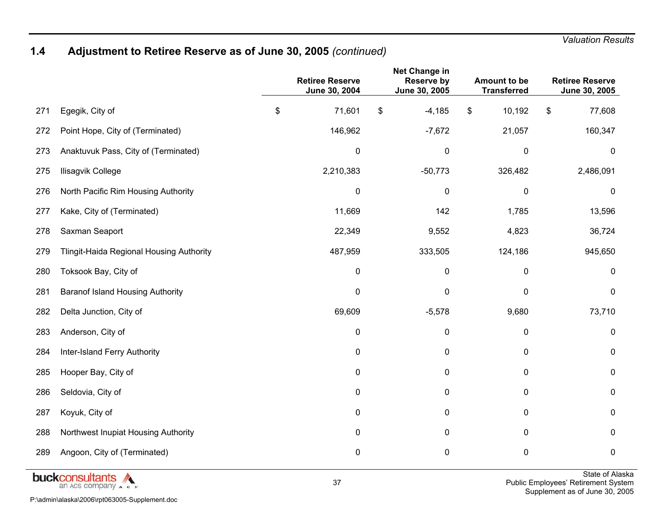## **1.4 Adjustment to Retiree Reserve as of June 30, 2005** *(continued)*

|     |                                          | <b>Retiree Reserve</b><br>June 30, 2004 | Net Change in<br><b>Reserve by</b><br>June 30, 2005 | <b>Amount to be</b><br><b>Transferred</b> | <b>Retiree Reserve</b><br>June 30, 2005 |
|-----|------------------------------------------|-----------------------------------------|-----------------------------------------------------|-------------------------------------------|-----------------------------------------|
| 271 | Egegik, City of                          | \$<br>71,601                            | \$<br>$-4,185$                                      | \$<br>10,192                              | \$<br>77,608                            |
| 272 | Point Hope, City of (Terminated)         | 146,962                                 | $-7,672$                                            | 21,057                                    | 160,347                                 |
| 273 | Anaktuvuk Pass, City of (Terminated)     | $\pmb{0}$                               | 0                                                   | $\pmb{0}$                                 | $\mathbf 0$                             |
| 275 | Ilisagvik College                        | 2,210,383                               | $-50,773$                                           | 326,482                                   | 2,486,091                               |
| 276 | North Pacific Rim Housing Authority      | $\pmb{0}$                               | $\mathbf 0$                                         | $\pmb{0}$                                 | 0                                       |
| 277 | Kake, City of (Terminated)               | 11,669                                  | 142                                                 | 1,785                                     | 13,596                                  |
| 278 | Saxman Seaport                           | 22,349                                  | 9,552                                               | 4,823                                     | 36,724                                  |
| 279 | Tlingit-Haida Regional Housing Authority | 487,959                                 | 333,505                                             | 124,186                                   | 945,650                                 |
| 280 | Toksook Bay, City of                     | $\pmb{0}$                               | 0                                                   | $\pmb{0}$                                 | $\mathbf 0$                             |
| 281 | <b>Baranof Island Housing Authority</b>  | $\mathbf 0$                             | 0                                                   | 0                                         | $\mathbf 0$                             |
| 282 | Delta Junction, City of                  | 69,609                                  | $-5,578$                                            | 9,680                                     | 73,710                                  |
| 283 | Anderson, City of                        | 0                                       | 0                                                   | 0                                         | $\mathbf 0$                             |
| 284 | Inter-Island Ferry Authority             | 0                                       | $\pmb{0}$                                           | $\pmb{0}$                                 | $\pmb{0}$                               |
| 285 | Hooper Bay, City of                      | 0                                       | $\mathbf 0$                                         | $\pmb{0}$                                 | $\mathbf 0$                             |
| 286 | Seldovia, City of                        | 0                                       | 0                                                   | 0                                         | 0                                       |
| 287 | Koyuk, City of                           | 0                                       | $\mathbf 0$                                         | 0                                         | $\mathbf 0$                             |
| 288 | Northwest Inupiat Housing Authority      | 0                                       | 0                                                   | 0                                         | $\mathbf 0$                             |
| 289 | Angoon, City of (Terminated)             | 0                                       | $\mathbf 0$                                         | $\pmb{0}$                                 | $\mathbf 0$                             |

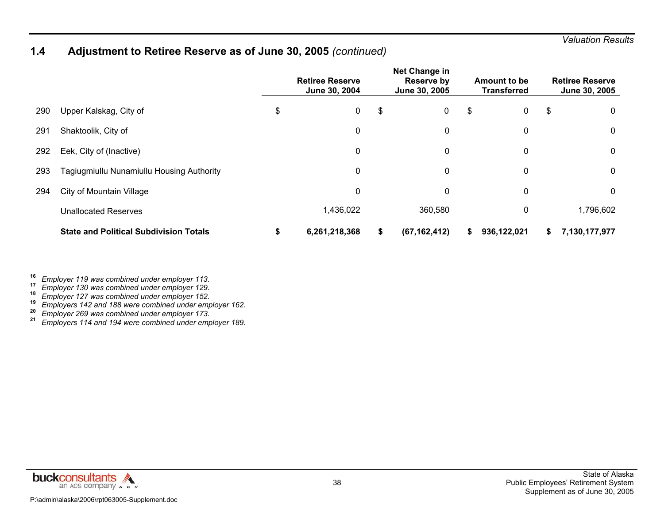### **1.4 Adjustment to Retiree Reserve as of June 30, 2005** *(continued)*

|     |                                               | <b>Retiree Reserve</b><br>June 30, 2004 |               |    | Net Change in<br>Reserve by<br>June 30, 2005 | Amount to be<br><b>Transferred</b> |             |    | <b>Retiree Reserve</b><br>June 30, 2005 |
|-----|-----------------------------------------------|-----------------------------------------|---------------|----|----------------------------------------------|------------------------------------|-------------|----|-----------------------------------------|
| 290 | Upper Kalskag, City of                        | \$                                      | $\mathbf 0$   | \$ | 0                                            | \$                                 | 0           | \$ | 0                                       |
| 291 | Shaktoolik, City of                           |                                         | 0             |    | $\mathbf 0$                                  |                                    | 0           |    | 0                                       |
| 292 | Eek, City of (Inactive)                       |                                         | 0             |    | 0                                            |                                    | 0           |    | 0                                       |
| 293 | Tagiugmiullu Nunamiullu Housing Authority     |                                         | 0             |    | $\mathbf 0$                                  |                                    | 0           |    | 0                                       |
| 294 | <b>City of Mountain Village</b>               |                                         | 0             |    | 0                                            |                                    | 0           |    | 0                                       |
|     | <b>Unallocated Reserves</b>                   |                                         | 1,436,022     |    | 360,580                                      |                                    | 0           |    | 1,796,602                               |
|     | <b>State and Political Subdivision Totals</b> | ъ                                       | 6,261,218,368 | \$ | (67, 162, 412)                               | S                                  | 936,122,021 | S  | 7,130,177,977                           |

*Employer 130 was combined under employer 129.* **18**

*Employer 127 was combined under employer 152.* **19**

**Employer 127 was combined and comployer 102.**<br> **Employers 142 and 188 were combined under employer 162.**<br> **Employer 269 was combined under employer 173.** 

*Employer 269 was combined under employer 173.* **<sup>21</sup>***Employers 114 and 194 were combined under employer 189.*



**<sup>16</sup>***Employer 119 was combined under employer 113.* **17**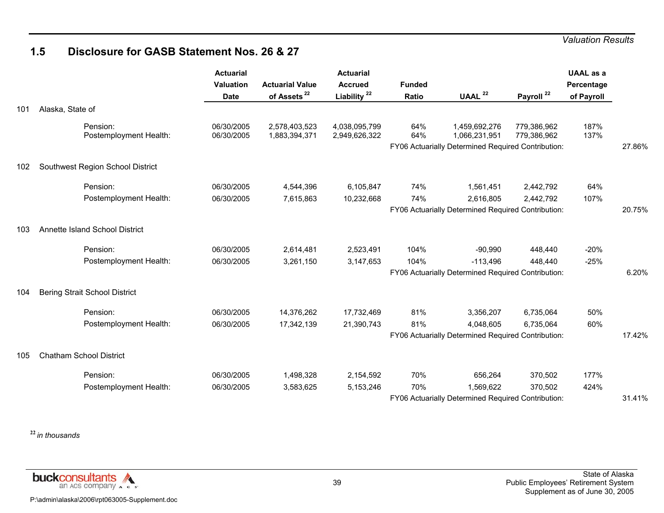### **1.5 Disclosure for GASB Statement Nos. 26 & 27**

|     |                                      | <b>Actuarial</b><br><b>Valuation</b><br><b>Date</b> | <b>Actuarial Value</b><br>of Assets <sup>22</sup> | <b>Actuarial</b><br><b>Accrued</b><br>Liability <sup>22</sup> | <b>Funded</b><br>Ratio | UAAL $22$                                                                            | Payroll <sup>22</sup>      | <b>UAAL</b> as a<br>Percentage<br>of Payroll |        |
|-----|--------------------------------------|-----------------------------------------------------|---------------------------------------------------|---------------------------------------------------------------|------------------------|--------------------------------------------------------------------------------------|----------------------------|----------------------------------------------|--------|
| 101 | Alaska, State of                     |                                                     |                                                   |                                                               |                        |                                                                                      |                            |                                              |        |
|     | Pension:<br>Postemployment Health:   | 06/30/2005<br>06/30/2005                            | 2,578,403,523<br>1,883,394,371                    | 4,038,095,799<br>2,949,626,322                                | 64%<br>64%             | 1,459,692,276<br>1,066,231,951<br>FY06 Actuarially Determined Required Contribution: | 779,386,962<br>779,386,962 | 187%<br>137%                                 | 27.86% |
| 102 | Southwest Region School District     |                                                     |                                                   |                                                               |                        |                                                                                      |                            |                                              |        |
|     | Pension:                             | 06/30/2005                                          | 4,544,396                                         | 6,105,847                                                     | 74%                    | 1,561,451                                                                            | 2,442,792                  | 64%                                          |        |
|     | Postemployment Health:               | 06/30/2005                                          | 7,615,863                                         | 10,232,668                                                    | 74%                    | 2,616,805<br>FY06 Actuarially Determined Required Contribution:                      | 2,442,792                  | 107%                                         | 20.75% |
| 103 | Annette Island School District       |                                                     |                                                   |                                                               |                        |                                                                                      |                            |                                              |        |
|     | Pension:                             | 06/30/2005                                          | 2,614,481                                         | 2,523,491                                                     | 104%                   | $-90,990$                                                                            | 448,440                    | $-20%$                                       |        |
|     | Postemployment Health:               | 06/30/2005                                          | 3,261,150                                         | 3,147,653                                                     | 104%                   | $-113,496$<br>FY06 Actuarially Determined Required Contribution:                     | 448,440                    | $-25%$                                       | 6.20%  |
| 104 | <b>Bering Strait School District</b> |                                                     |                                                   |                                                               |                        |                                                                                      |                            |                                              |        |
|     | Pension:                             | 06/30/2005                                          | 14,376,262                                        | 17,732,469                                                    | 81%                    | 3,356,207                                                                            | 6,735,064                  | 50%                                          |        |
|     | Postemployment Health:               | 06/30/2005                                          | 17,342,139                                        | 21,390,743                                                    | 81%                    | 4,048,605<br>FY06 Actuarially Determined Required Contribution:                      | 6,735,064                  | 60%                                          | 17.42% |
| 105 | <b>Chatham School District</b>       |                                                     |                                                   |                                                               |                        |                                                                                      |                            |                                              |        |
|     | Pension:                             | 06/30/2005                                          | 1,498,328                                         | 2,154,592                                                     | 70%                    | 656,264                                                                              | 370,502                    | 177%                                         |        |
|     | Postemployment Health:               | 06/30/2005                                          | 3,583,625                                         | 5,153,246                                                     | 70%                    | 1,569,622<br>FY06 Actuarially Determined Required Contribution:                      | 370,502                    | 424%                                         | 31.41% |

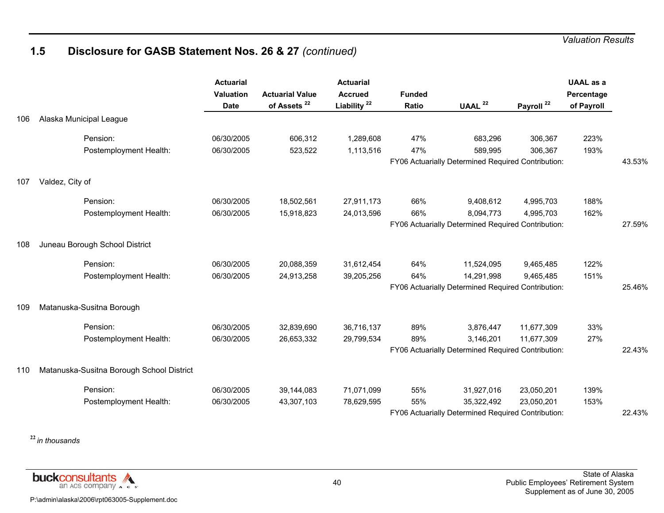## **1.5 Disclosure for GASB Statement Nos. 26 & 27** *(continued)*

|     |                                           | <b>Actuarial</b><br>Valuation<br><b>Date</b> | <b>Actuarial Value</b><br>of Assets <sup>22</sup> | <b>Actuarial</b><br><b>Accrued</b><br>Liability <sup>22</sup> | <b>Funded</b><br>Ratio | UAAL $22$                                          | Payroll <sup>22</sup> | <b>UAAL</b> as a<br>Percentage<br>of Payroll |        |
|-----|-------------------------------------------|----------------------------------------------|---------------------------------------------------|---------------------------------------------------------------|------------------------|----------------------------------------------------|-----------------------|----------------------------------------------|--------|
| 106 | Alaska Municipal League                   |                                              |                                                   |                                                               |                        |                                                    |                       |                                              |        |
|     | Pension:                                  | 06/30/2005                                   | 606,312                                           | 1,289,608                                                     | 47%                    | 683,296                                            | 306,367               | 223%                                         |        |
|     | Postemployment Health:                    | 06/30/2005                                   | 523,522                                           | 1,113,516                                                     | 47%                    | 589,995                                            | 306,367               | 193%                                         |        |
|     |                                           |                                              |                                                   |                                                               |                        | FY06 Actuarially Determined Required Contribution: |                       |                                              | 43.53% |
| 107 | Valdez, City of                           |                                              |                                                   |                                                               |                        |                                                    |                       |                                              |        |
|     | Pension:                                  | 06/30/2005                                   | 18,502,561                                        | 27,911,173                                                    | 66%                    | 9,408,612                                          | 4,995,703             | 188%                                         |        |
|     | Postemployment Health:                    | 06/30/2005                                   | 15,918,823                                        | 24,013,596                                                    | 66%                    | 8,094,773                                          | 4,995,703             | 162%                                         |        |
|     |                                           |                                              |                                                   |                                                               |                        | FY06 Actuarially Determined Required Contribution: |                       |                                              | 27.59% |
| 108 | Juneau Borough School District            |                                              |                                                   |                                                               |                        |                                                    |                       |                                              |        |
|     | Pension:                                  | 06/30/2005                                   | 20,088,359                                        | 31,612,454                                                    | 64%                    | 11,524,095                                         | 9,465,485             | 122%                                         |        |
|     | Postemployment Health:                    | 06/30/2005                                   | 24,913,258                                        | 39,205,256                                                    | 64%                    | 14,291,998                                         | 9,465,485             | 151%                                         |        |
|     |                                           |                                              |                                                   |                                                               |                        | FY06 Actuarially Determined Required Contribution: |                       |                                              | 25.46% |
| 109 | Matanuska-Susitna Borough                 |                                              |                                                   |                                                               |                        |                                                    |                       |                                              |        |
|     | Pension:                                  | 06/30/2005                                   | 32,839,690                                        | 36,716,137                                                    | 89%                    | 3,876,447                                          | 11,677,309            | 33%                                          |        |
|     | Postemployment Health:                    | 06/30/2005                                   | 26,653,332                                        | 29,799,534                                                    | 89%                    | 3,146,201                                          | 11,677,309            | 27%                                          |        |
|     |                                           |                                              |                                                   |                                                               |                        | FY06 Actuarially Determined Required Contribution: |                       |                                              | 22.43% |
| 110 | Matanuska-Susitna Borough School District |                                              |                                                   |                                                               |                        |                                                    |                       |                                              |        |
|     | Pension:                                  | 06/30/2005                                   | 39,144,083                                        | 71,071,099                                                    | 55%                    | 31,927,016                                         | 23,050,201            | 139%                                         |        |
|     | Postemployment Health:                    | 06/30/2005                                   | 43,307,103                                        | 78,629,595                                                    | 55%                    | 35,322,492                                         | 23,050,201            | 153%                                         |        |
|     |                                           |                                              |                                                   |                                                               |                        | FY06 Actuarially Determined Required Contribution: |                       |                                              | 22.43% |

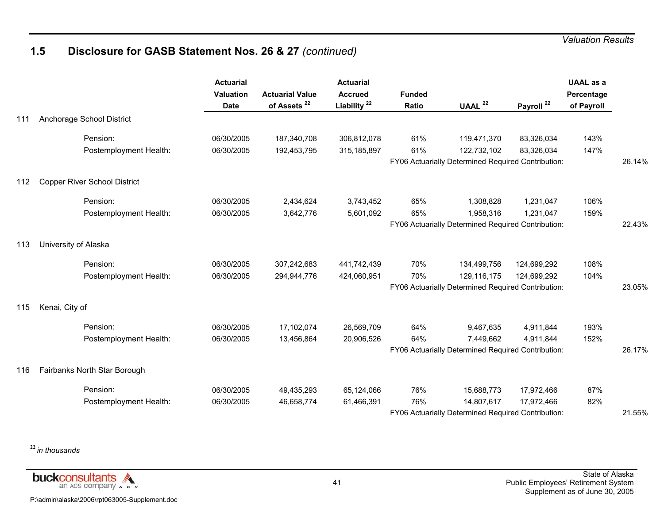## **1.5 Disclosure for GASB Statement Nos. 26 & 27** *(continued)*

|     |                              | <b>Actuarial</b><br><b>Valuation</b><br><b>Date</b> | <b>Actuarial Value</b><br>of Assets <sup>22</sup> | <b>Actuarial</b><br><b>Accrued</b><br>Liability <sup>22</sup> | <b>Funded</b><br>Ratio | UAAL <sup>22</sup>                                 | Payroll <sup>22</sup> | <b>UAAL</b> as a<br>Percentage<br>of Payroll |        |
|-----|------------------------------|-----------------------------------------------------|---------------------------------------------------|---------------------------------------------------------------|------------------------|----------------------------------------------------|-----------------------|----------------------------------------------|--------|
| 111 | Anchorage School District    |                                                     |                                                   |                                                               |                        |                                                    |                       |                                              |        |
|     | Pension:                     | 06/30/2005                                          | 187,340,708                                       | 306,812,078                                                   | 61%                    | 119,471,370                                        | 83,326,034            | 143%                                         |        |
|     | Postemployment Health:       | 06/30/2005                                          | 192,453,795                                       | 315, 185, 897                                                 | 61%                    | 122,732,102                                        | 83,326,034            | 147%                                         |        |
|     |                              |                                                     |                                                   |                                                               |                        | FY06 Actuarially Determined Required Contribution: |                       |                                              | 26.14% |
| 112 | Copper River School District |                                                     |                                                   |                                                               |                        |                                                    |                       |                                              |        |
|     | Pension:                     | 06/30/2005                                          | 2,434,624                                         | 3,743,452                                                     | 65%                    | 1,308,828                                          | 1,231,047             | 106%                                         |        |
|     | Postemployment Health:       | 06/30/2005                                          | 3,642,776                                         | 5,601,092                                                     | 65%                    | 1,958,316                                          | 1,231,047             | 159%                                         |        |
|     |                              |                                                     |                                                   |                                                               |                        | FY06 Actuarially Determined Required Contribution: |                       |                                              | 22.43% |
| 113 | University of Alaska         |                                                     |                                                   |                                                               |                        |                                                    |                       |                                              |        |
|     | Pension:                     | 06/30/2005                                          | 307,242,683                                       | 441,742,439                                                   | 70%                    | 134,499,756                                        | 124,699,292           | 108%                                         |        |
|     | Postemployment Health:       | 06/30/2005                                          | 294,944,776                                       | 424,060,951                                                   | 70%                    | 129,116,175                                        | 124,699,292           | 104%                                         |        |
|     |                              |                                                     |                                                   |                                                               |                        | FY06 Actuarially Determined Required Contribution: |                       |                                              | 23.05% |
| 115 | Kenai, City of               |                                                     |                                                   |                                                               |                        |                                                    |                       |                                              |        |
|     | Pension:                     | 06/30/2005                                          | 17,102,074                                        | 26,569,709                                                    | 64%                    | 9,467,635                                          | 4,911,844             | 193%                                         |        |
|     | Postemployment Health:       | 06/30/2005                                          | 13,456,864                                        | 20,906,526                                                    | 64%                    | 7,449,662                                          | 4,911,844             | 152%                                         |        |
|     |                              |                                                     |                                                   |                                                               |                        | FY06 Actuarially Determined Required Contribution: |                       |                                              | 26.17% |
| 116 | Fairbanks North Star Borough |                                                     |                                                   |                                                               |                        |                                                    |                       |                                              |        |
|     | Pension:                     | 06/30/2005                                          | 49,435,293                                        | 65,124,066                                                    | 76%                    | 15,688,773                                         | 17,972,466            | 87%                                          |        |
|     | Postemployment Health:       | 06/30/2005                                          | 46,658,774                                        | 61,466,391                                                    | 76%                    | 14,807,617                                         | 17,972,466            | 82%                                          |        |
|     |                              |                                                     |                                                   |                                                               |                        | FY06 Actuarially Determined Required Contribution: |                       |                                              | 21.55% |

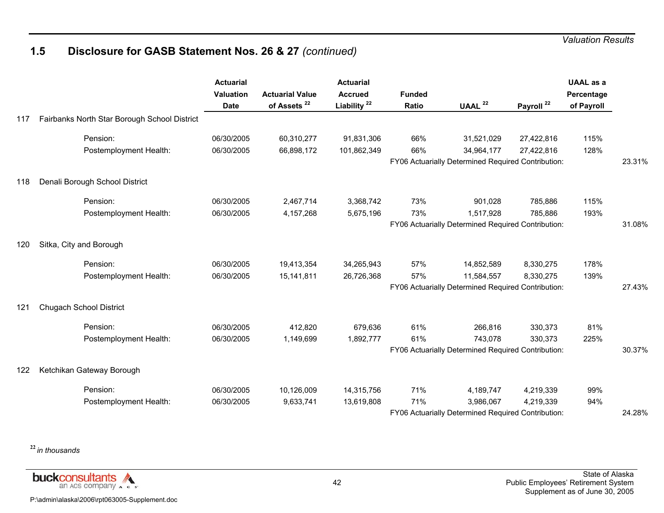## **1.5 Disclosure for GASB Statement Nos. 26 & 27** *(continued)*

|     |                                              | <b>Actuarial</b><br>Valuation<br><b>Date</b> | <b>Actuarial Value</b><br>of Assets <sup>22</sup> | <b>Actuarial</b><br><b>Accrued</b><br>Liability <sup>22</sup> | <b>Funded</b><br>Ratio | UAAL <sup>22</sup>                                 | Payroll <sup>22</sup> | <b>UAAL</b> as a<br>Percentage<br>of Payroll |        |
|-----|----------------------------------------------|----------------------------------------------|---------------------------------------------------|---------------------------------------------------------------|------------------------|----------------------------------------------------|-----------------------|----------------------------------------------|--------|
| 117 | Fairbanks North Star Borough School District |                                              |                                                   |                                                               |                        |                                                    |                       |                                              |        |
|     | Pension:                                     | 06/30/2005                                   | 60,310,277                                        | 91,831,306                                                    | 66%                    | 31,521,029                                         | 27,422,816            | 115%                                         |        |
|     | Postemployment Health:                       | 06/30/2005                                   | 66,898,172                                        | 101,862,349                                                   | 66%                    | 34,964,177                                         | 27,422,816            | 128%                                         |        |
|     |                                              |                                              |                                                   |                                                               |                        | FY06 Actuarially Determined Required Contribution: |                       |                                              | 23.31% |
| 118 | Denali Borough School District               |                                              |                                                   |                                                               |                        |                                                    |                       |                                              |        |
|     | Pension:                                     | 06/30/2005                                   | 2,467,714                                         | 3,368,742                                                     | 73%                    | 901,028                                            | 785,886               | 115%                                         |        |
|     | Postemployment Health:                       | 06/30/2005                                   | 4,157,268                                         | 5,675,196                                                     | 73%                    | 1,517,928                                          | 785,886               | 193%                                         |        |
|     |                                              |                                              |                                                   |                                                               |                        | FY06 Actuarially Determined Required Contribution: |                       |                                              | 31.08% |
| 120 | Sitka, City and Borough                      |                                              |                                                   |                                                               |                        |                                                    |                       |                                              |        |
|     | Pension:                                     | 06/30/2005                                   | 19,413,354                                        | 34,265,943                                                    | 57%                    | 14,852,589                                         | 8,330,275             | 178%                                         |        |
|     | Postemployment Health:                       | 06/30/2005                                   | 15,141,811                                        | 26,726,368                                                    | 57%                    | 11,584,557                                         | 8,330,275             | 139%                                         |        |
|     |                                              |                                              |                                                   |                                                               |                        | FY06 Actuarially Determined Required Contribution: |                       |                                              | 27.43% |
| 121 | <b>Chugach School District</b>               |                                              |                                                   |                                                               |                        |                                                    |                       |                                              |        |
|     | Pension:                                     | 06/30/2005                                   | 412,820                                           | 679,636                                                       | 61%                    | 266,816                                            | 330,373               | 81%                                          |        |
|     | Postemployment Health:                       | 06/30/2005                                   | 1,149,699                                         | 1,892,777                                                     | 61%                    | 743,078                                            | 330,373               | 225%                                         |        |
|     |                                              |                                              |                                                   |                                                               |                        | FY06 Actuarially Determined Required Contribution: |                       |                                              | 30.37% |
| 122 | Ketchikan Gateway Borough                    |                                              |                                                   |                                                               |                        |                                                    |                       |                                              |        |
|     | Pension:                                     | 06/30/2005                                   | 10,126,009                                        | 14,315,756                                                    | 71%                    | 4,189,747                                          | 4,219,339             | 99%                                          |        |
|     | Postemployment Health:                       | 06/30/2005                                   | 9,633,741                                         | 13,619,808                                                    | 71%                    | 3,986,067                                          | 4,219,339             | 94%                                          |        |
|     |                                              |                                              |                                                   |                                                               |                        | FY06 Actuarially Determined Required Contribution: |                       |                                              | 24.28% |

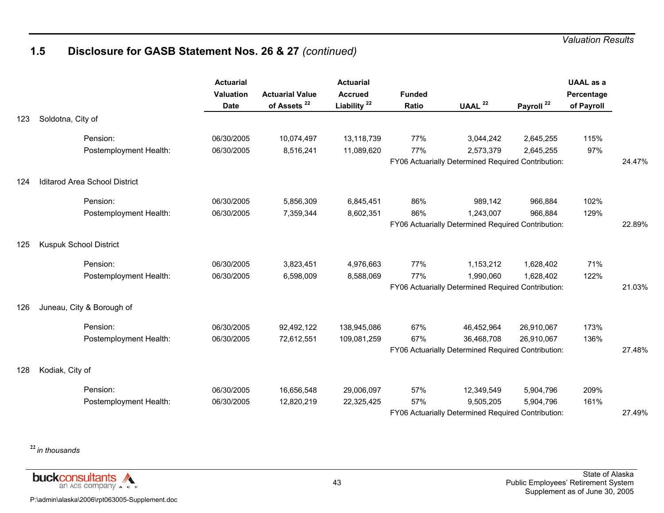## **1.5 Disclosure for GASB Statement Nos. 26 & 27** *(continued)*

|     |                                      | <b>Actuarial</b><br><b>Valuation</b><br><b>Date</b> | <b>Actuarial Value</b><br>of Assets <sup>22</sup> | <b>Actuarial</b><br><b>Accrued</b><br>Liability <sup>22</sup> | <b>Funded</b><br>Ratio | UAAL $22$                                          | Payroll <sup>22</sup> | <b>UAAL</b> as a<br>Percentage<br>of Payroll |        |
|-----|--------------------------------------|-----------------------------------------------------|---------------------------------------------------|---------------------------------------------------------------|------------------------|----------------------------------------------------|-----------------------|----------------------------------------------|--------|
| 123 | Soldotna, City of                    |                                                     |                                                   |                                                               |                        |                                                    |                       |                                              |        |
|     | Pension:                             | 06/30/2005                                          | 10,074,497                                        | 13,118,739                                                    | 77%                    | 3,044,242                                          | 2,645,255             | 115%                                         |        |
|     | Postemployment Health:               | 06/30/2005                                          | 8,516,241                                         | 11,089,620                                                    | 77%                    | 2,573,379                                          | 2,645,255             | 97%                                          |        |
|     |                                      |                                                     |                                                   |                                                               |                        | FY06 Actuarially Determined Required Contribution: |                       |                                              | 24.47% |
| 124 | <b>Iditarod Area School District</b> |                                                     |                                                   |                                                               |                        |                                                    |                       |                                              |        |
|     | Pension:                             | 06/30/2005                                          | 5,856,309                                         | 6,845,451                                                     | 86%                    | 989,142                                            | 966,884               | 102%                                         |        |
|     | Postemployment Health:               | 06/30/2005                                          | 7,359,344                                         | 8,602,351                                                     | 86%                    | 1,243,007                                          | 966,884               | 129%                                         |        |
|     |                                      |                                                     |                                                   |                                                               |                        | FY06 Actuarially Determined Required Contribution: |                       |                                              | 22.89% |
| 125 | Kuspuk School District               |                                                     |                                                   |                                                               |                        |                                                    |                       |                                              |        |
|     | Pension:                             | 06/30/2005                                          | 3,823,451                                         | 4,976,663                                                     | 77%                    | 1,153,212                                          | 1,628,402             | 71%                                          |        |
|     | Postemployment Health:               | 06/30/2005                                          | 6,598,009                                         | 8,588,069                                                     | 77%                    | 1,990,060                                          | 1,628,402             | 122%                                         |        |
|     |                                      |                                                     |                                                   |                                                               |                        | FY06 Actuarially Determined Required Contribution: |                       |                                              | 21.03% |
| 126 | Juneau, City & Borough of            |                                                     |                                                   |                                                               |                        |                                                    |                       |                                              |        |
|     | Pension:                             | 06/30/2005                                          | 92,492,122                                        | 138,945,086                                                   | 67%                    | 46,452,964                                         | 26,910,067            | 173%                                         |        |
|     | Postemployment Health:               | 06/30/2005                                          | 72,612,551                                        | 109,081,259                                                   | 67%                    | 36,468,708                                         | 26,910,067            | 136%                                         |        |
|     |                                      |                                                     |                                                   |                                                               |                        | FY06 Actuarially Determined Required Contribution: |                       |                                              | 27.48% |
| 128 | Kodiak, City of                      |                                                     |                                                   |                                                               |                        |                                                    |                       |                                              |        |
|     | Pension:                             | 06/30/2005                                          | 16,656,548                                        | 29,006,097                                                    | 57%                    | 12,349,549                                         | 5,904,796             | 209%                                         |        |
|     | Postemployment Health:               | 06/30/2005                                          | 12,820,219                                        | 22,325,425                                                    | 57%                    | 9,505,205                                          | 5,904,796             | 161%                                         |        |
|     |                                      |                                                     |                                                   |                                                               |                        | FY06 Actuarially Determined Required Contribution: |                       |                                              | 27.49% |

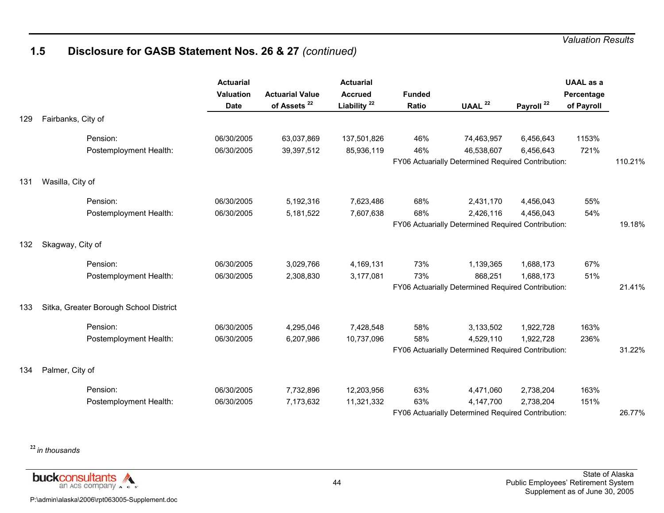## **1.5 Disclosure for GASB Statement Nos. 26 & 27** *(continued)*

|     |                                        | <b>Actuarial</b><br>Valuation<br><b>Date</b> | <b>Actuarial Value</b><br>of Assets <sup>22</sup> | <b>Actuarial</b><br><b>Accrued</b><br>Liability <sup>22</sup> | <b>Funded</b><br>Ratio | UAAL <sup>22</sup>                                 | Payroll <sup>22</sup> | <b>UAAL</b> as a<br>Percentage<br>of Payroll |         |
|-----|----------------------------------------|----------------------------------------------|---------------------------------------------------|---------------------------------------------------------------|------------------------|----------------------------------------------------|-----------------------|----------------------------------------------|---------|
| 129 | Fairbanks, City of                     |                                              |                                                   |                                                               |                        |                                                    |                       |                                              |         |
|     | Pension:                               | 06/30/2005                                   | 63,037,869                                        | 137,501,826                                                   | 46%                    | 74,463,957                                         | 6,456,643             | 1153%                                        |         |
|     | Postemployment Health:                 | 06/30/2005                                   | 39,397,512                                        | 85,936,119                                                    | 46%                    | 46,538,607                                         | 6,456,643             | 721%                                         |         |
|     |                                        |                                              |                                                   |                                                               |                        | FY06 Actuarially Determined Required Contribution: |                       |                                              | 110.21% |
| 131 | Wasilla, City of                       |                                              |                                                   |                                                               |                        |                                                    |                       |                                              |         |
|     | Pension:                               | 06/30/2005                                   | 5,192,316                                         | 7,623,486                                                     | 68%                    | 2,431,170                                          | 4,456,043             | 55%                                          |         |
|     | Postemployment Health:                 | 06/30/2005                                   | 5,181,522                                         | 7,607,638                                                     | 68%                    | 2,426,116                                          | 4,456,043             | 54%                                          |         |
|     |                                        |                                              |                                                   |                                                               |                        | FY06 Actuarially Determined Required Contribution: |                       |                                              | 19.18%  |
| 132 | Skagway, City of                       |                                              |                                                   |                                                               |                        |                                                    |                       |                                              |         |
|     | Pension:                               | 06/30/2005                                   | 3,029,766                                         | 4,169,131                                                     | 73%                    | 1,139,365                                          | 1,688,173             | 67%                                          |         |
|     | Postemployment Health:                 | 06/30/2005                                   | 2,308,830                                         | 3,177,081                                                     | 73%                    | 868,251                                            | 1,688,173             | 51%                                          |         |
|     |                                        |                                              |                                                   |                                                               |                        | FY06 Actuarially Determined Required Contribution: |                       |                                              | 21.41%  |
| 133 | Sitka, Greater Borough School District |                                              |                                                   |                                                               |                        |                                                    |                       |                                              |         |
|     | Pension:                               | 06/30/2005                                   | 4,295,046                                         | 7,428,548                                                     | 58%                    | 3,133,502                                          | 1,922,728             | 163%                                         |         |
|     | Postemployment Health:                 | 06/30/2005                                   | 6,207,986                                         | 10,737,096                                                    | 58%                    | 4,529,110                                          | 1,922,728             | 236%                                         |         |
|     |                                        |                                              |                                                   |                                                               |                        | FY06 Actuarially Determined Required Contribution: |                       |                                              | 31.22%  |
| 134 | Palmer, City of                        |                                              |                                                   |                                                               |                        |                                                    |                       |                                              |         |
|     | Pension:                               | 06/30/2005                                   | 7,732,896                                         | 12,203,956                                                    | 63%                    | 4,471,060                                          | 2,738,204             | 163%                                         |         |
|     | Postemployment Health:                 | 06/30/2005                                   | 7,173,632                                         | 11,321,332                                                    | 63%                    | 4,147,700                                          | 2,738,204             | 151%                                         |         |
|     |                                        |                                              |                                                   |                                                               |                        | FY06 Actuarially Determined Required Contribution: |                       |                                              | 26.77%  |

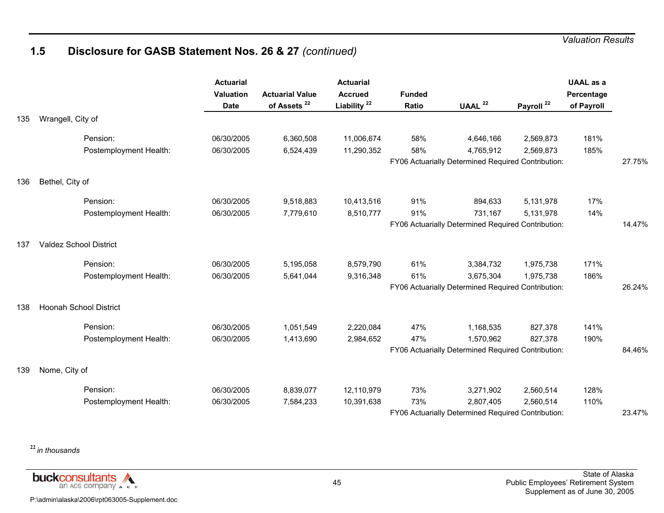## **1.5 Disclosure for GASB Statement Nos. 26 & 27** *(continued)*

|     |                               | <b>Actuarial</b><br>Valuation<br><b>Date</b> | <b>Actuarial Value</b><br>of Assets <sup>22</sup> | <b>Actuarial</b><br><b>Accrued</b><br>Liability <sup>22</sup> | <b>Funded</b><br>Ratio | UAAL <sup>22</sup>                                 | Payroll <sup>22</sup> | <b>UAAL</b> as a<br>Percentage<br>of Payroll |        |
|-----|-------------------------------|----------------------------------------------|---------------------------------------------------|---------------------------------------------------------------|------------------------|----------------------------------------------------|-----------------------|----------------------------------------------|--------|
| 135 | Wrangell, City of             |                                              |                                                   |                                                               |                        |                                                    |                       |                                              |        |
|     | Pension:                      | 06/30/2005                                   | 6,360,508                                         | 11,006,674                                                    | 58%                    | 4,646,166                                          | 2,569,873             | 181%                                         |        |
|     | Postemployment Health:        | 06/30/2005                                   | 6,524,439                                         | 11,290,352                                                    | 58%                    | 4,765,912                                          | 2,569,873             | 185%                                         |        |
|     |                               |                                              |                                                   |                                                               |                        | FY06 Actuarially Determined Required Contribution: |                       |                                              | 27.75% |
| 136 | Bethel, City of               |                                              |                                                   |                                                               |                        |                                                    |                       |                                              |        |
|     | Pension:                      | 06/30/2005                                   | 9,518,883                                         | 10,413,516                                                    | 91%                    | 894,633                                            | 5,131,978             | 17%                                          |        |
|     | Postemployment Health:        | 06/30/2005                                   | 7,779,610                                         | 8,510,777                                                     | 91%                    | 731,167                                            | 5,131,978             | 14%                                          |        |
|     |                               |                                              |                                                   |                                                               |                        | FY06 Actuarially Determined Required Contribution: |                       |                                              | 14.47% |
| 137 | <b>Valdez School District</b> |                                              |                                                   |                                                               |                        |                                                    |                       |                                              |        |
|     | Pension:                      | 06/30/2005                                   | 5,195,058                                         | 8,579,790                                                     | 61%                    | 3,384,732                                          | 1,975,738             | 171%                                         |        |
|     | Postemployment Health:        | 06/30/2005                                   | 5,641,044                                         | 9,316,348                                                     | 61%                    | 3,675,304                                          | 1,975,738             | 186%                                         |        |
|     |                               |                                              |                                                   |                                                               |                        | FY06 Actuarially Determined Required Contribution: |                       |                                              | 26.24% |
| 138 | <b>Hoonah School District</b> |                                              |                                                   |                                                               |                        |                                                    |                       |                                              |        |
|     | Pension:                      | 06/30/2005                                   | 1,051,549                                         | 2,220,084                                                     | 47%                    | 1,168,535                                          | 827,378               | 141%                                         |        |
|     | Postemployment Health:        | 06/30/2005                                   | 1,413,690                                         | 2,984,652                                                     | 47%                    | 1,570,962                                          | 827,378               | 190%                                         |        |
|     |                               |                                              |                                                   |                                                               |                        | FY06 Actuarially Determined Required Contribution: |                       |                                              | 84.46% |
| 139 | Nome, City of                 |                                              |                                                   |                                                               |                        |                                                    |                       |                                              |        |
|     | Pension:                      | 06/30/2005                                   | 8,839,077                                         | 12,110,979                                                    | 73%                    | 3,271,902                                          | 2,560,514             | 128%                                         |        |
|     | Postemployment Health:        | 06/30/2005                                   | 7,584,233                                         | 10,391,638                                                    | 73%                    | 2,807,405                                          | 2,560,514             | 110%                                         |        |
|     |                               |                                              |                                                   |                                                               |                        | FY06 Actuarially Determined Required Contribution: |                       |                                              | 23.47% |

**<sup>22</sup>***in thousands*

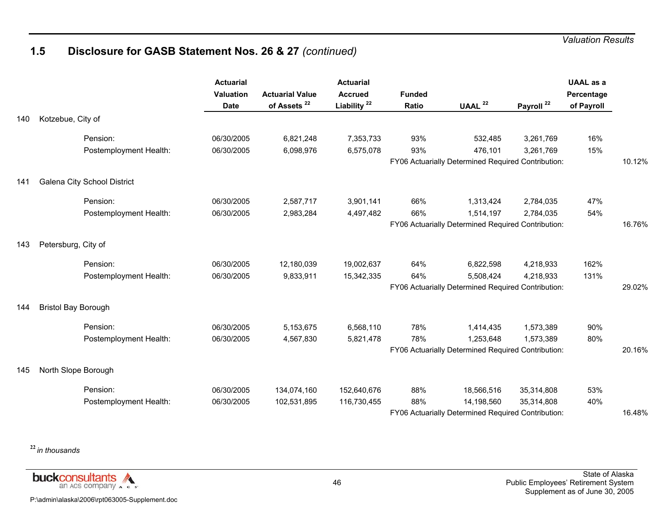## **1.5 Disclosure for GASB Statement Nos. 26 & 27** *(continued)*

|     |                             | <b>Actuarial</b><br><b>Valuation</b><br><b>Date</b> | <b>Actuarial Value</b><br>of Assets <sup>22</sup> | <b>Actuarial</b><br><b>Accrued</b><br>Liability <sup>22</sup> | <b>Funded</b><br>Ratio | UAAL <sup>22</sup>                                 | Payroll <sup>22</sup> | <b>UAAL</b> as a<br>Percentage<br>of Payroll |        |
|-----|-----------------------------|-----------------------------------------------------|---------------------------------------------------|---------------------------------------------------------------|------------------------|----------------------------------------------------|-----------------------|----------------------------------------------|--------|
| 140 | Kotzebue, City of           |                                                     |                                                   |                                                               |                        |                                                    |                       |                                              |        |
|     | Pension:                    | 06/30/2005                                          | 6,821,248                                         | 7,353,733                                                     | 93%                    | 532,485                                            | 3,261,769             | 16%                                          |        |
|     | Postemployment Health:      | 06/30/2005                                          | 6,098,976                                         | 6,575,078                                                     | 93%                    | 476,101                                            | 3,261,769             | 15%                                          |        |
|     |                             |                                                     |                                                   |                                                               |                        | FY06 Actuarially Determined Required Contribution: |                       |                                              | 10.12% |
| 141 | Galena City School District |                                                     |                                                   |                                                               |                        |                                                    |                       |                                              |        |
|     | Pension:                    | 06/30/2005                                          | 2,587,717                                         | 3,901,141                                                     | 66%                    | 1,313,424                                          | 2,784,035             | 47%                                          |        |
|     | Postemployment Health:      | 06/30/2005                                          | 2,983,284                                         | 4,497,482                                                     | 66%                    | 1,514,197                                          | 2,784,035             | 54%                                          |        |
|     |                             |                                                     |                                                   |                                                               |                        | FY06 Actuarially Determined Required Contribution: |                       |                                              | 16.76% |
| 143 | Petersburg, City of         |                                                     |                                                   |                                                               |                        |                                                    |                       |                                              |        |
|     | Pension:                    | 06/30/2005                                          | 12,180,039                                        | 19,002,637                                                    | 64%                    | 6,822,598                                          | 4,218,933             | 162%                                         |        |
|     | Postemployment Health:      | 06/30/2005                                          | 9,833,911                                         | 15,342,335                                                    | 64%                    | 5,508,424                                          | 4,218,933             | 131%                                         |        |
|     |                             |                                                     |                                                   |                                                               |                        | FY06 Actuarially Determined Required Contribution: |                       |                                              | 29.02% |
| 144 | <b>Bristol Bay Borough</b>  |                                                     |                                                   |                                                               |                        |                                                    |                       |                                              |        |
|     | Pension:                    | 06/30/2005                                          | 5,153,675                                         | 6,568,110                                                     | 78%                    | 1,414,435                                          | 1,573,389             | 90%                                          |        |
|     | Postemployment Health:      | 06/30/2005                                          | 4,567,830                                         | 5,821,478                                                     | 78%                    | 1,253,648                                          | 1,573,389             | 80%                                          |        |
|     |                             |                                                     |                                                   |                                                               |                        | FY06 Actuarially Determined Required Contribution: |                       |                                              | 20.16% |
| 145 | North Slope Borough         |                                                     |                                                   |                                                               |                        |                                                    |                       |                                              |        |
|     | Pension:                    | 06/30/2005                                          | 134,074,160                                       | 152,640,676                                                   | 88%                    | 18,566,516                                         | 35,314,808            | 53%                                          |        |
|     | Postemployment Health:      | 06/30/2005                                          | 102,531,895                                       | 116,730,455                                                   | 88%                    | 14,198,560                                         | 35,314,808            | 40%                                          |        |
|     |                             |                                                     |                                                   |                                                               |                        | FY06 Actuarially Determined Required Contribution: |                       |                                              | 16.48% |

**<sup>22</sup>***in thousands*

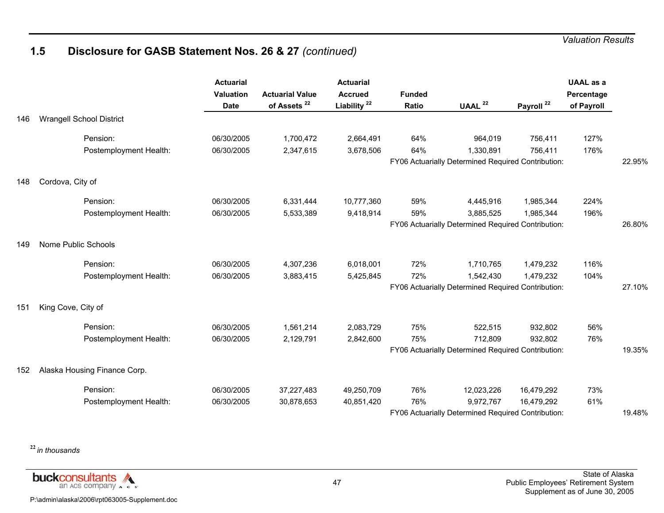## **1.5 Disclosure for GASB Statement Nos. 26 & 27** *(continued)*

|     |                                 | <b>Actuarial</b><br><b>Valuation</b><br><b>Date</b> | <b>Actuarial Value</b><br>of Assets <sup>22</sup> | <b>Actuarial</b><br><b>Accrued</b><br>Liability <sup>22</sup> | <b>Funded</b><br>Ratio | UAAL <sup>22</sup>                                 | Payroll <sup>22</sup> | <b>UAAL as a</b><br>Percentage<br>of Payroll |        |
|-----|---------------------------------|-----------------------------------------------------|---------------------------------------------------|---------------------------------------------------------------|------------------------|----------------------------------------------------|-----------------------|----------------------------------------------|--------|
| 146 | <b>Wrangell School District</b> |                                                     |                                                   |                                                               |                        |                                                    |                       |                                              |        |
|     | Pension:                        | 06/30/2005                                          | 1,700,472                                         | 2,664,491                                                     | 64%                    | 964,019                                            | 756,411               | 127%                                         |        |
|     | Postemployment Health:          | 06/30/2005                                          | 2,347,615                                         | 3,678,506                                                     | 64%                    | 1,330,891                                          | 756,411               | 176%                                         |        |
|     |                                 |                                                     |                                                   |                                                               |                        | FY06 Actuarially Determined Required Contribution: |                       |                                              | 22.95% |
| 148 | Cordova, City of                |                                                     |                                                   |                                                               |                        |                                                    |                       |                                              |        |
|     | Pension:                        | 06/30/2005                                          | 6,331,444                                         | 10,777,360                                                    | 59%                    | 4,445,916                                          | 1,985,344             | 224%                                         |        |
|     | Postemployment Health:          | 06/30/2005                                          | 5,533,389                                         | 9,418,914                                                     | 59%                    | 3,885,525                                          | 1,985,344             | 196%                                         |        |
|     |                                 |                                                     |                                                   |                                                               |                        | FY06 Actuarially Determined Required Contribution: |                       |                                              | 26.80% |
| 149 | Nome Public Schools             |                                                     |                                                   |                                                               |                        |                                                    |                       |                                              |        |
|     | Pension:                        | 06/30/2005                                          | 4,307,236                                         | 6,018,001                                                     | 72%                    | 1,710,765                                          | 1,479,232             | 116%                                         |        |
|     | Postemployment Health:          | 06/30/2005                                          | 3,883,415                                         | 5,425,845                                                     | 72%                    | 1,542,430                                          | 1,479,232             | 104%                                         |        |
|     |                                 |                                                     |                                                   |                                                               |                        | FY06 Actuarially Determined Required Contribution: |                       |                                              | 27.10% |
| 151 | King Cove, City of              |                                                     |                                                   |                                                               |                        |                                                    |                       |                                              |        |
|     | Pension:                        | 06/30/2005                                          | 1,561,214                                         | 2,083,729                                                     | 75%                    | 522,515                                            | 932,802               | 56%                                          |        |
|     | Postemployment Health:          | 06/30/2005                                          | 2,129,791                                         | 2,842,600                                                     | 75%                    | 712,809                                            | 932,802               | 76%                                          |        |
|     |                                 |                                                     |                                                   |                                                               |                        | FY06 Actuarially Determined Required Contribution: |                       |                                              | 19.35% |
| 152 | Alaska Housing Finance Corp.    |                                                     |                                                   |                                                               |                        |                                                    |                       |                                              |        |
|     | Pension:                        | 06/30/2005                                          | 37,227,483                                        | 49,250,709                                                    | 76%                    | 12,023,226                                         | 16,479,292            | 73%                                          |        |
|     | Postemployment Health:          | 06/30/2005                                          | 30,878,653                                        | 40,851,420                                                    | 76%                    | 9,972,767                                          | 16,479,292            | 61%                                          |        |
|     |                                 |                                                     |                                                   |                                                               |                        | FY06 Actuarially Determined Required Contribution: |                       |                                              | 19.48% |

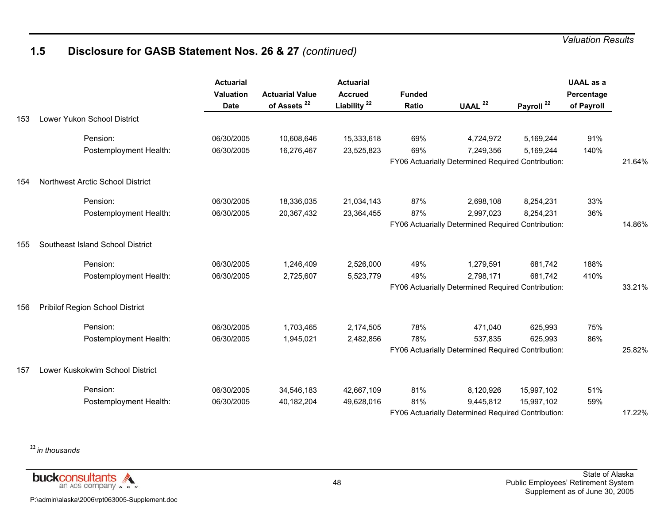# **1.5 Disclosure for GASB Statement Nos. 26 & 27** *(continued)*

|     |                                  | <b>Actuarial</b><br>Valuation<br><b>Date</b> | <b>Actuarial Value</b><br>of Assets <sup>22</sup> | <b>Actuarial</b><br><b>Accrued</b><br>Liability <sup>22</sup> | <b>Funded</b><br>Ratio | UAAL $22$                                          | Payroll <sup>22</sup> | <b>UAAL</b> as a<br>Percentage<br>of Payroll |        |
|-----|----------------------------------|----------------------------------------------|---------------------------------------------------|---------------------------------------------------------------|------------------------|----------------------------------------------------|-----------------------|----------------------------------------------|--------|
| 153 | Lower Yukon School District      |                                              |                                                   |                                                               |                        |                                                    |                       |                                              |        |
|     | Pension:                         | 06/30/2005                                   | 10,608,646                                        | 15,333,618                                                    | 69%                    | 4,724,972                                          | 5,169,244             | 91%                                          |        |
|     | Postemployment Health:           | 06/30/2005                                   | 16,276,467                                        | 23,525,823                                                    | 69%                    | 7,249,356                                          | 5,169,244             | 140%                                         |        |
|     |                                  |                                              |                                                   |                                                               |                        | FY06 Actuarially Determined Required Contribution: |                       |                                              | 21.64% |
| 154 | Northwest Arctic School District |                                              |                                                   |                                                               |                        |                                                    |                       |                                              |        |
|     | Pension:                         | 06/30/2005                                   | 18,336,035                                        | 21,034,143                                                    | 87%                    | 2,698,108                                          | 8,254,231             | 33%                                          |        |
|     | Postemployment Health:           | 06/30/2005                                   | 20,367,432                                        | 23,364,455                                                    | 87%                    | 2,997,023                                          | 8,254,231             | 36%                                          |        |
|     |                                  |                                              |                                                   |                                                               |                        | FY06 Actuarially Determined Required Contribution: |                       |                                              | 14.86% |
| 155 | Southeast Island School District |                                              |                                                   |                                                               |                        |                                                    |                       |                                              |        |
|     | Pension:                         | 06/30/2005                                   | 1,246,409                                         | 2,526,000                                                     | 49%                    | 1,279,591                                          | 681,742               | 188%                                         |        |
|     | Postemployment Health:           | 06/30/2005                                   | 2,725,607                                         | 5,523,779                                                     | 49%                    | 2,798,171                                          | 681,742               | 410%                                         |        |
|     |                                  |                                              |                                                   |                                                               |                        | FY06 Actuarially Determined Required Contribution: |                       |                                              | 33.21% |
| 156 | Pribilof Region School District  |                                              |                                                   |                                                               |                        |                                                    |                       |                                              |        |
|     | Pension:                         | 06/30/2005                                   | 1,703,465                                         | 2,174,505                                                     | 78%                    | 471,040                                            | 625,993               | 75%                                          |        |
|     | Postemployment Health:           | 06/30/2005                                   | 1,945,021                                         | 2,482,856                                                     | 78%                    | 537,835                                            | 625,993               | 86%                                          |        |
|     |                                  |                                              |                                                   |                                                               |                        | FY06 Actuarially Determined Required Contribution: |                       |                                              | 25.82% |
| 157 | Lower Kuskokwim School District  |                                              |                                                   |                                                               |                        |                                                    |                       |                                              |        |
|     | Pension:                         | 06/30/2005                                   | 34,546,183                                        | 42,667,109                                                    | 81%                    | 8,120,926                                          | 15,997,102            | 51%                                          |        |
|     | Postemployment Health:           | 06/30/2005                                   | 40,182,204                                        | 49,628,016                                                    | 81%                    | 9,445,812                                          | 15,997,102            | 59%                                          |        |
|     |                                  |                                              |                                                   |                                                               |                        | FY06 Actuarially Determined Required Contribution: |                       |                                              | 17.22% |

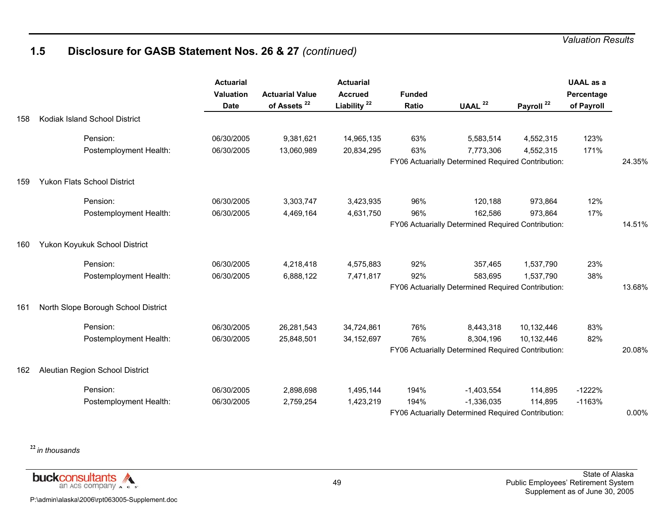## **1.5 Disclosure for GASB Statement Nos. 26 & 27** *(continued)*

|     |                                     | <b>Actuarial</b><br>Valuation<br><b>Date</b> | <b>Actuarial Value</b><br>of Assets <sup>22</sup> | <b>Actuarial</b><br><b>Accrued</b><br>Liability <sup>22</sup> | <b>Funded</b><br>Ratio | UAAL $22$                                          | Payroll <sup>22</sup> | <b>UAAL</b> as a<br>Percentage<br>of Payroll |        |
|-----|-------------------------------------|----------------------------------------------|---------------------------------------------------|---------------------------------------------------------------|------------------------|----------------------------------------------------|-----------------------|----------------------------------------------|--------|
| 158 | Kodiak Island School District       |                                              |                                                   |                                                               |                        |                                                    |                       |                                              |        |
|     | Pension:                            | 06/30/2005                                   | 9,381,621                                         | 14,965,135                                                    | 63%                    | 5,583,514                                          | 4,552,315             | 123%                                         |        |
|     | Postemployment Health:              | 06/30/2005                                   | 13,060,989                                        | 20,834,295                                                    | 63%                    | 7,773,306                                          | 4,552,315             | 171%                                         |        |
|     |                                     |                                              |                                                   |                                                               |                        | FY06 Actuarially Determined Required Contribution: |                       |                                              | 24.35% |
| 159 | <b>Yukon Flats School District</b>  |                                              |                                                   |                                                               |                        |                                                    |                       |                                              |        |
|     | Pension:                            | 06/30/2005                                   | 3,303,747                                         | 3,423,935                                                     | 96%                    | 120,188                                            | 973,864               | 12%                                          |        |
|     | Postemployment Health:              | 06/30/2005                                   | 4,469,164                                         | 4,631,750                                                     | 96%                    | 162,586                                            | 973,864               | 17%                                          |        |
|     |                                     |                                              |                                                   |                                                               |                        | FY06 Actuarially Determined Required Contribution: |                       |                                              | 14.51% |
| 160 | Yukon Koyukuk School District       |                                              |                                                   |                                                               |                        |                                                    |                       |                                              |        |
|     | Pension:                            | 06/30/2005                                   | 4,218,418                                         | 4,575,883                                                     | 92%                    | 357,465                                            | 1,537,790             | 23%                                          |        |
|     | Postemployment Health:              | 06/30/2005                                   | 6,888,122                                         | 7,471,817                                                     | 92%                    | 583,695                                            | 1,537,790             | 38%                                          |        |
|     |                                     |                                              |                                                   |                                                               |                        | FY06 Actuarially Determined Required Contribution: |                       |                                              | 13.68% |
| 161 | North Slope Borough School District |                                              |                                                   |                                                               |                        |                                                    |                       |                                              |        |
|     | Pension:                            | 06/30/2005                                   | 26,281,543                                        | 34,724,861                                                    | 76%                    | 8,443,318                                          | 10,132,446            | 83%                                          |        |
|     | Postemployment Health:              | 06/30/2005                                   | 25,848,501                                        | 34, 152, 697                                                  | 76%                    | 8,304,196                                          | 10,132,446            | 82%                                          |        |
|     |                                     |                                              |                                                   |                                                               |                        | FY06 Actuarially Determined Required Contribution: |                       |                                              | 20.08% |
| 162 | Aleutian Region School District     |                                              |                                                   |                                                               |                        |                                                    |                       |                                              |        |
|     | Pension:                            | 06/30/2005                                   | 2,898,698                                         | 1,495,144                                                     | 194%                   | $-1,403,554$                                       | 114,895               | $-1222%$                                     |        |
|     | Postemployment Health:              | 06/30/2005                                   | 2,759,254                                         | 1,423,219                                                     | 194%                   | $-1,336,035$                                       | 114,895               | $-1163%$                                     |        |
|     |                                     |                                              |                                                   |                                                               |                        | FY06 Actuarially Determined Required Contribution: |                       |                                              | 0.00%  |

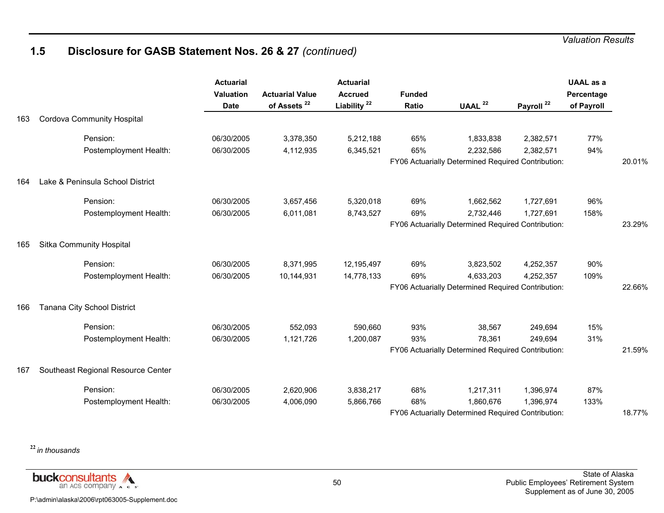## **1.5 Disclosure for GASB Statement Nos. 26 & 27** *(continued)*

|     |                                    | <b>Actuarial</b><br><b>Valuation</b><br><b>Date</b> | <b>Actuarial Value</b><br>of Assets <sup>22</sup> | <b>Actuarial</b><br><b>Accrued</b><br>Liability <sup>22</sup> | <b>Funded</b><br>Ratio | UAAL $22$                                          | Payroll <sup>22</sup> | <b>UAAL</b> as a<br>Percentage<br>of Payroll |        |
|-----|------------------------------------|-----------------------------------------------------|---------------------------------------------------|---------------------------------------------------------------|------------------------|----------------------------------------------------|-----------------------|----------------------------------------------|--------|
| 163 | <b>Cordova Community Hospital</b>  |                                                     |                                                   |                                                               |                        |                                                    |                       |                                              |        |
|     | Pension:                           | 06/30/2005                                          | 3,378,350                                         | 5,212,188                                                     | 65%                    | 1,833,838                                          | 2,382,571             | 77%                                          |        |
|     | Postemployment Health:             | 06/30/2005                                          | 4,112,935                                         | 6,345,521                                                     | 65%                    | 2,232,586                                          | 2,382,571             | 94%                                          |        |
|     |                                    |                                                     |                                                   |                                                               |                        | FY06 Actuarially Determined Required Contribution: |                       |                                              | 20.01% |
| 164 | Lake & Peninsula School District   |                                                     |                                                   |                                                               |                        |                                                    |                       |                                              |        |
|     | Pension:                           | 06/30/2005                                          | 3,657,456                                         | 5,320,018                                                     | 69%                    | 1,662,562                                          | 1,727,691             | 96%                                          |        |
|     | Postemployment Health:             | 06/30/2005                                          | 6,011,081                                         | 8,743,527                                                     | 69%                    | 2,732,446                                          | 1,727,691             | 158%                                         |        |
|     |                                    |                                                     |                                                   |                                                               |                        | FY06 Actuarially Determined Required Contribution: |                       |                                              | 23.29% |
| 165 | Sitka Community Hospital           |                                                     |                                                   |                                                               |                        |                                                    |                       |                                              |        |
|     | Pension:                           | 06/30/2005                                          | 8,371,995                                         | 12,195,497                                                    | 69%                    | 3,823,502                                          | 4,252,357             | 90%                                          |        |
|     | Postemployment Health:             | 06/30/2005                                          | 10,144,931                                        | 14,778,133                                                    | 69%                    | 4,633,203                                          | 4,252,357             | 109%                                         |        |
|     |                                    |                                                     |                                                   |                                                               |                        | FY06 Actuarially Determined Required Contribution: |                       |                                              | 22.66% |
| 166 | Tanana City School District        |                                                     |                                                   |                                                               |                        |                                                    |                       |                                              |        |
|     | Pension:                           | 06/30/2005                                          | 552,093                                           | 590,660                                                       | 93%                    | 38,567                                             | 249,694               | 15%                                          |        |
|     | Postemployment Health:             | 06/30/2005                                          | 1,121,726                                         | 1,200,087                                                     | 93%                    | 78,361                                             | 249,694               | 31%                                          |        |
|     |                                    |                                                     |                                                   |                                                               |                        | FY06 Actuarially Determined Required Contribution: |                       |                                              | 21.59% |
| 167 | Southeast Regional Resource Center |                                                     |                                                   |                                                               |                        |                                                    |                       |                                              |        |
|     | Pension:                           | 06/30/2005                                          | 2,620,906                                         | 3,838,217                                                     | 68%                    | 1,217,311                                          | 1,396,974             | 87%                                          |        |
|     | Postemployment Health:             | 06/30/2005                                          | 4,006,090                                         | 5,866,766                                                     | 68%                    | 1,860,676                                          | 1,396,974             | 133%                                         |        |
|     |                                    |                                                     |                                                   |                                                               |                        | FY06 Actuarially Determined Required Contribution: |                       |                                              | 18.77% |

**<sup>22</sup>***in thousands*

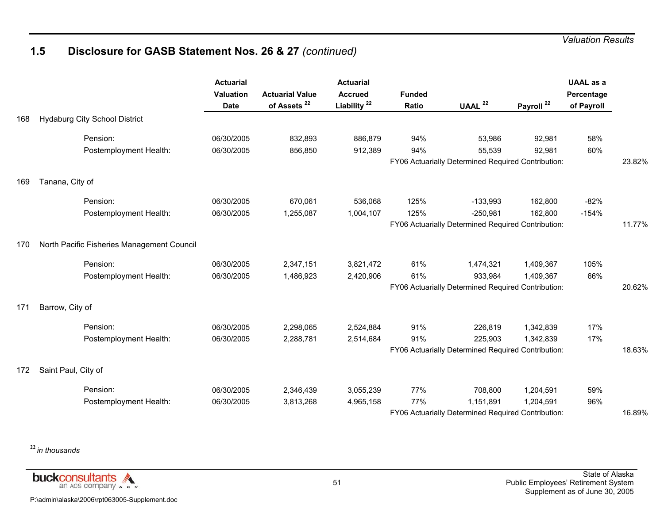## **1.5 Disclosure for GASB Statement Nos. 26 & 27** *(continued)*

|     |                                            | <b>Actuarial</b><br><b>Valuation</b><br><b>Date</b> | <b>Actuarial Value</b><br>of Assets <sup>22</sup> | <b>Actuarial</b><br><b>Accrued</b><br>Liability <sup>22</sup> | <b>Funded</b><br>Ratio | UAAL <sup>22</sup>                                 | Payroll <sup>22</sup> | <b>UAAL as a</b><br>Percentage<br>of Payroll |        |
|-----|--------------------------------------------|-----------------------------------------------------|---------------------------------------------------|---------------------------------------------------------------|------------------------|----------------------------------------------------|-----------------------|----------------------------------------------|--------|
| 168 | <b>Hydaburg City School District</b>       |                                                     |                                                   |                                                               |                        |                                                    |                       |                                              |        |
|     | Pension:                                   | 06/30/2005                                          | 832,893                                           | 886,879                                                       | 94%                    | 53,986                                             | 92,981                | 58%                                          |        |
|     | Postemployment Health:                     | 06/30/2005                                          | 856,850                                           | 912,389                                                       | 94%                    | 55,539                                             | 92,981                | 60%                                          |        |
|     |                                            |                                                     |                                                   |                                                               |                        | FY06 Actuarially Determined Required Contribution: |                       |                                              | 23.82% |
| 169 | Tanana, City of                            |                                                     |                                                   |                                                               |                        |                                                    |                       |                                              |        |
|     | Pension:                                   | 06/30/2005                                          | 670,061                                           | 536,068                                                       | 125%                   | $-133,993$                                         | 162,800               | $-82%$                                       |        |
|     | Postemployment Health:                     | 06/30/2005                                          | 1,255,087                                         | 1,004,107                                                     | 125%                   | $-250,981$                                         | 162,800               | $-154%$                                      |        |
|     |                                            |                                                     |                                                   |                                                               |                        | FY06 Actuarially Determined Required Contribution: |                       |                                              | 11.77% |
| 170 | North Pacific Fisheries Management Council |                                                     |                                                   |                                                               |                        |                                                    |                       |                                              |        |
|     | Pension:                                   | 06/30/2005                                          | 2,347,151                                         | 3,821,472                                                     | 61%                    | 1,474,321                                          | 1,409,367             | 105%                                         |        |
|     | Postemployment Health:                     | 06/30/2005                                          | 1,486,923                                         | 2,420,906                                                     | 61%                    | 933,984                                            | 1,409,367             | 66%                                          |        |
|     |                                            |                                                     |                                                   |                                                               |                        | FY06 Actuarially Determined Required Contribution: |                       |                                              | 20.62% |
| 171 | Barrow, City of                            |                                                     |                                                   |                                                               |                        |                                                    |                       |                                              |        |
|     | Pension:                                   | 06/30/2005                                          | 2,298,065                                         | 2,524,884                                                     | 91%                    | 226,819                                            | 1,342,839             | 17%                                          |        |
|     | Postemployment Health:                     | 06/30/2005                                          | 2,288,781                                         | 2,514,684                                                     | 91%                    | 225,903                                            | 1,342,839             | 17%                                          |        |
|     |                                            |                                                     |                                                   |                                                               |                        | FY06 Actuarially Determined Required Contribution: |                       |                                              | 18.63% |
| 172 | Saint Paul, City of                        |                                                     |                                                   |                                                               |                        |                                                    |                       |                                              |        |
|     | Pension:                                   | 06/30/2005                                          | 2,346,439                                         | 3,055,239                                                     | 77%                    | 708,800                                            | 1,204,591             | 59%                                          |        |
|     | Postemployment Health:                     | 06/30/2005                                          | 3,813,268                                         | 4,965,158                                                     | 77%                    | 1,151,891                                          | 1,204,591             | 96%                                          |        |
|     |                                            |                                                     |                                                   |                                                               |                        | FY06 Actuarially Determined Required Contribution: |                       |                                              | 16.89% |

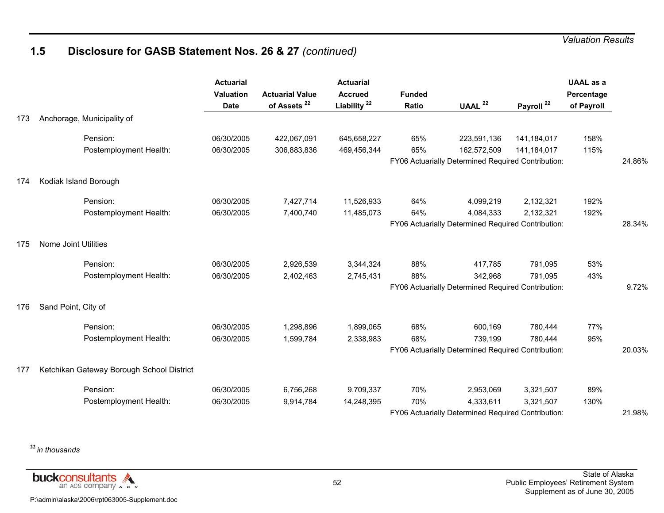# **1.5 Disclosure for GASB Statement Nos. 26 & 27** *(continued)*

|     |                                           | <b>Actuarial</b><br><b>Valuation</b><br><b>Date</b> | <b>Actuarial Value</b><br>of Assets <sup>22</sup> | <b>Actuarial</b><br><b>Accrued</b><br>Liability <sup>22</sup> | <b>Funded</b><br>Ratio | UAAL $22$                                          | Payroll <sup>22</sup> | <b>UAAL</b> as a<br>Percentage<br>of Payroll |        |
|-----|-------------------------------------------|-----------------------------------------------------|---------------------------------------------------|---------------------------------------------------------------|------------------------|----------------------------------------------------|-----------------------|----------------------------------------------|--------|
| 173 | Anchorage, Municipality of                |                                                     |                                                   |                                                               |                        |                                                    |                       |                                              |        |
|     | Pension:                                  | 06/30/2005                                          | 422,067,091                                       | 645,658,227                                                   | 65%                    | 223,591,136                                        | 141,184,017           | 158%                                         |        |
|     | Postemployment Health:                    | 06/30/2005                                          | 306,883,836                                       | 469,456,344                                                   | 65%                    | 162,572,509                                        | 141,184,017           | 115%                                         |        |
|     |                                           |                                                     |                                                   |                                                               |                        | FY06 Actuarially Determined Required Contribution: |                       |                                              | 24.86% |
| 174 | Kodiak Island Borough                     |                                                     |                                                   |                                                               |                        |                                                    |                       |                                              |        |
|     | Pension:                                  | 06/30/2005                                          | 7,427,714                                         | 11,526,933                                                    | 64%                    | 4,099,219                                          | 2,132,321             | 192%                                         |        |
|     | Postemployment Health:                    | 06/30/2005                                          | 7,400,740                                         | 11,485,073                                                    | 64%                    | 4,084,333                                          | 2,132,321             | 192%                                         |        |
|     |                                           |                                                     |                                                   |                                                               |                        | FY06 Actuarially Determined Required Contribution: |                       |                                              | 28.34% |
| 175 | Nome Joint Utilities                      |                                                     |                                                   |                                                               |                        |                                                    |                       |                                              |        |
|     | Pension:                                  | 06/30/2005                                          | 2,926,539                                         | 3,344,324                                                     | 88%                    | 417,785                                            | 791,095               | 53%                                          |        |
|     | Postemployment Health:                    | 06/30/2005                                          | 2,402,463                                         | 2,745,431                                                     | 88%                    | 342,968                                            | 791,095               | 43%                                          |        |
|     |                                           |                                                     |                                                   |                                                               |                        | FY06 Actuarially Determined Required Contribution: |                       |                                              | 9.72%  |
| 176 | Sand Point, City of                       |                                                     |                                                   |                                                               |                        |                                                    |                       |                                              |        |
|     | Pension:                                  | 06/30/2005                                          | 1,298,896                                         | 1,899,065                                                     | 68%                    | 600,169                                            | 780,444               | 77%                                          |        |
|     | Postemployment Health:                    | 06/30/2005                                          | 1,599,784                                         | 2,338,983                                                     | 68%                    | 739,199                                            | 780,444               | 95%                                          |        |
|     |                                           |                                                     |                                                   |                                                               |                        | FY06 Actuarially Determined Required Contribution: |                       |                                              | 20.03% |
| 177 | Ketchikan Gateway Borough School District |                                                     |                                                   |                                                               |                        |                                                    |                       |                                              |        |
|     | Pension:                                  | 06/30/2005                                          | 6,756,268                                         | 9,709,337                                                     | 70%                    | 2,953,069                                          | 3,321,507             | 89%                                          |        |
|     | Postemployment Health:                    | 06/30/2005                                          | 9,914,784                                         | 14,248,395                                                    | 70%                    | 4,333,611                                          | 3,321,507             | 130%                                         |        |
|     |                                           |                                                     |                                                   |                                                               |                        | FY06 Actuarially Determined Required Contribution: |                       |                                              | 21.98% |

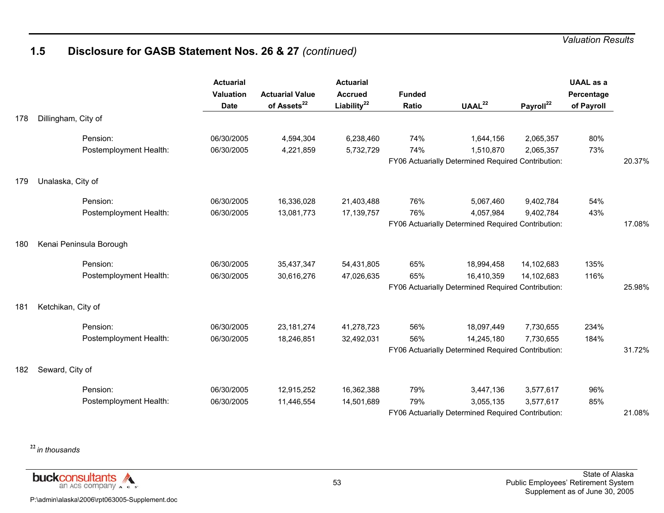## **1.5 Disclosure for GASB Statement Nos. 26 & 27** *(continued)*

|     |                         | <b>Actuarial</b><br><b>Valuation</b><br><b>Date</b> | <b>Actuarial Value</b><br>of Assets <sup>22</sup> | <b>Actuarial</b><br><b>Accrued</b><br>Liability $^{22}$ | <b>Funded</b><br>Ratio | UAAL <sup>22</sup>                                 | Payroll <sup>22</sup> | <b>UAAL</b> as a<br>Percentage<br>of Payroll |        |
|-----|-------------------------|-----------------------------------------------------|---------------------------------------------------|---------------------------------------------------------|------------------------|----------------------------------------------------|-----------------------|----------------------------------------------|--------|
| 178 | Dillingham, City of     |                                                     |                                                   |                                                         |                        |                                                    |                       |                                              |        |
|     | Pension:                | 06/30/2005                                          | 4,594,304                                         | 6,238,460                                               | 74%                    | 1,644,156                                          | 2,065,357             | 80%                                          |        |
|     | Postemployment Health:  | 06/30/2005                                          | 4,221,859                                         | 5,732,729                                               | 74%                    | 1,510,870                                          | 2,065,357             | 73%                                          |        |
|     |                         |                                                     |                                                   |                                                         |                        | FY06 Actuarially Determined Required Contribution: |                       |                                              | 20.37% |
| 179 | Unalaska, City of       |                                                     |                                                   |                                                         |                        |                                                    |                       |                                              |        |
|     | Pension:                | 06/30/2005                                          | 16,336,028                                        | 21,403,488                                              | 76%                    | 5,067,460                                          | 9,402,784             | 54%                                          |        |
|     | Postemployment Health:  | 06/30/2005                                          | 13,081,773                                        | 17, 139, 757                                            | 76%                    | 4,057,984                                          | 9,402,784             | 43%                                          |        |
|     |                         |                                                     |                                                   |                                                         |                        | FY06 Actuarially Determined Required Contribution: |                       |                                              | 17.08% |
| 180 | Kenai Peninsula Borough |                                                     |                                                   |                                                         |                        |                                                    |                       |                                              |        |
|     | Pension:                | 06/30/2005                                          | 35,437,347                                        | 54,431,805                                              | 65%                    | 18,994,458                                         | 14,102,683            | 135%                                         |        |
|     | Postemployment Health:  | 06/30/2005                                          | 30,616,276                                        | 47,026,635                                              | 65%                    | 16,410,359                                         | 14,102,683            | 116%                                         |        |
|     |                         |                                                     |                                                   |                                                         |                        | FY06 Actuarially Determined Required Contribution: |                       |                                              | 25.98% |
| 181 | Ketchikan, City of      |                                                     |                                                   |                                                         |                        |                                                    |                       |                                              |        |
|     | Pension:                | 06/30/2005                                          | 23, 181, 274                                      | 41,278,723                                              | 56%                    | 18,097,449                                         | 7,730,655             | 234%                                         |        |
|     | Postemployment Health:  | 06/30/2005                                          | 18,246,851                                        | 32,492,031                                              | 56%                    | 14,245,180                                         | 7,730,655             | 184%                                         |        |
|     |                         |                                                     |                                                   |                                                         |                        | FY06 Actuarially Determined Required Contribution: |                       |                                              | 31.72% |
| 182 | Seward, City of         |                                                     |                                                   |                                                         |                        |                                                    |                       |                                              |        |
|     | Pension:                | 06/30/2005                                          | 12,915,252                                        | 16,362,388                                              | 79%                    | 3,447,136                                          | 3,577,617             | 96%                                          |        |
|     | Postemployment Health:  | 06/30/2005                                          | 11,446,554                                        | 14,501,689                                              | 79%                    | 3,055,135                                          | 3,577,617             | 85%                                          |        |
|     |                         |                                                     |                                                   |                                                         |                        | FY06 Actuarially Determined Required Contribution: |                       |                                              | 21.08% |

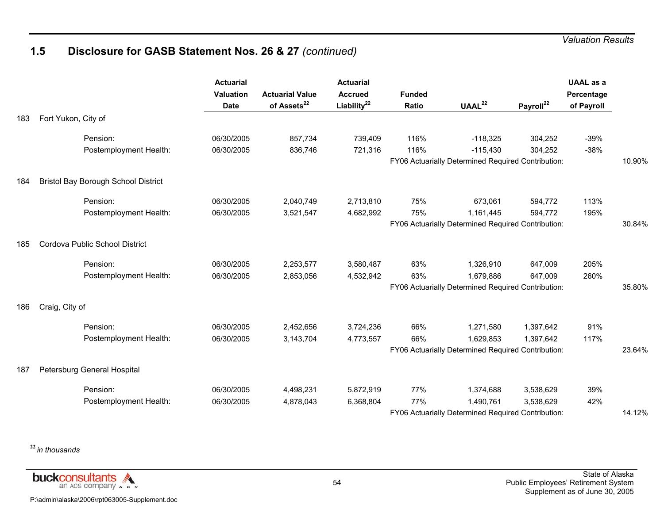# **1.5 Disclosure for GASB Statement Nos. 26 & 27** *(continued)*

|     |                                            | <b>Actuarial</b><br><b>Valuation</b><br><b>Date</b> | <b>Actuarial Value</b><br>of Assets <sup>22</sup> | <b>Actuarial</b><br><b>Accrued</b><br>Liability <sup>22</sup> | <b>Funded</b><br>Ratio | UAAL <sup>22</sup>                                 | Payroll <sup>22</sup> | <b>UAAL</b> as a<br>Percentage<br>of Payroll |        |
|-----|--------------------------------------------|-----------------------------------------------------|---------------------------------------------------|---------------------------------------------------------------|------------------------|----------------------------------------------------|-----------------------|----------------------------------------------|--------|
| 183 | Fort Yukon, City of                        |                                                     |                                                   |                                                               |                        |                                                    |                       |                                              |        |
|     | Pension:                                   | 06/30/2005                                          | 857,734                                           | 739,409                                                       | 116%                   | $-118,325$                                         | 304,252               | $-39%$                                       |        |
|     | Postemployment Health:                     | 06/30/2005                                          | 836,746                                           | 721,316                                                       | 116%                   | $-115,430$                                         | 304,252               | $-38%$                                       |        |
|     |                                            |                                                     |                                                   |                                                               |                        | FY06 Actuarially Determined Required Contribution: |                       |                                              | 10.90% |
| 184 | <b>Bristol Bay Borough School District</b> |                                                     |                                                   |                                                               |                        |                                                    |                       |                                              |        |
|     | Pension:                                   | 06/30/2005                                          | 2,040,749                                         | 2,713,810                                                     | 75%                    | 673,061                                            | 594,772               | 113%                                         |        |
|     | Postemployment Health:                     | 06/30/2005                                          | 3,521,547                                         | 4,682,992                                                     | 75%                    | 1,161,445                                          | 594,772               | 195%                                         |        |
|     |                                            |                                                     |                                                   |                                                               |                        | FY06 Actuarially Determined Required Contribution: |                       |                                              | 30.84% |
| 185 | Cordova Public School District             |                                                     |                                                   |                                                               |                        |                                                    |                       |                                              |        |
|     | Pension:                                   | 06/30/2005                                          | 2,253,577                                         | 3,580,487                                                     | 63%                    | 1,326,910                                          | 647,009               | 205%                                         |        |
|     | Postemployment Health:                     | 06/30/2005                                          | 2,853,056                                         | 4,532,942                                                     | 63%                    | 1,679,886                                          | 647,009               | 260%                                         |        |
|     |                                            |                                                     |                                                   |                                                               |                        | FY06 Actuarially Determined Required Contribution: |                       |                                              | 35.80% |
| 186 | Craig, City of                             |                                                     |                                                   |                                                               |                        |                                                    |                       |                                              |        |
|     | Pension:                                   | 06/30/2005                                          | 2,452,656                                         | 3,724,236                                                     | 66%                    | 1,271,580                                          | 1,397,642             | 91%                                          |        |
|     | Postemployment Health:                     | 06/30/2005                                          | 3,143,704                                         | 4,773,557                                                     | 66%                    | 1,629,853                                          | 1,397,642             | 117%                                         |        |
|     |                                            |                                                     |                                                   |                                                               |                        | FY06 Actuarially Determined Required Contribution: |                       |                                              | 23.64% |
| 187 | Petersburg General Hospital                |                                                     |                                                   |                                                               |                        |                                                    |                       |                                              |        |
|     | Pension:                                   | 06/30/2005                                          | 4,498,231                                         | 5,872,919                                                     | 77%                    | 1,374,688                                          | 3,538,629             | 39%                                          |        |
|     | Postemployment Health:                     | 06/30/2005                                          | 4,878,043                                         | 6,368,804                                                     | 77%                    | 1,490,761                                          | 3,538,629             | 42%                                          |        |
|     |                                            |                                                     |                                                   |                                                               |                        | FY06 Actuarially Determined Required Contribution: |                       |                                              | 14.12% |

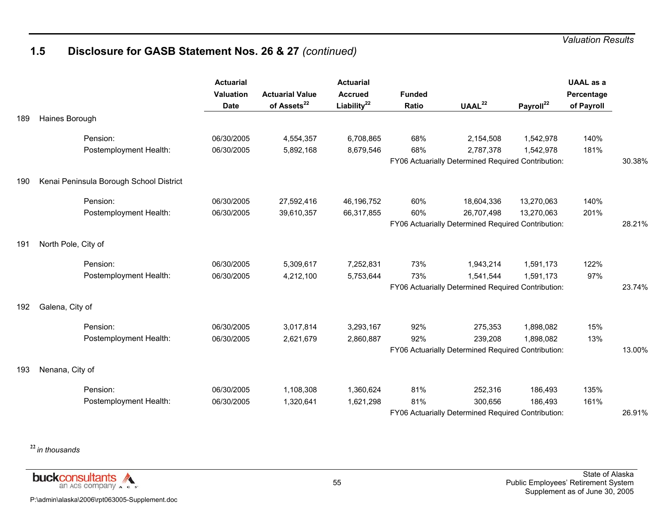## **1.5 Disclosure for GASB Statement Nos. 26 & 27** *(continued)*

|     |                                         | <b>Actuarial</b><br>Valuation<br><b>Date</b> | <b>Actuarial Value</b><br>of Assets <sup>22</sup> | <b>Actuarial</b><br><b>Accrued</b><br>Liability <sup>22</sup> | <b>Funded</b><br>Ratio | UAAL <sup>22</sup>                                 | Payroll <sup>22</sup> | <b>UAAL</b> as a<br>Percentage<br>of Payroll |        |
|-----|-----------------------------------------|----------------------------------------------|---------------------------------------------------|---------------------------------------------------------------|------------------------|----------------------------------------------------|-----------------------|----------------------------------------------|--------|
| 189 | Haines Borough                          |                                              |                                                   |                                                               |                        |                                                    |                       |                                              |        |
|     | Pension:                                | 06/30/2005                                   | 4,554,357                                         | 6,708,865                                                     | 68%                    | 2,154,508                                          | 1,542,978             | 140%                                         |        |
|     | Postemployment Health:                  | 06/30/2005                                   | 5,892,168                                         | 8,679,546                                                     | 68%                    | 2,787,378                                          | 1,542,978             | 181%                                         |        |
|     |                                         |                                              |                                                   |                                                               |                        | FY06 Actuarially Determined Required Contribution: |                       |                                              | 30.38% |
| 190 | Kenai Peninsula Borough School District |                                              |                                                   |                                                               |                        |                                                    |                       |                                              |        |
|     | Pension:                                | 06/30/2005                                   | 27,592,416                                        | 46,196,752                                                    | 60%                    | 18,604,336                                         | 13,270,063            | 140%                                         |        |
|     | Postemployment Health:                  | 06/30/2005                                   | 39,610,357                                        | 66,317,855                                                    | 60%                    | 26,707,498                                         | 13,270,063            | 201%                                         |        |
|     |                                         |                                              |                                                   |                                                               |                        | FY06 Actuarially Determined Required Contribution: |                       |                                              | 28.21% |
| 191 | North Pole, City of                     |                                              |                                                   |                                                               |                        |                                                    |                       |                                              |        |
|     | Pension:                                | 06/30/2005                                   | 5,309,617                                         | 7,252,831                                                     | 73%                    | 1,943,214                                          | 1,591,173             | 122%                                         |        |
|     | Postemployment Health:                  | 06/30/2005                                   | 4,212,100                                         | 5,753,644                                                     | 73%                    | 1,541,544                                          | 1,591,173             | 97%                                          |        |
|     |                                         |                                              |                                                   |                                                               |                        | FY06 Actuarially Determined Required Contribution: |                       |                                              | 23.74% |
| 192 | Galena, City of                         |                                              |                                                   |                                                               |                        |                                                    |                       |                                              |        |
|     | Pension:                                | 06/30/2005                                   | 3,017,814                                         | 3,293,167                                                     | 92%                    | 275,353                                            | 1,898,082             | 15%                                          |        |
|     | Postemployment Health:                  | 06/30/2005                                   | 2,621,679                                         | 2,860,887                                                     | 92%                    | 239,208                                            | 1,898,082             | 13%                                          |        |
|     |                                         |                                              |                                                   |                                                               |                        | FY06 Actuarially Determined Required Contribution: |                       |                                              | 13.00% |
| 193 | Nenana, City of                         |                                              |                                                   |                                                               |                        |                                                    |                       |                                              |        |
|     | Pension:                                | 06/30/2005                                   | 1,108,308                                         | 1,360,624                                                     | 81%                    | 252,316                                            | 186,493               | 135%                                         |        |
|     | Postemployment Health:                  | 06/30/2005                                   | 1,320,641                                         | 1,621,298                                                     | 81%                    | 300,656                                            | 186,493               | 161%                                         |        |
|     |                                         |                                              |                                                   |                                                               |                        | FY06 Actuarially Determined Required Contribution: |                       |                                              | 26.91% |

**<sup>22</sup>***in thousands*

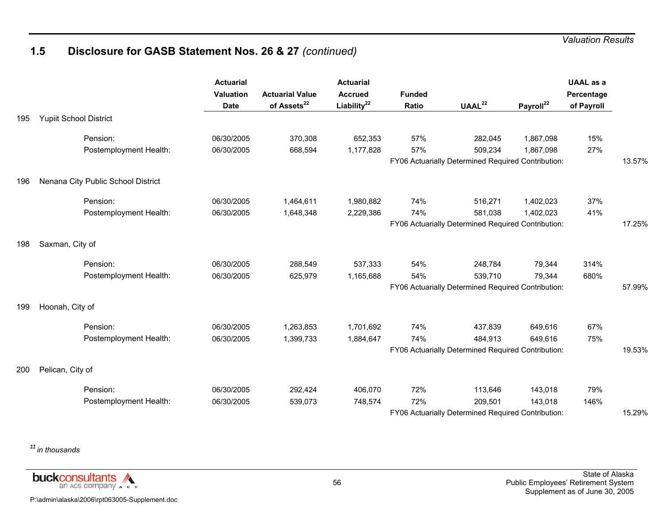## **1.5 Disclosure for GASB Statement Nos. 26 & 27** *(continued)*

|     |                                    | <b>Actuarial</b><br><b>Valuation</b><br><b>Date</b> | <b>Actuarial Value</b><br>of Assets <sup>22</sup> | <b>Actuarial</b><br><b>Accrued</b><br>Liability <sup>22</sup> | <b>Funded</b><br>Ratio | $\mathsf{UAAL}^{22}$                               | Payroll <sup>22</sup> | <b>UAAL</b> as a<br>Percentage<br>of Payroll |        |
|-----|------------------------------------|-----------------------------------------------------|---------------------------------------------------|---------------------------------------------------------------|------------------------|----------------------------------------------------|-----------------------|----------------------------------------------|--------|
| 195 | <b>Yupiit School District</b>      |                                                     |                                                   |                                                               |                        |                                                    |                       |                                              |        |
|     | Pension:                           | 06/30/2005                                          | 370,308                                           | 652,353                                                       | 57%                    | 282,045                                            | 1,867,098             | 15%                                          |        |
|     | Postemployment Health:             | 06/30/2005                                          | 668,594                                           | 1,177,828                                                     | 57%                    | 509,234                                            | 1,867,098             | 27%                                          |        |
|     |                                    |                                                     |                                                   |                                                               |                        | FY06 Actuarially Determined Required Contribution: |                       |                                              | 13.57% |
| 196 | Nenana City Public School District |                                                     |                                                   |                                                               |                        |                                                    |                       |                                              |        |
|     | Pension:                           | 06/30/2005                                          | 1,464,611                                         | 1,980,882                                                     | 74%                    | 516,271                                            | 1,402,023             | 37%                                          |        |
|     | Postemployment Health:             | 06/30/2005                                          | 1,648,348                                         | 2,229,386                                                     | 74%                    | 581,038                                            | 1,402,023             | 41%                                          |        |
|     |                                    |                                                     |                                                   |                                                               |                        | FY06 Actuarially Determined Required Contribution: |                       |                                              | 17.25% |
| 198 | Saxman, City of                    |                                                     |                                                   |                                                               |                        |                                                    |                       |                                              |        |
|     | Pension:                           | 06/30/2005                                          | 288,549                                           | 537,333                                                       | 54%                    | 248,784                                            | 79,344                | 314%                                         |        |
|     | Postemployment Health:             | 06/30/2005                                          | 625,979                                           | 1,165,688                                                     | 54%                    | 539,710                                            | 79,344                | 680%                                         |        |
|     |                                    |                                                     |                                                   |                                                               |                        | FY06 Actuarially Determined Required Contribution: |                       |                                              | 57.99% |
| 199 | Hoonah, City of                    |                                                     |                                                   |                                                               |                        |                                                    |                       |                                              |        |
|     | Pension:                           | 06/30/2005                                          | 1,263,853                                         | 1,701,692                                                     | 74%                    | 437,839                                            | 649,616               | 67%                                          |        |
|     | Postemployment Health:             | 06/30/2005                                          | 1,399,733                                         | 1,884,647                                                     | 74%                    | 484,913                                            | 649,616               | 75%                                          |        |
|     |                                    |                                                     |                                                   |                                                               |                        | FY06 Actuarially Determined Required Contribution: |                       |                                              | 19.53% |
| 200 | Pelican, City of                   |                                                     |                                                   |                                                               |                        |                                                    |                       |                                              |        |
|     | Pension:                           | 06/30/2005                                          | 292,424                                           | 406,070                                                       | 72%                    | 113,646                                            | 143,018               | 79%                                          |        |
|     | Postemployment Health:             | 06/30/2005                                          | 539,073                                           | 748,574                                                       | 72%                    | 209.501                                            | 143,018               | 146%                                         |        |
|     |                                    |                                                     |                                                   |                                                               |                        | FY06 Actuarially Determined Required Contribution: |                       |                                              | 15.29% |

**<sup>22</sup>***in thousands*

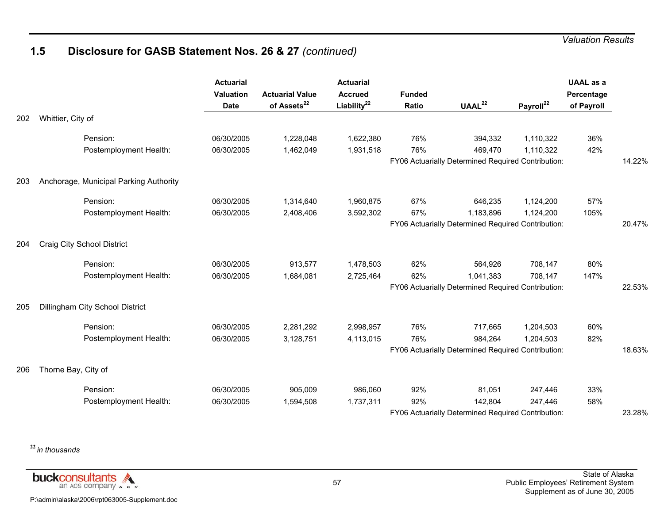## **1.5 Disclosure for GASB Statement Nos. 26 & 27** *(continued)*

|     |                                        | <b>Actuarial</b><br>Valuation<br><b>Date</b> | <b>Actuarial Value</b><br>of Assets <sup>22</sup> | <b>Actuarial</b><br><b>Accrued</b><br>Liability <sup>22</sup> | <b>Funded</b><br>Ratio | UAAL <sup>22</sup>                                 | Payroll <sup>22</sup> | <b>UAAL</b> as a<br>Percentage<br>of Payroll |        |
|-----|----------------------------------------|----------------------------------------------|---------------------------------------------------|---------------------------------------------------------------|------------------------|----------------------------------------------------|-----------------------|----------------------------------------------|--------|
| 202 | Whittier, City of                      |                                              |                                                   |                                                               |                        |                                                    |                       |                                              |        |
|     | Pension:                               | 06/30/2005                                   | 1,228,048                                         | 1,622,380                                                     | 76%                    | 394,332                                            | 1,110,322             | 36%                                          |        |
|     | Postemployment Health:                 | 06/30/2005                                   | 1,462,049                                         | 1,931,518                                                     | 76%                    | 469,470                                            | 1,110,322             | 42%                                          |        |
|     |                                        |                                              |                                                   |                                                               |                        | FY06 Actuarially Determined Required Contribution: |                       |                                              | 14.22% |
| 203 | Anchorage, Municipal Parking Authority |                                              |                                                   |                                                               |                        |                                                    |                       |                                              |        |
|     | Pension:                               | 06/30/2005                                   | 1,314,640                                         | 1,960,875                                                     | 67%                    | 646,235                                            | 1,124,200             | 57%                                          |        |
|     | Postemployment Health:                 | 06/30/2005                                   | 2,408,406                                         | 3,592,302                                                     | 67%                    | 1,183,896                                          | 1,124,200             | 105%                                         |        |
|     |                                        |                                              |                                                   |                                                               |                        | FY06 Actuarially Determined Required Contribution: |                       |                                              | 20.47% |
| 204 | Craig City School District             |                                              |                                                   |                                                               |                        |                                                    |                       |                                              |        |
|     | Pension:                               | 06/30/2005                                   | 913,577                                           | 1,478,503                                                     | 62%                    | 564,926                                            | 708,147               | 80%                                          |        |
|     | Postemployment Health:                 | 06/30/2005                                   | 1,684,081                                         | 2,725,464                                                     | 62%                    | 1,041,383                                          | 708,147               | 147%                                         |        |
|     |                                        |                                              |                                                   |                                                               |                        | FY06 Actuarially Determined Required Contribution: |                       |                                              | 22.53% |
| 205 | Dillingham City School District        |                                              |                                                   |                                                               |                        |                                                    |                       |                                              |        |
|     | Pension:                               | 06/30/2005                                   | 2,281,292                                         | 2,998,957                                                     | 76%                    | 717,665                                            | 1,204,503             | 60%                                          |        |
|     | Postemployment Health:                 | 06/30/2005                                   | 3,128,751                                         | 4,113,015                                                     | 76%                    | 984,264                                            | 1,204,503             | 82%                                          |        |
|     |                                        |                                              |                                                   |                                                               |                        | FY06 Actuarially Determined Required Contribution: |                       |                                              | 18.63% |
| 206 | Thorne Bay, City of                    |                                              |                                                   |                                                               |                        |                                                    |                       |                                              |        |
|     | Pension:                               | 06/30/2005                                   | 905,009                                           | 986,060                                                       | 92%                    | 81,051                                             | 247,446               | 33%                                          |        |
|     | Postemployment Health:                 | 06/30/2005                                   | 1,594,508                                         | 1,737,311                                                     | 92%                    | 142,804                                            | 247,446               | 58%                                          |        |
|     |                                        |                                              |                                                   |                                                               |                        | FY06 Actuarially Determined Required Contribution: |                       |                                              | 23.28% |

**<sup>22</sup>***in thousands*

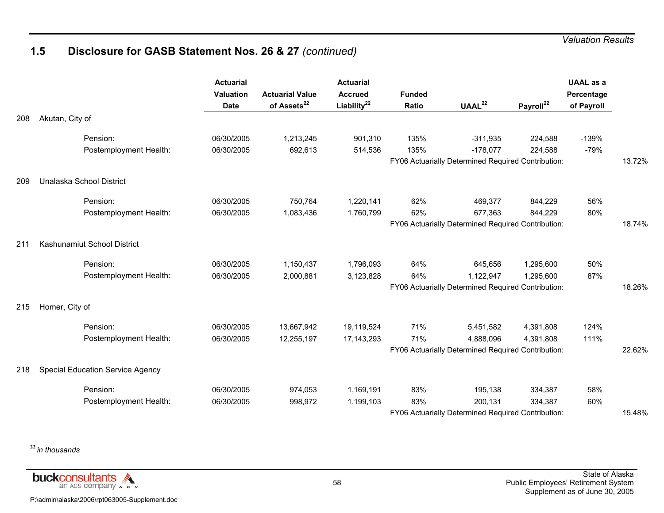# **1.5 Disclosure for GASB Statement Nos. 26 & 27** *(continued)*

|     |                                         | <b>Actuarial</b><br>Valuation<br><b>Date</b> | <b>Actuarial Value</b><br>of Assets <sup>22</sup> | <b>Actuarial</b><br><b>Accrued</b><br>Liability <sup>22</sup> | <b>Funded</b><br>Ratio | $\mathsf{UAAL}^{22}$                               | Payroll <sup>22</sup> | <b>UAAL</b> as a<br>Percentage<br>of Payroll |        |
|-----|-----------------------------------------|----------------------------------------------|---------------------------------------------------|---------------------------------------------------------------|------------------------|----------------------------------------------------|-----------------------|----------------------------------------------|--------|
| 208 | Akutan, City of                         |                                              |                                                   |                                                               |                        |                                                    |                       |                                              |        |
|     | Pension:                                | 06/30/2005                                   | 1,213,245                                         | 901,310                                                       | 135%                   | $-311,935$                                         | 224,588               | $-139%$                                      |        |
|     | Postemployment Health:                  | 06/30/2005                                   | 692,613                                           | 514,536                                                       | 135%                   | $-178,077$                                         | 224,588               | $-79%$                                       |        |
|     |                                         |                                              |                                                   |                                                               |                        | FY06 Actuarially Determined Required Contribution: |                       |                                              | 13.72% |
| 209 | Unalaska School District                |                                              |                                                   |                                                               |                        |                                                    |                       |                                              |        |
|     | Pension:                                | 06/30/2005                                   | 750,764                                           | 1,220,141                                                     | 62%                    | 469,377                                            | 844,229               | 56%                                          |        |
|     | Postemployment Health:                  | 06/30/2005                                   | 1,083,436                                         | 1,760,799                                                     | 62%                    | 677,363                                            | 844,229               | 80%                                          |        |
|     |                                         |                                              |                                                   |                                                               |                        | FY06 Actuarially Determined Required Contribution: |                       |                                              | 18.74% |
| 211 | Kashunamiut School District             |                                              |                                                   |                                                               |                        |                                                    |                       |                                              |        |
|     | Pension:                                | 06/30/2005                                   | 1,150,437                                         | 1,796,093                                                     | 64%                    | 645,656                                            | 1,295,600             | 50%                                          |        |
|     | Postemployment Health:                  | 06/30/2005                                   | 2,000,881                                         | 3,123,828                                                     | 64%                    | 1,122,947                                          | 1,295,600             | 87%                                          |        |
|     |                                         |                                              |                                                   |                                                               |                        | FY06 Actuarially Determined Required Contribution: |                       |                                              | 18.26% |
| 215 | Homer, City of                          |                                              |                                                   |                                                               |                        |                                                    |                       |                                              |        |
|     | Pension:                                | 06/30/2005                                   | 13,667,942                                        | 19,119,524                                                    | 71%                    | 5,451,582                                          | 4,391,808             | 124%                                         |        |
|     | Postemployment Health:                  | 06/30/2005                                   | 12,255,197                                        | 17, 143, 293                                                  | 71%                    | 4,888,096                                          | 4,391,808             | 111%                                         |        |
|     |                                         |                                              |                                                   |                                                               |                        | FY06 Actuarially Determined Required Contribution: |                       |                                              | 22.62% |
| 218 | <b>Special Education Service Agency</b> |                                              |                                                   |                                                               |                        |                                                    |                       |                                              |        |
|     | Pension:                                | 06/30/2005                                   | 974,053                                           | 1,169,191                                                     | 83%                    | 195,138                                            | 334,387               | 58%                                          |        |
|     | Postemployment Health:                  | 06/30/2005                                   | 998,972                                           | 1,199,103                                                     | 83%                    | 200,131                                            | 334,387               | 60%                                          |        |
|     |                                         |                                              |                                                   |                                                               |                        | FY06 Actuarially Determined Required Contribution: |                       |                                              | 15.48% |

**<sup>22</sup>***in thousands*

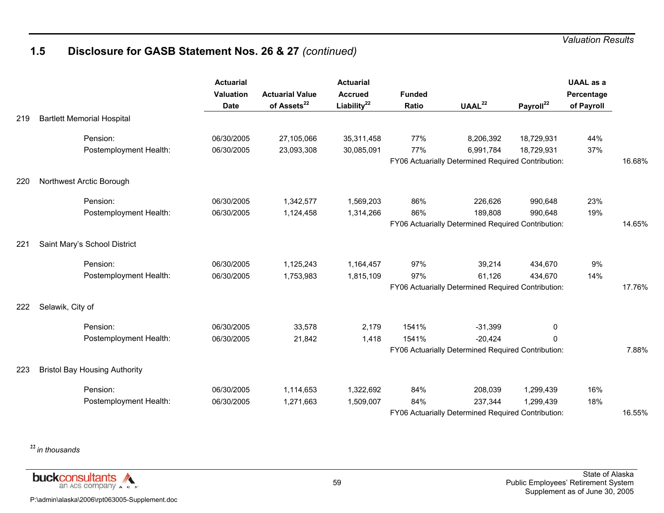# **1.5 Disclosure for GASB Statement Nos. 26 & 27** *(continued)*

|     |                                      | <b>Actuarial</b><br>Valuation<br><b>Date</b> | <b>Actuarial Value</b><br>of Assets <sup>22</sup> | <b>Actuarial</b><br><b>Accrued</b><br>Liability $^{22}$ | <b>Funded</b><br>Ratio | UAAL <sup>22</sup>                                 | Payroll <sup>22</sup> | <b>UAAL</b> as a<br>Percentage<br>of Payroll |        |
|-----|--------------------------------------|----------------------------------------------|---------------------------------------------------|---------------------------------------------------------|------------------------|----------------------------------------------------|-----------------------|----------------------------------------------|--------|
| 219 | <b>Bartlett Memorial Hospital</b>    |                                              |                                                   |                                                         |                        |                                                    |                       |                                              |        |
|     | Pension:                             | 06/30/2005                                   | 27,105,066                                        | 35,311,458                                              | 77%                    | 8,206,392                                          | 18,729,931            | 44%                                          |        |
|     | Postemployment Health:               | 06/30/2005                                   | 23,093,308                                        | 30,085,091                                              | 77%                    | 6,991,784                                          | 18,729,931            | 37%                                          |        |
|     |                                      |                                              |                                                   |                                                         |                        | FY06 Actuarially Determined Required Contribution: |                       |                                              | 16.68% |
| 220 | Northwest Arctic Borough             |                                              |                                                   |                                                         |                        |                                                    |                       |                                              |        |
|     | Pension:                             | 06/30/2005                                   | 1,342,577                                         | 1,569,203                                               | 86%                    | 226,626                                            | 990,648               | 23%                                          |        |
|     | Postemployment Health:               | 06/30/2005                                   | 1,124,458                                         | 1,314,266                                               | 86%                    | 189,808                                            | 990,648               | 19%                                          |        |
|     |                                      |                                              |                                                   |                                                         |                        | FY06 Actuarially Determined Required Contribution: |                       |                                              | 14.65% |
| 221 | Saint Mary's School District         |                                              |                                                   |                                                         |                        |                                                    |                       |                                              |        |
|     | Pension:                             | 06/30/2005                                   | 1,125,243                                         | 1,164,457                                               | 97%                    | 39,214                                             | 434,670               | 9%                                           |        |
|     | Postemployment Health:               | 06/30/2005                                   | 1,753,983                                         | 1,815,109                                               | 97%                    | 61,126                                             | 434,670               | 14%                                          |        |
|     |                                      |                                              |                                                   |                                                         |                        | FY06 Actuarially Determined Required Contribution: |                       |                                              | 17.76% |
| 222 | Selawik, City of                     |                                              |                                                   |                                                         |                        |                                                    |                       |                                              |        |
|     | Pension:                             | 06/30/2005                                   | 33,578                                            | 2,179                                                   | 1541%                  | $-31,399$                                          | 0                     |                                              |        |
|     | Postemployment Health:               | 06/30/2005                                   | 21,842                                            | 1,418                                                   | 1541%                  | $-20,424$                                          | $\Omega$              |                                              |        |
|     |                                      |                                              |                                                   |                                                         |                        | FY06 Actuarially Determined Required Contribution: |                       |                                              | 7.88%  |
| 223 | <b>Bristol Bay Housing Authority</b> |                                              |                                                   |                                                         |                        |                                                    |                       |                                              |        |
|     | Pension:                             | 06/30/2005                                   | 1,114,653                                         | 1,322,692                                               | 84%                    | 208,039                                            | 1,299,439             | 16%                                          |        |
|     | Postemployment Health:               | 06/30/2005                                   | 1,271,663                                         | 1,509,007                                               | 84%                    | 237,344                                            | 1,299,439             | 18%                                          |        |
|     |                                      |                                              |                                                   |                                                         |                        | FY06 Actuarially Determined Required Contribution: |                       |                                              | 16.55% |

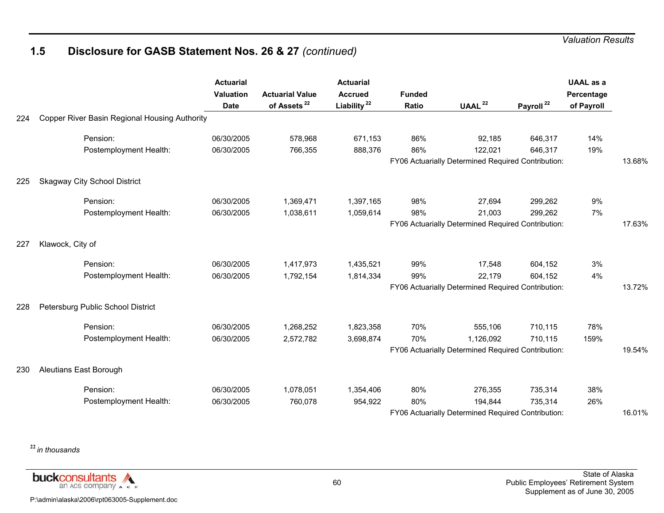# **1.5 Disclosure for GASB Statement Nos. 26 & 27** *(continued)*

|     |                                               | <b>Actuarial</b><br>Valuation<br><b>Date</b> | <b>Actuarial Value</b><br>of Assets <sup>22</sup> | <b>Actuarial</b><br><b>Accrued</b><br>Liability <sup>22</sup> | <b>Funded</b><br>Ratio | UAAL $^{22}$                                       | Payroll <sup>22</sup> | <b>UAAL</b> as a<br>Percentage<br>of Payroll |        |
|-----|-----------------------------------------------|----------------------------------------------|---------------------------------------------------|---------------------------------------------------------------|------------------------|----------------------------------------------------|-----------------------|----------------------------------------------|--------|
| 224 | Copper River Basin Regional Housing Authority |                                              |                                                   |                                                               |                        |                                                    |                       |                                              |        |
|     | Pension:                                      | 06/30/2005                                   | 578,968                                           | 671,153                                                       | 86%                    | 92,185                                             | 646,317               | 14%                                          |        |
|     | Postemployment Health:                        | 06/30/2005                                   | 766,355                                           | 888,376                                                       | 86%                    | 122,021                                            | 646,317               | 19%                                          |        |
|     |                                               |                                              |                                                   |                                                               |                        | FY06 Actuarially Determined Required Contribution: |                       |                                              | 13.68% |
| 225 | <b>Skagway City School District</b>           |                                              |                                                   |                                                               |                        |                                                    |                       |                                              |        |
|     | Pension:                                      | 06/30/2005                                   | 1,369,471                                         | 1,397,165                                                     | 98%                    | 27,694                                             | 299,262               | 9%                                           |        |
|     | Postemployment Health:                        | 06/30/2005                                   | 1,038,611                                         | 1,059,614                                                     | 98%                    | 21,003                                             | 299,262               | 7%                                           |        |
|     |                                               |                                              |                                                   |                                                               |                        | FY06 Actuarially Determined Required Contribution: |                       |                                              | 17.63% |
| 227 | Klawock, City of                              |                                              |                                                   |                                                               |                        |                                                    |                       |                                              |        |
|     | Pension:                                      | 06/30/2005                                   | 1,417,973                                         | 1,435,521                                                     | 99%                    | 17,548                                             | 604,152               | 3%                                           |        |
|     | Postemployment Health:                        | 06/30/2005                                   | 1,792,154                                         | 1,814,334                                                     | 99%                    | 22,179                                             | 604,152               | 4%                                           |        |
|     |                                               |                                              |                                                   |                                                               |                        | FY06 Actuarially Determined Required Contribution: |                       |                                              | 13.72% |
| 228 | Petersburg Public School District             |                                              |                                                   |                                                               |                        |                                                    |                       |                                              |        |
|     | Pension:                                      | 06/30/2005                                   | 1,268,252                                         | 1,823,358                                                     | 70%                    | 555,106                                            | 710,115               | 78%                                          |        |
|     | Postemployment Health:                        | 06/30/2005                                   | 2,572,782                                         | 3,698,874                                                     | 70%                    | 1,126,092                                          | 710,115               | 159%                                         |        |
|     |                                               |                                              |                                                   |                                                               |                        | FY06 Actuarially Determined Required Contribution: |                       |                                              | 19.54% |
| 230 | Aleutians East Borough                        |                                              |                                                   |                                                               |                        |                                                    |                       |                                              |        |
|     | Pension:                                      | 06/30/2005                                   | 1,078,051                                         | 1,354,406                                                     | 80%                    | 276,355                                            | 735,314               | 38%                                          |        |
|     | Postemployment Health:                        | 06/30/2005                                   | 760,078                                           | 954,922                                                       | 80%                    | 194.844                                            | 735,314               | 26%                                          |        |
|     |                                               |                                              |                                                   |                                                               |                        | FY06 Actuarially Determined Required Contribution: |                       |                                              | 16.01% |

**<sup>22</sup>***in thousands*

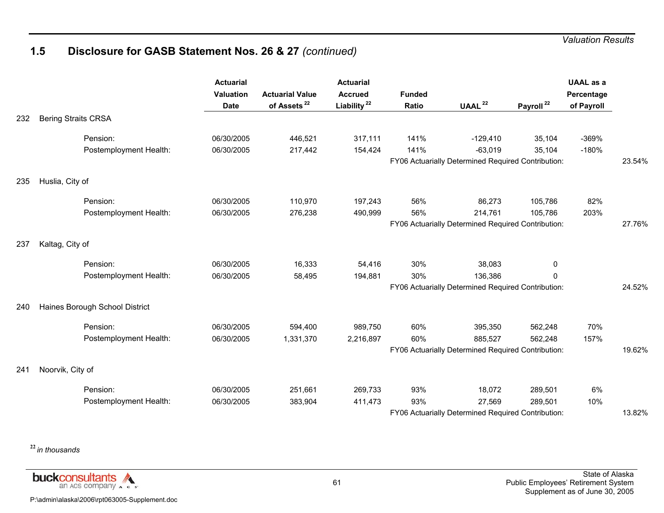## **1.5 Disclosure for GASB Statement Nos. 26 & 27** *(continued)*

|     |                                | <b>Actuarial</b><br><b>Valuation</b><br><b>Date</b> | <b>Actuarial Value</b><br>of Assets <sup>22</sup> | <b>Actuarial</b><br><b>Accrued</b><br>Liability <sup>22</sup> | <b>Funded</b><br>Ratio | UAAL $^{22}$                                       | Payroll <sup>22</sup> | <b>UAAL</b> as a<br>Percentage<br>of Payroll |        |
|-----|--------------------------------|-----------------------------------------------------|---------------------------------------------------|---------------------------------------------------------------|------------------------|----------------------------------------------------|-----------------------|----------------------------------------------|--------|
| 232 | <b>Bering Straits CRSA</b>     |                                                     |                                                   |                                                               |                        |                                                    |                       |                                              |        |
|     | Pension:                       | 06/30/2005                                          | 446,521                                           | 317,111                                                       | 141%                   | $-129,410$                                         | 35,104                | $-369%$                                      |        |
|     | Postemployment Health:         | 06/30/2005                                          | 217,442                                           | 154,424                                                       | 141%                   | $-63,019$                                          | 35,104                | $-180%$                                      |        |
|     |                                |                                                     |                                                   |                                                               |                        | FY06 Actuarially Determined Required Contribution: |                       |                                              | 23.54% |
| 235 | Huslia, City of                |                                                     |                                                   |                                                               |                        |                                                    |                       |                                              |        |
|     | Pension:                       | 06/30/2005                                          | 110,970                                           | 197,243                                                       | 56%                    | 86,273                                             | 105,786               | 82%                                          |        |
|     | Postemployment Health:         | 06/30/2005                                          | 276,238                                           | 490,999                                                       | 56%                    | 214,761                                            | 105,786               | 203%                                         |        |
|     |                                |                                                     |                                                   |                                                               |                        | FY06 Actuarially Determined Required Contribution: |                       |                                              | 27.76% |
| 237 | Kaltag, City of                |                                                     |                                                   |                                                               |                        |                                                    |                       |                                              |        |
|     | Pension:                       | 06/30/2005                                          | 16,333                                            | 54,416                                                        | 30%                    | 38,083                                             | 0                     |                                              |        |
|     | Postemployment Health:         | 06/30/2005                                          | 58,495                                            | 194,881                                                       | 30%                    | 136,386                                            | 0                     |                                              |        |
|     |                                |                                                     |                                                   |                                                               |                        | FY06 Actuarially Determined Required Contribution: |                       |                                              | 24.52% |
| 240 | Haines Borough School District |                                                     |                                                   |                                                               |                        |                                                    |                       |                                              |        |
|     | Pension:                       | 06/30/2005                                          | 594,400                                           | 989,750                                                       | 60%                    | 395,350                                            | 562,248               | 70%                                          |        |
|     | Postemployment Health:         | 06/30/2005                                          | 1,331,370                                         | 2,216,897                                                     | 60%                    | 885,527                                            | 562,248               | 157%                                         |        |
|     |                                |                                                     |                                                   |                                                               |                        | FY06 Actuarially Determined Required Contribution: |                       |                                              | 19.62% |
| 241 | Noorvik, City of               |                                                     |                                                   |                                                               |                        |                                                    |                       |                                              |        |
|     | Pension:                       | 06/30/2005                                          | 251,661                                           | 269,733                                                       | 93%                    | 18,072                                             | 289,501               | 6%                                           |        |
|     | Postemployment Health:         | 06/30/2005                                          | 383,904                                           | 411,473                                                       | 93%                    | 27,569                                             | 289,501               | 10%                                          |        |
|     |                                |                                                     |                                                   |                                                               |                        | FY06 Actuarially Determined Required Contribution: |                       |                                              | 13.82% |

**<sup>22</sup>***in thousands*

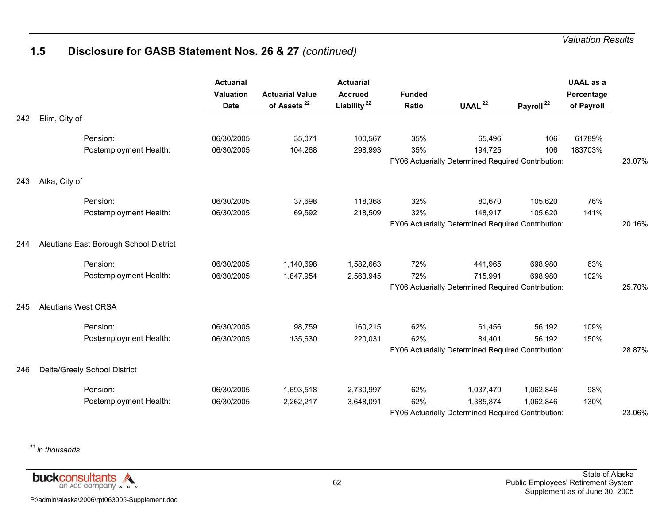# **1.5 Disclosure for GASB Statement Nos. 26 & 27** *(continued)*

|     |                                        | <b>Actuarial</b><br><b>Valuation</b><br><b>Date</b> | <b>Actuarial Value</b><br>of Assets <sup>22</sup> | <b>Actuarial</b><br><b>Accrued</b><br>Liability <sup>22</sup> | <b>Funded</b><br>Ratio | UAAL <sup>22</sup>                                 | Payroll <sup>22</sup> | <b>UAAL</b> as a<br>Percentage<br>of Payroll |        |
|-----|----------------------------------------|-----------------------------------------------------|---------------------------------------------------|---------------------------------------------------------------|------------------------|----------------------------------------------------|-----------------------|----------------------------------------------|--------|
| 242 | Elim, City of                          |                                                     |                                                   |                                                               |                        |                                                    |                       |                                              |        |
|     | Pension:                               | 06/30/2005                                          | 35,071                                            | 100,567                                                       | 35%                    | 65,496                                             | 106                   | 61789%                                       |        |
|     | Postemployment Health:                 | 06/30/2005                                          | 104,268                                           | 298,993                                                       | 35%                    | 194,725                                            | 106                   | 183703%                                      |        |
|     |                                        |                                                     |                                                   |                                                               |                        | FY06 Actuarially Determined Required Contribution: |                       |                                              | 23.07% |
| 243 | Atka, City of                          |                                                     |                                                   |                                                               |                        |                                                    |                       |                                              |        |
|     | Pension:                               | 06/30/2005                                          | 37,698                                            | 118,368                                                       | 32%                    | 80,670                                             | 105,620               | 76%                                          |        |
|     | Postemployment Health:                 | 06/30/2005                                          | 69,592                                            | 218,509                                                       | 32%                    | 148,917                                            | 105,620               | 141%                                         |        |
|     |                                        |                                                     |                                                   |                                                               |                        | FY06 Actuarially Determined Required Contribution: |                       |                                              | 20.16% |
| 244 | Aleutians East Borough School District |                                                     |                                                   |                                                               |                        |                                                    |                       |                                              |        |
|     | Pension:                               | 06/30/2005                                          | 1,140,698                                         | 1,582,663                                                     | 72%                    | 441,965                                            | 698,980               | 63%                                          |        |
|     | Postemployment Health:                 | 06/30/2005                                          | 1,847,954                                         | 2,563,945                                                     | 72%                    | 715,991                                            | 698,980               | 102%                                         |        |
|     |                                        |                                                     |                                                   |                                                               |                        | FY06 Actuarially Determined Required Contribution: |                       |                                              | 25.70% |
| 245 | <b>Aleutians West CRSA</b>             |                                                     |                                                   |                                                               |                        |                                                    |                       |                                              |        |
|     | Pension:                               | 06/30/2005                                          | 98,759                                            | 160,215                                                       | 62%                    | 61,456                                             | 56,192                | 109%                                         |        |
|     | Postemployment Health:                 | 06/30/2005                                          | 135,630                                           | 220,031                                                       | 62%                    | 84,401                                             | 56,192                | 150%                                         |        |
|     |                                        |                                                     |                                                   |                                                               |                        | FY06 Actuarially Determined Required Contribution: |                       |                                              | 28.87% |
| 246 | Delta/Greely School District           |                                                     |                                                   |                                                               |                        |                                                    |                       |                                              |        |
|     | Pension:                               | 06/30/2005                                          | 1,693,518                                         | 2,730,997                                                     | 62%                    | 1,037,479                                          | 1,062,846             | 98%                                          |        |
|     | Postemployment Health:                 | 06/30/2005                                          | 2,262,217                                         | 3,648,091                                                     | 62%                    | 1,385,874                                          | 1,062,846             | 130%                                         |        |
|     |                                        |                                                     |                                                   |                                                               |                        | FY06 Actuarially Determined Required Contribution: |                       |                                              | 23.06% |

**<sup>22</sup>***in thousands*

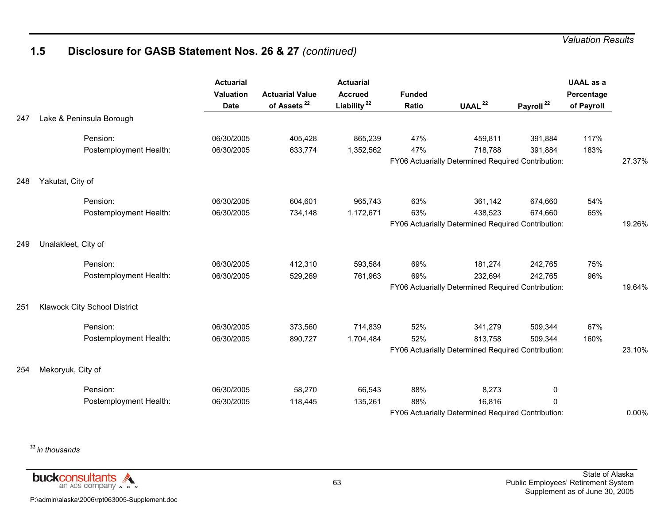# **1.5 Disclosure for GASB Statement Nos. 26 & 27** *(continued)*

|     |                              | <b>Actuarial</b><br>Valuation<br><b>Date</b> | <b>Actuarial Value</b><br>of Assets <sup>22</sup> | <b>Actuarial</b><br><b>Accrued</b><br>Liability <sup>22</sup> | <b>Funded</b><br>Ratio | UAAL <sup>22</sup>                                 | Payroll <sup>22</sup> | <b>UAAL</b> as a<br>Percentage<br>of Payroll |        |
|-----|------------------------------|----------------------------------------------|---------------------------------------------------|---------------------------------------------------------------|------------------------|----------------------------------------------------|-----------------------|----------------------------------------------|--------|
| 247 | Lake & Peninsula Borough     |                                              |                                                   |                                                               |                        |                                                    |                       |                                              |        |
|     | Pension:                     | 06/30/2005                                   | 405,428                                           | 865,239                                                       | 47%                    | 459,811                                            | 391,884               | 117%                                         |        |
|     | Postemployment Health:       | 06/30/2005                                   | 633,774                                           | 1,352,562                                                     | 47%                    | 718,788                                            | 391,884               | 183%                                         |        |
|     |                              |                                              |                                                   |                                                               |                        | FY06 Actuarially Determined Required Contribution: |                       |                                              | 27.37% |
| 248 | Yakutat, City of             |                                              |                                                   |                                                               |                        |                                                    |                       |                                              |        |
|     | Pension:                     | 06/30/2005                                   | 604,601                                           | 965,743                                                       | 63%                    | 361,142                                            | 674,660               | 54%                                          |        |
|     | Postemployment Health:       | 06/30/2005                                   | 734,148                                           | 1,172,671                                                     | 63%                    | 438,523                                            | 674,660               | 65%                                          |        |
|     |                              |                                              |                                                   |                                                               |                        | FY06 Actuarially Determined Required Contribution: |                       |                                              | 19.26% |
| 249 | Unalakleet, City of          |                                              |                                                   |                                                               |                        |                                                    |                       |                                              |        |
|     | Pension:                     | 06/30/2005                                   | 412,310                                           | 593,584                                                       | 69%                    | 181,274                                            | 242,765               | 75%                                          |        |
|     | Postemployment Health:       | 06/30/2005                                   | 529,269                                           | 761,963                                                       | 69%                    | 232,694                                            | 242,765               | 96%                                          |        |
|     |                              |                                              |                                                   |                                                               |                        | FY06 Actuarially Determined Required Contribution: |                       |                                              | 19.64% |
| 251 | Klawock City School District |                                              |                                                   |                                                               |                        |                                                    |                       |                                              |        |
|     | Pension:                     | 06/30/2005                                   | 373,560                                           | 714,839                                                       | 52%                    | 341,279                                            | 509,344               | 67%                                          |        |
|     | Postemployment Health:       | 06/30/2005                                   | 890,727                                           | 1,704,484                                                     | 52%                    | 813,758                                            | 509,344               | 160%                                         |        |
|     |                              |                                              |                                                   |                                                               |                        | FY06 Actuarially Determined Required Contribution: |                       |                                              | 23.10% |
| 254 | Mekoryuk, City of            |                                              |                                                   |                                                               |                        |                                                    |                       |                                              |        |
|     | Pension:                     | 06/30/2005                                   | 58,270                                            | 66,543                                                        | 88%                    | 8,273                                              | 0                     |                                              |        |
|     | Postemployment Health:       | 06/30/2005                                   | 118,445                                           | 135,261                                                       | 88%                    | 16,816                                             | 0                     |                                              |        |
|     |                              |                                              |                                                   |                                                               |                        | FY06 Actuarially Determined Required Contribution: |                       |                                              | 0.00%  |

**<sup>22</sup>***in thousands*

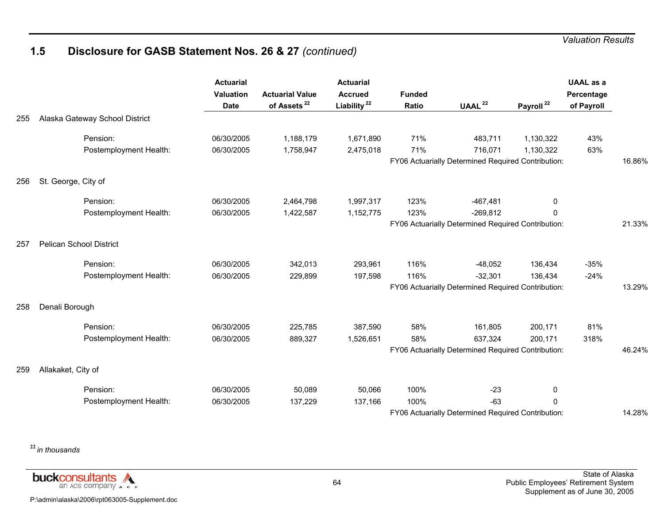# **1.5 Disclosure for GASB Statement Nos. 26 & 27** *(continued)*

|     |                                | <b>Actuarial</b><br>Valuation<br><b>Date</b> | <b>Actuarial Value</b><br>of Assets <sup>22</sup> | <b>Actuarial</b><br><b>Accrued</b><br>Liability <sup>22</sup> | <b>Funded</b><br>Ratio | UAAL <sup>22</sup>                                            | Payroll <sup>22</sup> | <b>UAAL</b> as a<br>Percentage<br>of Payroll |        |
|-----|--------------------------------|----------------------------------------------|---------------------------------------------------|---------------------------------------------------------------|------------------------|---------------------------------------------------------------|-----------------------|----------------------------------------------|--------|
| 255 | Alaska Gateway School District |                                              |                                                   |                                                               |                        |                                                               |                       |                                              |        |
|     | Pension:                       | 06/30/2005                                   | 1,188,179                                         | 1,671,890                                                     | 71%                    | 483,711                                                       | 1,130,322             | 43%                                          |        |
|     | Postemployment Health:         | 06/30/2005                                   | 1,758,947                                         | 2,475,018                                                     | 71%                    | 716,071<br>FY06 Actuarially Determined Required Contribution: | 1,130,322             | 63%                                          | 16.86% |
|     |                                |                                              |                                                   |                                                               |                        |                                                               |                       |                                              |        |
| 256 | St. George, City of            |                                              |                                                   |                                                               |                        |                                                               |                       |                                              |        |
|     | Pension:                       | 06/30/2005                                   | 2,464,798                                         | 1,997,317                                                     | 123%                   | $-467,481$                                                    | 0                     |                                              |        |
|     | Postemployment Health:         | 06/30/2005                                   | 1,422,587                                         | 1,152,775                                                     | 123%                   | $-269,812$                                                    | $\Omega$              |                                              |        |
|     |                                |                                              |                                                   |                                                               |                        | FY06 Actuarially Determined Required Contribution:            |                       |                                              | 21.33% |
| 257 | <b>Pelican School District</b> |                                              |                                                   |                                                               |                        |                                                               |                       |                                              |        |
|     | Pension:                       | 06/30/2005                                   | 342,013                                           | 293,961                                                       | 116%                   | $-48,052$                                                     | 136,434               | $-35%$                                       |        |
|     | Postemployment Health:         | 06/30/2005                                   | 229,899                                           | 197,598                                                       | 116%                   | $-32,301$                                                     | 136,434               | $-24%$                                       |        |
|     |                                |                                              |                                                   |                                                               |                        | FY06 Actuarially Determined Required Contribution:            |                       |                                              | 13.29% |
| 258 | Denali Borough                 |                                              |                                                   |                                                               |                        |                                                               |                       |                                              |        |
|     | Pension:                       | 06/30/2005                                   | 225,785                                           | 387,590                                                       | 58%                    | 161,805                                                       | 200,171               | 81%                                          |        |
|     | Postemployment Health:         | 06/30/2005                                   | 889,327                                           | 1,526,651                                                     | 58%                    | 637,324                                                       | 200,171               | 318%                                         |        |
|     |                                |                                              |                                                   |                                                               |                        | FY06 Actuarially Determined Required Contribution:            |                       |                                              | 46.24% |
| 259 | Allakaket, City of             |                                              |                                                   |                                                               |                        |                                                               |                       |                                              |        |
|     | Pension:                       | 06/30/2005                                   | 50,089                                            | 50,066                                                        | 100%                   | $-23$                                                         | 0                     |                                              |        |
|     | Postemployment Health:         | 06/30/2005                                   | 137,229                                           | 137,166                                                       | 100%                   | $-63$                                                         | $\Omega$              |                                              |        |
|     |                                |                                              |                                                   |                                                               |                        | FY06 Actuarially Determined Required Contribution:            |                       |                                              | 14.28% |

**<sup>22</sup>***in thousands*

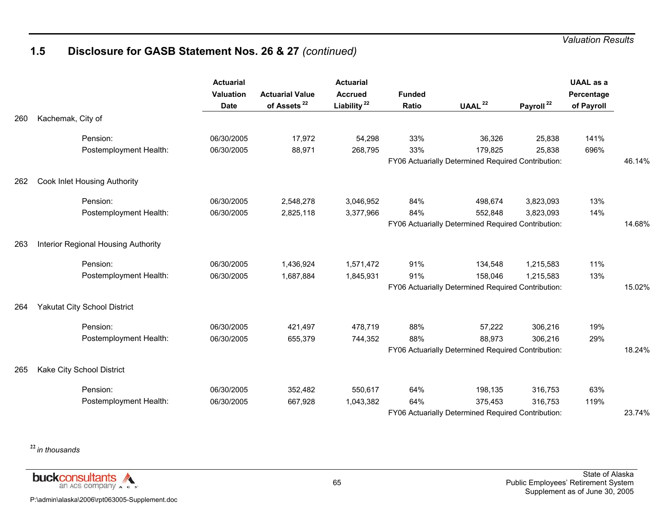# **1.5 Disclosure for GASB Statement Nos. 26 & 27** *(continued)*

|     |                                     | <b>Actuarial</b><br>Valuation<br><b>Date</b> | <b>Actuarial Value</b><br>of Assets <sup>22</sup> | <b>Actuarial</b><br><b>Accrued</b><br>Liability <sup>22</sup> | <b>Funded</b><br>Ratio | UAAL $^{22}$                                       | Payroll <sup>22</sup> | <b>UAAL</b> as a<br>Percentage<br>of Payroll |        |
|-----|-------------------------------------|----------------------------------------------|---------------------------------------------------|---------------------------------------------------------------|------------------------|----------------------------------------------------|-----------------------|----------------------------------------------|--------|
| 260 | Kachemak, City of                   |                                              |                                                   |                                                               |                        |                                                    |                       |                                              |        |
|     | Pension:                            | 06/30/2005                                   | 17,972                                            | 54,298                                                        | 33%                    | 36,326                                             | 25,838                | 141%                                         |        |
|     | Postemployment Health:              | 06/30/2005                                   | 88,971                                            | 268,795                                                       | 33%                    | 179,825                                            | 25,838                | 696%                                         |        |
|     |                                     |                                              |                                                   |                                                               |                        | FY06 Actuarially Determined Required Contribution: |                       |                                              | 46.14% |
| 262 | Cook Inlet Housing Authority        |                                              |                                                   |                                                               |                        |                                                    |                       |                                              |        |
|     | Pension:                            | 06/30/2005                                   | 2,548,278                                         | 3,046,952                                                     | 84%                    | 498,674                                            | 3,823,093             | 13%                                          |        |
|     | Postemployment Health:              | 06/30/2005                                   | 2,825,118                                         | 3,377,966                                                     | 84%                    | 552,848                                            | 3,823,093             | 14%                                          |        |
|     |                                     |                                              |                                                   |                                                               |                        | FY06 Actuarially Determined Required Contribution: |                       |                                              | 14.68% |
| 263 | Interior Regional Housing Authority |                                              |                                                   |                                                               |                        |                                                    |                       |                                              |        |
|     | Pension:                            | 06/30/2005                                   | 1,436,924                                         | 1,571,472                                                     | 91%                    | 134,548                                            | 1,215,583             | 11%                                          |        |
|     | Postemployment Health:              | 06/30/2005                                   | 1,687,884                                         | 1,845,931                                                     | 91%                    | 158,046                                            | 1,215,583             | 13%                                          |        |
|     |                                     |                                              |                                                   |                                                               |                        | FY06 Actuarially Determined Required Contribution: |                       |                                              | 15.02% |
| 264 | Yakutat City School District        |                                              |                                                   |                                                               |                        |                                                    |                       |                                              |        |
|     | Pension:                            | 06/30/2005                                   | 421,497                                           | 478,719                                                       | 88%                    | 57,222                                             | 306,216               | 19%                                          |        |
|     | Postemployment Health:              | 06/30/2005                                   | 655,379                                           | 744,352                                                       | 88%                    | 88,973                                             | 306,216               | 29%                                          |        |
|     |                                     |                                              |                                                   |                                                               |                        | FY06 Actuarially Determined Required Contribution: |                       |                                              | 18.24% |
| 265 | Kake City School District           |                                              |                                                   |                                                               |                        |                                                    |                       |                                              |        |
|     | Pension:                            | 06/30/2005                                   | 352,482                                           | 550,617                                                       | 64%                    | 198,135                                            | 316,753               | 63%                                          |        |
|     | Postemployment Health:              | 06/30/2005                                   | 667,928                                           | 1,043,382                                                     | 64%                    | 375,453                                            | 316,753               | 119%                                         |        |
|     |                                     |                                              |                                                   |                                                               |                        | FY06 Actuarially Determined Required Contribution: |                       |                                              | 23.74% |

**<sup>22</sup>***in thousands*

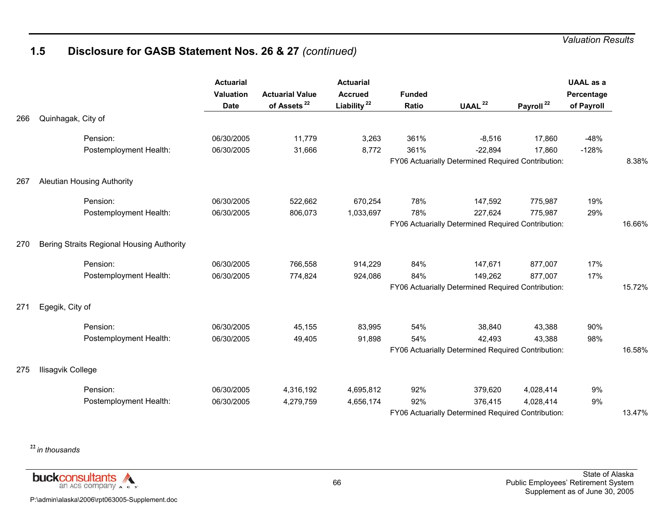# **1.5 Disclosure for GASB Statement Nos. 26 & 27** *(continued)*

|     |                                           | <b>Actuarial</b><br><b>Valuation</b><br><b>Date</b> | <b>Actuarial Value</b><br>of Assets <sup>22</sup> | <b>Actuarial</b><br><b>Accrued</b><br>Liability <sup>22</sup> | <b>Funded</b><br>Ratio | UAAL $^{22}$                                       | Payroll <sup>22</sup> | <b>UAAL</b> as a<br>Percentage<br>of Payroll |        |
|-----|-------------------------------------------|-----------------------------------------------------|---------------------------------------------------|---------------------------------------------------------------|------------------------|----------------------------------------------------|-----------------------|----------------------------------------------|--------|
| 266 | Quinhagak, City of                        |                                                     |                                                   |                                                               |                        |                                                    |                       |                                              |        |
|     | Pension:                                  | 06/30/2005                                          | 11,779                                            | 3,263                                                         | 361%                   | $-8,516$                                           | 17,860                | $-48%$                                       |        |
|     | Postemployment Health:                    | 06/30/2005                                          | 31,666                                            | 8,772                                                         | 361%                   | $-22,894$                                          | 17,860                | $-128%$                                      |        |
|     |                                           |                                                     |                                                   |                                                               |                        | FY06 Actuarially Determined Required Contribution: |                       |                                              | 8.38%  |
| 267 | <b>Aleutian Housing Authority</b>         |                                                     |                                                   |                                                               |                        |                                                    |                       |                                              |        |
|     | Pension:                                  | 06/30/2005                                          | 522,662                                           | 670,254                                                       | 78%                    | 147,592                                            | 775,987               | 19%                                          |        |
|     | Postemployment Health:                    | 06/30/2005                                          | 806,073                                           | 1,033,697                                                     | 78%                    | 227,624                                            | 775,987               | 29%                                          |        |
|     |                                           |                                                     |                                                   |                                                               |                        | FY06 Actuarially Determined Required Contribution: |                       |                                              | 16.66% |
| 270 | Bering Straits Regional Housing Authority |                                                     |                                                   |                                                               |                        |                                                    |                       |                                              |        |
|     | Pension:                                  | 06/30/2005                                          | 766,558                                           | 914,229                                                       | 84%                    | 147,671                                            | 877,007               | 17%                                          |        |
|     | Postemployment Health:                    | 06/30/2005                                          | 774,824                                           | 924,086                                                       | 84%                    | 149,262                                            | 877,007               | 17%                                          |        |
|     |                                           |                                                     |                                                   |                                                               |                        | FY06 Actuarially Determined Required Contribution: |                       |                                              | 15.72% |
| 271 | Egegik, City of                           |                                                     |                                                   |                                                               |                        |                                                    |                       |                                              |        |
|     | Pension:                                  | 06/30/2005                                          | 45,155                                            | 83,995                                                        | 54%                    | 38,840                                             | 43,388                | 90%                                          |        |
|     | Postemployment Health:                    | 06/30/2005                                          | 49,405                                            | 91,898                                                        | 54%                    | 42,493                                             | 43,388                | 98%                                          |        |
|     |                                           |                                                     |                                                   |                                                               |                        | FY06 Actuarially Determined Required Contribution: |                       |                                              | 16.58% |
| 275 | Ilisagvik College                         |                                                     |                                                   |                                                               |                        |                                                    |                       |                                              |        |
|     | Pension:                                  | 06/30/2005                                          | 4,316,192                                         | 4,695,812                                                     | 92%                    | 379,620                                            | 4,028,414             | 9%                                           |        |
|     | Postemployment Health:                    | 06/30/2005                                          | 4,279,759                                         | 4,656,174                                                     | 92%                    | 376,415                                            | 4,028,414             | 9%                                           |        |
|     |                                           |                                                     |                                                   |                                                               |                        | FY06 Actuarially Determined Required Contribution: |                       |                                              | 13.47% |

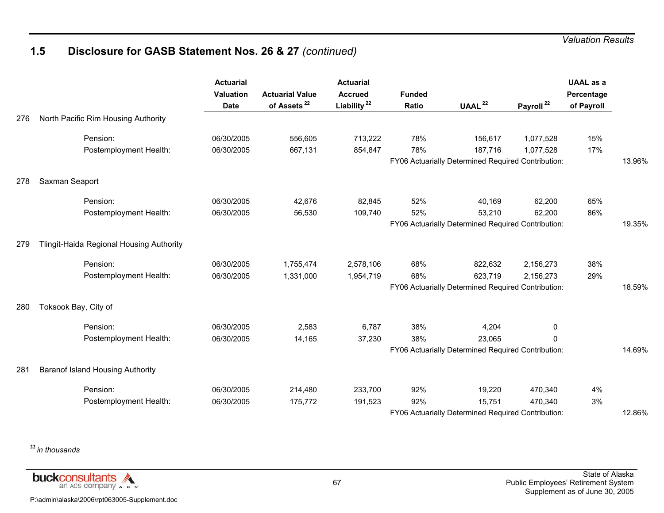## **1.5 Disclosure for GASB Statement Nos. 26 & 27** *(continued)*

|     |                                          | <b>Actuarial</b><br><b>Valuation</b><br><b>Date</b> | <b>Actuarial Value</b><br>of Assets <sup>22</sup> | <b>Actuarial</b><br><b>Accrued</b><br>Liability <sup>22</sup> | <b>Funded</b><br>Ratio | UAAL <sup>22</sup>                                 | Payroll <sup>22</sup> | <b>UAAL</b> as a<br>Percentage<br>of Payroll |        |
|-----|------------------------------------------|-----------------------------------------------------|---------------------------------------------------|---------------------------------------------------------------|------------------------|----------------------------------------------------|-----------------------|----------------------------------------------|--------|
| 276 | North Pacific Rim Housing Authority      |                                                     |                                                   |                                                               |                        |                                                    |                       |                                              |        |
|     | Pension:                                 | 06/30/2005                                          | 556,605                                           | 713,222                                                       | 78%                    | 156,617                                            | 1,077,528             | 15%                                          |        |
|     | Postemployment Health:                   | 06/30/2005                                          | 667,131                                           | 854,847                                                       | 78%                    | 187,716                                            | 1,077,528             | 17%                                          |        |
|     |                                          |                                                     |                                                   |                                                               |                        | FY06 Actuarially Determined Required Contribution: |                       |                                              | 13.96% |
| 278 | Saxman Seaport                           |                                                     |                                                   |                                                               |                        |                                                    |                       |                                              |        |
|     | Pension:                                 | 06/30/2005                                          | 42,676                                            | 82,845                                                        | 52%                    | 40,169                                             | 62,200                | 65%                                          |        |
|     | Postemployment Health:                   | 06/30/2005                                          | 56,530                                            | 109,740                                                       | 52%                    | 53,210                                             | 62,200                | 86%                                          |        |
|     |                                          |                                                     |                                                   |                                                               |                        | FY06 Actuarially Determined Required Contribution: |                       |                                              | 19.35% |
| 279 | Tlingit-Haida Regional Housing Authority |                                                     |                                                   |                                                               |                        |                                                    |                       |                                              |        |
|     | Pension:                                 | 06/30/2005                                          | 1,755,474                                         | 2,578,106                                                     | 68%                    | 822,632                                            | 2,156,273             | 38%                                          |        |
|     | Postemployment Health:                   | 06/30/2005                                          | 1,331,000                                         | 1,954,719                                                     | 68%                    | 623,719                                            | 2,156,273             | 29%                                          |        |
|     |                                          |                                                     |                                                   |                                                               |                        | FY06 Actuarially Determined Required Contribution: |                       |                                              | 18.59% |
| 280 | Toksook Bay, City of                     |                                                     |                                                   |                                                               |                        |                                                    |                       |                                              |        |
|     | Pension:                                 | 06/30/2005                                          | 2,583                                             | 6,787                                                         | 38%                    | 4,204                                              | 0                     |                                              |        |
|     | Postemployment Health:                   | 06/30/2005                                          | 14,165                                            | 37,230                                                        | 38%                    | 23,065                                             | 0                     |                                              |        |
|     |                                          |                                                     |                                                   |                                                               |                        | FY06 Actuarially Determined Required Contribution: |                       |                                              | 14.69% |
| 281 | Baranof Island Housing Authority         |                                                     |                                                   |                                                               |                        |                                                    |                       |                                              |        |
|     | Pension:                                 | 06/30/2005                                          | 214,480                                           | 233,700                                                       | 92%                    | 19,220                                             | 470,340               | 4%                                           |        |
|     | Postemployment Health:                   | 06/30/2005                                          | 175,772                                           | 191,523                                                       | 92%                    | 15,751                                             | 470,340               | 3%                                           |        |
|     |                                          |                                                     |                                                   |                                                               |                        | FY06 Actuarially Determined Required Contribution: |                       |                                              | 12.86% |

**<sup>22</sup>***in thousands*

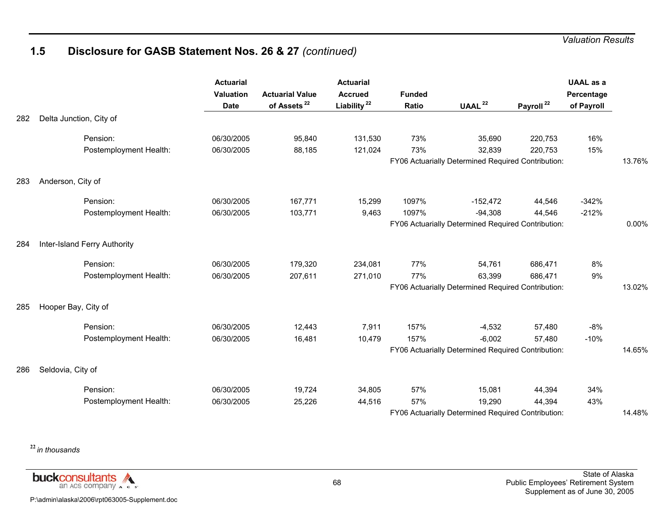## **1.5 Disclosure for GASB Statement Nos. 26 & 27** *(continued)*

|     |                              | <b>Actuarial</b><br>Valuation<br><b>Date</b> | <b>Actuarial Value</b><br>of Assets <sup>22</sup> | <b>Actuarial</b><br><b>Accrued</b><br>Liability <sup>22</sup> | <b>Funded</b><br>Ratio | UAAL $^{22}$                                       | Payroll <sup>22</sup> | <b>UAAL</b> as a<br>Percentage<br>of Payroll |        |
|-----|------------------------------|----------------------------------------------|---------------------------------------------------|---------------------------------------------------------------|------------------------|----------------------------------------------------|-----------------------|----------------------------------------------|--------|
| 282 | Delta Junction, City of      |                                              |                                                   |                                                               |                        |                                                    |                       |                                              |        |
|     | Pension:                     | 06/30/2005                                   | 95,840                                            | 131,530                                                       | 73%                    | 35,690                                             | 220,753               | 16%                                          |        |
|     | Postemployment Health:       | 06/30/2005                                   | 88,185                                            | 121,024                                                       | 73%                    | 32,839                                             | 220,753               | 15%                                          |        |
|     |                              |                                              |                                                   |                                                               |                        | FY06 Actuarially Determined Required Contribution: |                       |                                              | 13.76% |
| 283 | Anderson, City of            |                                              |                                                   |                                                               |                        |                                                    |                       |                                              |        |
|     | Pension:                     | 06/30/2005                                   | 167,771                                           | 15,299                                                        | 1097%                  | $-152,472$                                         | 44,546                | $-342%$                                      |        |
|     | Postemployment Health:       | 06/30/2005                                   | 103,771                                           | 9,463                                                         | 1097%                  | $-94,308$                                          | 44,546                | $-212%$                                      |        |
|     |                              |                                              |                                                   |                                                               |                        | FY06 Actuarially Determined Required Contribution: |                       |                                              | 0.00%  |
| 284 | Inter-Island Ferry Authority |                                              |                                                   |                                                               |                        |                                                    |                       |                                              |        |
|     | Pension:                     | 06/30/2005                                   | 179,320                                           | 234,081                                                       | 77%                    | 54,761                                             | 686,471               | 8%                                           |        |
|     | Postemployment Health:       | 06/30/2005                                   | 207,611                                           | 271,010                                                       | 77%                    | 63,399                                             | 686,471               | 9%                                           |        |
|     |                              |                                              |                                                   |                                                               |                        | FY06 Actuarially Determined Required Contribution: |                       |                                              | 13.02% |
| 285 | Hooper Bay, City of          |                                              |                                                   |                                                               |                        |                                                    |                       |                                              |        |
|     | Pension:                     | 06/30/2005                                   | 12,443                                            | 7,911                                                         | 157%                   | $-4,532$                                           | 57,480                | $-8%$                                        |        |
|     | Postemployment Health:       | 06/30/2005                                   | 16,481                                            | 10,479                                                        | 157%                   | $-6,002$                                           | 57,480                | $-10%$                                       |        |
|     |                              |                                              |                                                   |                                                               |                        | FY06 Actuarially Determined Required Contribution: |                       |                                              | 14.65% |
| 286 | Seldovia, City of            |                                              |                                                   |                                                               |                        |                                                    |                       |                                              |        |
|     | Pension:                     | 06/30/2005                                   | 19,724                                            | 34,805                                                        | 57%                    | 15,081                                             | 44,394                | 34%                                          |        |
|     | Postemployment Health:       | 06/30/2005                                   | 25,226                                            | 44,516                                                        | 57%                    | 19,290                                             | 44,394                | 43%                                          |        |
|     |                              |                                              |                                                   |                                                               |                        | FY06 Actuarially Determined Required Contribution: |                       |                                              | 14.48% |

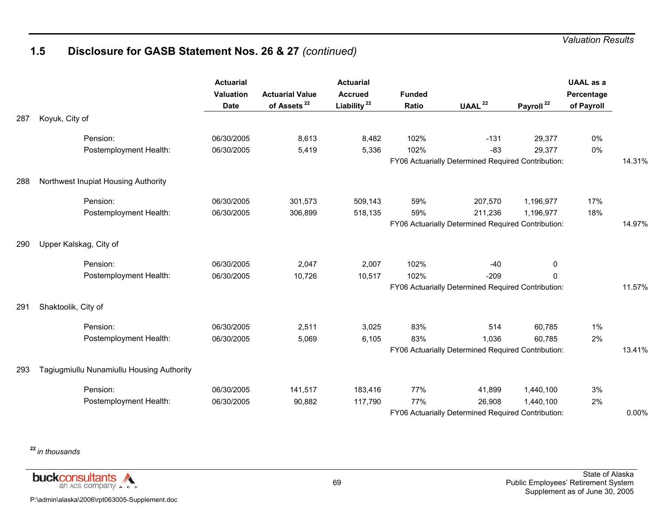## **1.5 Disclosure for GASB Statement Nos. 26 & 27** *(continued)*

|     |                                           | <b>Actuarial</b><br><b>Valuation</b><br><b>Date</b> | <b>Actuarial Value</b><br>of Assets <sup>22</sup> | <b>Actuarial</b><br><b>Accrued</b><br>Liability <sup>22</sup> | <b>Funded</b><br>Ratio | UAAL <sup>22</sup>                                 | Payroll <sup>22</sup> | <b>UAAL</b> as a<br>Percentage<br>of Payroll |        |
|-----|-------------------------------------------|-----------------------------------------------------|---------------------------------------------------|---------------------------------------------------------------|------------------------|----------------------------------------------------|-----------------------|----------------------------------------------|--------|
| 287 | Koyuk, City of                            |                                                     |                                                   |                                                               |                        |                                                    |                       |                                              |        |
|     | Pension:                                  | 06/30/2005                                          | 8,613                                             | 8,482                                                         | 102%                   | $-131$                                             | 29,377                | 0%                                           |        |
|     | Postemployment Health:                    | 06/30/2005                                          | 5,419                                             | 5,336                                                         | 102%                   | $-83$                                              | 29,377                | 0%                                           |        |
|     |                                           |                                                     |                                                   |                                                               |                        | FY06 Actuarially Determined Required Contribution: |                       |                                              | 14.31% |
| 288 | Northwest Inupiat Housing Authority       |                                                     |                                                   |                                                               |                        |                                                    |                       |                                              |        |
|     | Pension:                                  | 06/30/2005                                          | 301,573                                           | 509,143                                                       | 59%                    | 207,570                                            | 1,196,977             | 17%                                          |        |
|     | Postemployment Health:                    | 06/30/2005                                          | 306,899                                           | 518,135                                                       | 59%                    | 211,236                                            | 1,196,977             | 18%                                          |        |
|     |                                           |                                                     |                                                   |                                                               |                        | FY06 Actuarially Determined Required Contribution: |                       |                                              | 14.97% |
| 290 | Upper Kalskag, City of                    |                                                     |                                                   |                                                               |                        |                                                    |                       |                                              |        |
|     | Pension:                                  | 06/30/2005                                          | 2,047                                             | 2,007                                                         | 102%                   | $-40$                                              | 0                     |                                              |        |
|     | Postemployment Health:                    | 06/30/2005                                          | 10,726                                            | 10,517                                                        | 102%                   | $-209$                                             | 0                     |                                              |        |
|     |                                           |                                                     |                                                   |                                                               |                        | FY06 Actuarially Determined Required Contribution: |                       |                                              | 11.57% |
| 291 | Shaktoolik, City of                       |                                                     |                                                   |                                                               |                        |                                                    |                       |                                              |        |
|     | Pension:                                  | 06/30/2005                                          | 2,511                                             | 3,025                                                         | 83%                    | 514                                                | 60,785                | $1\%$                                        |        |
|     | Postemployment Health:                    | 06/30/2005                                          | 5,069                                             | 6,105                                                         | 83%                    | 1,036                                              | 60,785                | 2%                                           |        |
|     |                                           |                                                     |                                                   |                                                               |                        | FY06 Actuarially Determined Required Contribution: |                       |                                              | 13.41% |
| 293 | Tagiugmiullu Nunamiullu Housing Authority |                                                     |                                                   |                                                               |                        |                                                    |                       |                                              |        |
|     | Pension:                                  | 06/30/2005                                          | 141,517                                           | 183,416                                                       | 77%                    | 41,899                                             | 1,440,100             | 3%                                           |        |
|     | Postemployment Health:                    | 06/30/2005                                          | 90,882                                            | 117,790                                                       | 77%                    | 26,908                                             | 1,440,100             | 2%                                           |        |
|     |                                           |                                                     |                                                   |                                                               |                        | FY06 Actuarially Determined Required Contribution: |                       |                                              | 0.00%  |

**<sup>22</sup>***in thousands*